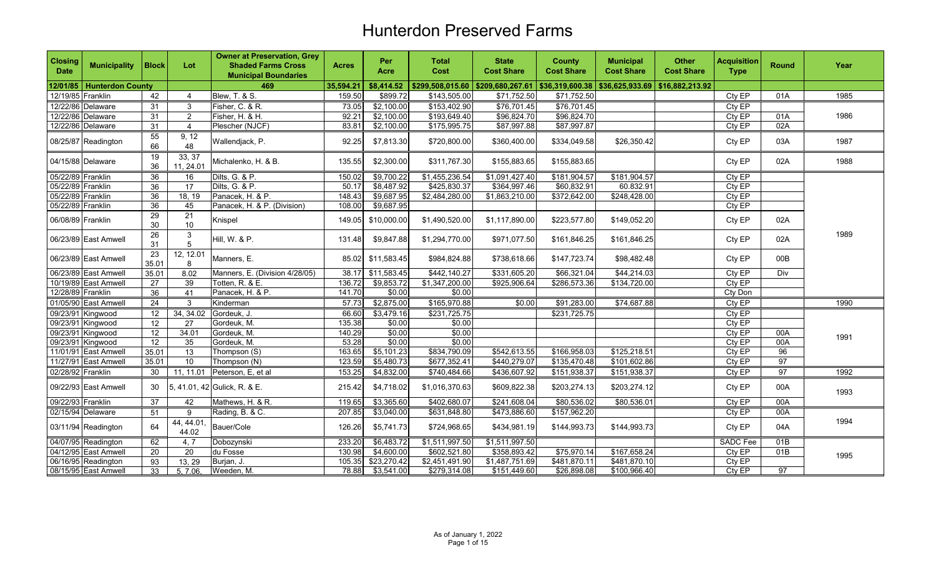| <b>Closing</b><br><b>Date</b> | <b>Municipality</b>         | <b>Block</b>    | Lot                 | <b>Owner at Preservation, Grey</b><br><b>Shaded Farms Cross</b><br><b>Municipal Boundaries</b> | <b>Acres</b> | Per<br>Acre       | <b>Total</b><br>Cost                | <b>State</b><br><b>Cost Share</b> | <b>County</b><br><b>Cost Share</b> | <b>Municipal</b><br><b>Cost Share</b>                                   | <b>Other</b><br><b>Cost Share</b> | <b>Acquisition</b><br><b>Type</b> | <b>Round</b>    | Year |
|-------------------------------|-----------------------------|-----------------|---------------------|------------------------------------------------------------------------------------------------|--------------|-------------------|-------------------------------------|-----------------------------------|------------------------------------|-------------------------------------------------------------------------|-----------------------------------|-----------------------------------|-----------------|------|
|                               | 12/01/85   Hunterdon County |                 |                     | 469                                                                                            | 35,594.21    | \$8,414.52        | $$299,508,015.60$ $$209,680,267.61$ |                                   |                                    | $\vert$ \$36,319,600.38 $\vert$ \$36,625,933.69 $\vert$ \$16,882,213.92 |                                   |                                   |                 |      |
| 12/19/85 Franklin             |                             | 42              | 4                   | Blew, T. & S.                                                                                  | 159.50       | \$899.72          | \$143,505.00                        | \$71,752.50                       | \$71,752.50                        |                                                                         |                                   | Cty EP                            | 01A             | 1985 |
|                               | 12/22/86 Delaware           | 31              | 3                   | Fisher, C. & R.                                                                                | 73.05        | \$2,100.00        | \$153,402.90                        | \$76,701.45                       | \$76,701.45                        |                                                                         |                                   | CtyEP                             |                 |      |
|                               | 12/22/86 Delaware           | 31              | $\overline{2}$      | Fisher, H. & H.                                                                                | 92.21        | \$2,100.00        | \$193,649.40                        | \$96,824.70                       | \$96,824.70                        |                                                                         |                                   | Cty EP                            | 01A             | 1986 |
|                               | 12/22/86 Delaware           | 31              | $\overline{4}$      | Plescher (NJCF)                                                                                | 83.81        | \$2,100.00        | \$175,995.75                        | \$87,997.88                       | \$87,997.87                        |                                                                         |                                   | Cty EP                            | 02A             |      |
|                               | 08/25/87 Readington         | 55<br>66        | 9, 12<br>48         | Wallendjack, P.                                                                                | 92.25        | \$7,813.30        | \$720,800.00                        | \$360,400.00                      | \$334,049.58                       | \$26,350.42                                                             |                                   | Cty EP                            | 03A             | 1987 |
|                               | 04/15/88 Delaware           | 19<br>36        | 33, 37<br>11, 24.01 | Michalenko, H. & B.                                                                            | 135.55       | \$2,300.00        | \$311,767.30                        | \$155,883.65                      | \$155,883.65                       |                                                                         |                                   | Cty EP                            | 02A             | 1988 |
| 05/22/89 Franklin             |                             | 36              | 16                  | Dilts, G. & P.                                                                                 | 150.02       | \$9,700.22        | \$1,455,236.54                      | \$1,091,427.40                    | \$181,904.57                       | \$181,904.57                                                            |                                   | Cty EP                            |                 |      |
| 05/22/89 Franklin             |                             | 36              | 17                  | Dilts, G. & P.                                                                                 | 50.17        | \$8,487.92        | \$425,830.37                        | \$364,997.46                      | \$60,832.91                        | 60.832.91                                                               |                                   | Cty EP                            |                 |      |
| 05/22/89 Franklin             |                             | 36              | 18, 19              | Panacek, H. & P.                                                                               | 148.43       | \$9,687.95        | \$2,484,280.00                      | \$1,863,210.00                    | \$372,642.00                       | \$248,428.00                                                            |                                   | Cty EP                            |                 |      |
| 05/22/89 Franklin             |                             | 36              | 45                  | Panacek, H. & P. (Division)                                                                    | 108.00       | \$9,687.95        |                                     |                                   |                                    |                                                                         |                                   | Cty EP                            |                 |      |
| 06/08/89 Franklin             |                             | 29<br>30        | 21<br>10            | Knispel                                                                                        | 149.05       | \$10,000.00       | \$1,490,520.00                      | \$1,117,890.00                    | \$223,577.80                       | \$149,052.20                                                            |                                   | Cty EP                            | 02A             |      |
|                               | 06/23/89 East Amwell        | 26<br>31        | 3<br>5              | Hill, W. & P.                                                                                  | 131.48       | \$9,847.88        | \$1,294,770.00                      | \$971,077.50                      | \$161,846.25                       | \$161,846.25                                                            |                                   | Cty EP                            | 02A             | 1989 |
|                               | 06/23/89 East Amwell        | 23<br>35.01     | 12, 12.01<br>8      | Manners, E.                                                                                    | 85.02        | \$11,583.45       | \$984,824.88                        | \$738,618.66                      | \$147,723.74                       | \$98,482.48                                                             |                                   | Cty EP                            | 00B             |      |
|                               | 06/23/89 East Amwell        | 35.01           | 8.02                | Manners, E. (Division 4/28/05)                                                                 |              | 38.17 \$11,583.45 | \$442,140.27                        | \$331,605.20                      | \$66,321.04                        | \$44,214.03                                                             |                                   | Cty EP                            | Div             |      |
|                               | 10/19/89 East Amwell        | 27              | 39                  | Totten, R. & E.                                                                                | 136.72       | \$9,853.72        | \$1,347,200.00                      | \$925,906.64                      | \$286,573.36                       | \$134,720.00                                                            |                                   | Cty EP                            |                 |      |
| 12/28/89 Franklin             |                             | 36              | 41                  | Panacek, H. & P.                                                                               | 141.70       | \$0.00            | \$0.00                              |                                   |                                    |                                                                         |                                   | Cty Don                           |                 |      |
|                               | 01/05/90 East Amwell        | 24              | 3                   | Kinderman                                                                                      | 57.73        | \$2,875.00        | \$165,970.88                        | \$0.00                            | \$91,283.00                        | \$74,687.88                                                             |                                   | Cty EP                            |                 | 1990 |
|                               | 09/23/91 Kingwood           | 12              | 34, 34.02           | Gordeuk, J.                                                                                    | 66.60        | \$3,479.16        | \$231,725.75                        |                                   | \$231,725.75                       |                                                                         |                                   | Cty EP                            |                 |      |
|                               | 09/23/91 Kingwood           | 12              | 27                  | Gordeuk, M.                                                                                    | 135.38       | \$0.00            | \$0.00                              |                                   |                                    |                                                                         |                                   | Cty EP                            |                 |      |
|                               | 09/23/91 Kingwood           | 12              | 34.01               | Gordeuk, M.                                                                                    | 140.29       | \$0.00            | \$0.00                              |                                   |                                    |                                                                         |                                   | Cty EP                            | 00A             | 1991 |
|                               | 09/23/91 Kingwood           | 12              | 35                  | Gordeuk, M.                                                                                    | 53.28        | \$0.00            | \$0.00                              |                                   |                                    |                                                                         |                                   | Cty EP                            | 00A             |      |
|                               | 11/01/91 East Amwell        | 35.01           | 13                  | Thompson (S)                                                                                   | 163.65       | \$5,101.23        | \$834,790.09                        | \$542,613.55                      | \$166,958.03                       | \$125,218.51                                                            |                                   | Cty EP                            | 96              |      |
|                               | 11/27/91 East Amwell        | 35.01           | 10                  | Thompson (N)                                                                                   | 123.59       | \$5,480.73        | \$677,352.41                        | \$440,279.07                      | \$135,470.48                       | \$101,602.86                                                            |                                   | Cty EP                            | 97              |      |
| 02/28/92 Franklin             |                             | 30              | 11, 11.01           | Peterson, E, et al                                                                             | 153.25       | \$4,832.00        | \$740,484.66                        | \$436,607.92                      | \$151,938.37                       | \$151,938.37                                                            |                                   | Cty EP                            | 97              | 1992 |
|                               | 09/22/93 East Amwell        | 30              |                     | 5, 41.01, 42 Gulick, R. & E.                                                                   | 215.42       | \$4,718.02        | \$1,016,370.63                      | \$609,822.38                      | \$203,274.13                       | \$203,274.12                                                            |                                   | Cty EP                            | 00A             | 1993 |
| 09/22/93 Franklin             |                             | 37              | 42                  | Mathews, H. & R.                                                                               | 119.65       | \$3,365.60        | \$402,680.07                        | \$241,608.04                      | \$80,536.02                        | \$80,536.01                                                             |                                   | Cty EP                            | 00A             |      |
|                               | 02/15/94 Delaware           | 51              | 9                   | Rading, B. & C.                                                                                | 207.85       | \$3,040.00        | \$631,848.80                        | \$473,886.60                      | \$157,962.20                       |                                                                         |                                   | Cty EP                            | 00A             |      |
|                               | 03/11/94 Readington         | 64              | 44, 44.01<br>44.02  | Bauer/Cole                                                                                     | 126.26       | \$5,741.73        | \$724,968.65                        | \$434,981.19                      | \$144,993.73                       | \$144,993.73                                                            |                                   | Cty EP                            | 04A             | 1994 |
|                               | 04/07/95 Readington         | 62              | 4, 7                | Dobozynski                                                                                     | 233.20       | \$6,483.72        | \$1,511,997.50                      | \$1,511,997.50                    |                                    |                                                                         |                                   | <b>SADC Fee</b>                   | 01B             |      |
|                               | 04/12/95 East Amwell        | $\overline{20}$ | 20                  | du Fosse                                                                                       | 130.98       | \$4,600.00        | \$602,521.80                        | \$358,893.42                      | \$75,970.14                        | \$167,658.24                                                            |                                   | Cty EP                            | 01B             | 1995 |
|                               | 06/16/95 Readington         | 93              | 13, 29              | Burjan, J.                                                                                     | 105.35       | \$23,270.42       | \$2,451,491.90                      | \$1,487,751.69                    | \$481,870.11                       | \$481,870.10                                                            |                                   | Cty EP                            |                 |      |
|                               | 08/15/95 East Amwell        | 33              | 5, 7.06,            | Weeden, M.                                                                                     |              | 78.88 \$3,541.00  | \$279,314.08                        | \$151,449.60                      | \$26,898.08                        | \$100,966.40                                                            |                                   | CtyEP                             | $\overline{97}$ |      |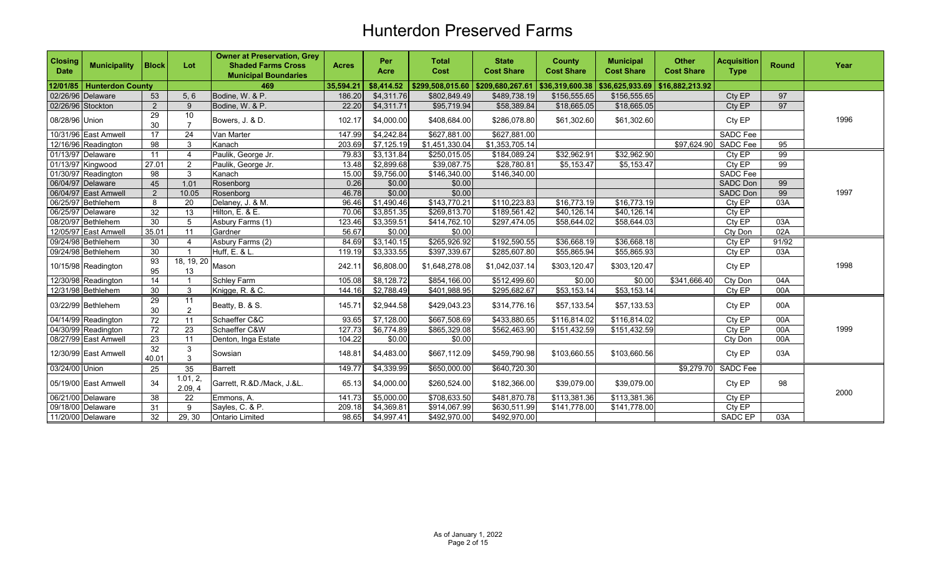| <b>Closing</b><br><b>Date</b> | <b>Municipality</b>     | <b>Block</b>    | Lot                                 | <b>Owner at Preservation, Grey</b><br><b>Shaded Farms Cross</b><br><b>Municipal Boundaries</b> | <b>Acres</b> | Per<br>Acre            | <b>Total</b><br>Cost                | <b>State</b><br><b>Cost Share</b> | <b>County</b><br><b>Cost Share</b> | <b>Municipal</b><br><b>Cost Share</b> | <b>Other</b><br><b>Cost Share</b> | <b>Acquisition</b><br><b>Type</b> | <b>Round</b> | Year |
|-------------------------------|-------------------------|-----------------|-------------------------------------|------------------------------------------------------------------------------------------------|--------------|------------------------|-------------------------------------|-----------------------------------|------------------------------------|---------------------------------------|-----------------------------------|-----------------------------------|--------------|------|
| 12/01/85                      | <b>Hunterdon County</b> |                 |                                     | 469                                                                                            | 35,594.21    | \$8,414.52             | $$299,508,015.60$ $$209,680,267.61$ |                                   | \$36,319,600.38                    | \$36,625,933.69                       | \$16,882,213.92                   |                                   |              |      |
|                               | 02/26/96 Delaware       | 53              | 5, 6                                | Bodine, W. & P.                                                                                | 186.20       | \$4,311.76             | \$802,849.49                        | \$489,738.19                      | \$156,555.65                       | \$156,555.65                          |                                   | Cty EP                            | 97           |      |
| 02/26/96 Stockton             |                         | $\overline{2}$  | 9                                   | Bodine, W. & P.                                                                                | 22.20        | \$4,311.71             | \$95,719.94                         | \$58,389.84                       | \$18,665.05                        | \$18,665.05                           |                                   | Cty EP                            | 97           |      |
| 08/28/96 Union                |                         | 29<br>30        | 10<br>$\overline{7}$                | Bowers, J. & D.                                                                                | 102.17       | \$4,000.00             | \$408,684.00                        | \$286,078.80                      | \$61,302.60                        | \$61,302.60                           |                                   | Cty EP                            |              | 1996 |
|                               | 10/31/96 East Amwell    | 17              | 24                                  | Van Marter                                                                                     | 147.99       | \$4,242.84             | \$627,881.00                        | \$627,881.00                      |                                    |                                       |                                   | SADC Fee                          |              |      |
|                               | 12/16/96 Readington     | 98              | 3                                   | Kanach                                                                                         | 203.69       | \$7,125.19             | \$1,451,330.04                      | \$1,353,705.14                    |                                    |                                       | \$97,624.90                       | SADC Fee                          | 95           |      |
|                               | 01/13/97 Delaware       | 11              | $\boldsymbol{\Lambda}$              | Paulik, George Jr.                                                                             | 79.83        | \$3,131.84             | \$250,015.05                        | \$184,089.24                      | \$32,962.91                        | \$32,962.90                           |                                   | Cty EP                            | 99           |      |
|                               | 01/13/97 Kingwood       | 27.01           | 2                                   | Paulik, George Jr.                                                                             | 13.48        | \$2,899.68             | \$39,087.75                         | \$28,780.81                       | \$5,153.47                         | \$5,153.47                            |                                   | Cty EP                            | 99           |      |
|                               | 01/30/97 Readington     | 98              | 3                                   | Kanach                                                                                         | 15.00        | \$9,756.00             | \$146,340.00                        | \$146,340.00                      |                                    |                                       |                                   | <b>SADC Fee</b>                   |              |      |
|                               | 06/04/97 Delaware       | 45              | 1.01                                | Rosenborg                                                                                      | 0.26         | \$0.00                 | \$0.00                              |                                   |                                    |                                       |                                   | <b>SADC Don</b>                   | 99           |      |
|                               | 06/04/97 East Amwell    | $\overline{2}$  | 10.05                               | Rosenborg                                                                                      | 46.78        | \$0.00                 | \$0.00                              |                                   |                                    |                                       |                                   | <b>SADC Don</b>                   | 99           | 1997 |
|                               | 06/25/97 Bethlehem      | 8               | 20                                  | Delaney, J. & M.                                                                               | 96.46        | \$1,490.46             | \$143,770.21                        | \$110,223.83                      | \$16,773.19                        | \$16,773.19                           |                                   | Cty EP                            | 03A          |      |
|                               | 06/25/97 Delaware       | $\overline{32}$ | 13                                  | Hilton, E. & E.                                                                                | 70.06        | $\overline{$3,851.35}$ | \$269,813.70                        | \$189,561.42                      | \$40,126.14                        | \$40,126.14                           |                                   | $Cty$ <sub>EP</sub>               |              |      |
|                               | 08/20/97 Bethlehem      | 30              | 5                                   | Asbury Farms (1)                                                                               | 123.46       | \$3,359.51             | \$414,762.10                        | \$297,474.05                      | \$58,644.02                        | \$58,644.03                           |                                   | Cty EP                            | 03A          |      |
|                               | 12/05/97 East Amwell    | 35.01           | 11                                  | Gardner                                                                                        | 56.67        | \$0.00                 | \$0.00                              |                                   |                                    |                                       |                                   | Cty Don                           | 02A          |      |
|                               | 09/24/98 Bethlehem      | 30              | $\overline{4}$                      | Asbury Farms (2)                                                                               | 84.69        | \$3,140.15             | \$265,926.92                        | \$192,590.55                      | \$36,668.19                        | \$36,668.18                           |                                   | Cty EP                            | 91/92        |      |
|                               | 09/24/98 Bethlehem      | 30              | -1                                  | Huff, E. & L.                                                                                  | 119.19       | \$3,333.55             | \$397,339.67                        | \$285,607.80                      | \$55,865.94                        | \$55,865.93                           |                                   | Cty EP                            | 03A          |      |
|                               | 10/15/98 Readington     | 93<br>95        | $\overline{18, 19, 20}$ Mason<br>13 |                                                                                                | 242.11       | \$6,808.00             | \$1,648,278.08                      | \$1,042,037.14                    | \$303,120.47                       | \$303,120.47                          |                                   | Cty EP                            |              | 1998 |
|                               | 12/30/98 Readington     | 14              |                                     | Schley Farm                                                                                    | 105.08       | \$8,128.72             | \$854,166.00                        | \$512,499.60                      | \$0.00                             | \$0.00                                | \$341,666.40                      | Cty Don                           | 04A          |      |
|                               | 12/31/98 Bethlehem      | 30              | 3                                   | Knigge, R. & C.                                                                                | 144.16       | \$2,788.49             | \$401,988.95                        | \$295,682.67                      | \$53,153.14                        | \$53,153.14                           |                                   | Cty EP                            | 00A          |      |
|                               | 03/22/99 Bethlehem      | 29<br>30        | 11<br>2                             | Beatty, B. & S.                                                                                | 145.71       | \$2,944.58             | \$429,043.23                        | \$314,776.16                      | \$57,133.54                        | \$57,133.53                           |                                   | Cty EP                            | 00A          |      |
|                               | 04/14/99 Readington     | 72              | 11                                  | Schaeffer C&C                                                                                  | 93.65        | \$7,128.00             | \$667,508.69                        | \$433,880.65                      | \$116,814.02                       | \$116,814.02                          |                                   | Cty EP                            | 00A          |      |
|                               | 04/30/99 Readington     | 72              | 23                                  | Schaeffer C&W                                                                                  | 127.73       | \$6,774.89             | \$865,329.08                        | \$562,463.90                      | \$151,432.59                       | \$151,432.59                          |                                   | Cty EP                            | 00A          | 1999 |
|                               | 08/27/99 East Amwell    | 23              | 11                                  | Denton, Inga Estate                                                                            | 104.22       | \$0.00                 | \$0.00                              |                                   |                                    |                                       |                                   | Cty Don                           | 00A          |      |
|                               | 12/30/99 East Amwell    | 32<br>40.01     | 3<br>3                              | Sowsian                                                                                        | 148.81       | \$4,483.00             | \$667,112.09                        | \$459,790.98                      | \$103,660.55                       | \$103,660.56                          |                                   | Cty EP                            | 03A          |      |
| 03/24/00 Union                |                         | $\overline{25}$ | 35                                  | Barrett                                                                                        | 149.77       | \$4,339.99             | \$650,000.00                        | \$640,720.30                      |                                    |                                       | \$9,279.70                        | <b>SADC</b> Fee                   |              |      |
|                               | 05/19/00 East Amwell    | 34              | 1.01, 2,<br>2.09, 4                 | Garrett, R.&D./Mack, J.&L.                                                                     | 65.13        | \$4,000.00             | \$260,524.00                        | \$182,366.00                      | \$39,079.00                        | \$39,079.00                           |                                   | Cty EP                            | 98           | 2000 |
|                               | 06/21/00 Delaware       | 38              | 22                                  | Emmons, A.                                                                                     | 141.73       | \$5,000.00             | \$708,633.50                        | \$481,870.78                      | \$113,381.36                       | \$113,381.36                          |                                   | Cty EP                            |              |      |
|                               | 09/18/00 Delaware       | 31              | 9                                   | Sayles, C. & P.                                                                                | 209.18       | \$4,369.81             | \$914,067.99                        | \$630,511.99                      | \$141,778.00                       | \$141,778.00                          |                                   | Cty EP                            |              |      |
|                               | 11/20/00 Delaware       | 32              | 29, 30                              | <b>Ontario Limited</b>                                                                         | 98.65        | \$4,997.41             | \$492,970.00                        | \$492,970.00                      |                                    |                                       |                                   | <b>SADC EP</b>                    | 03A          |      |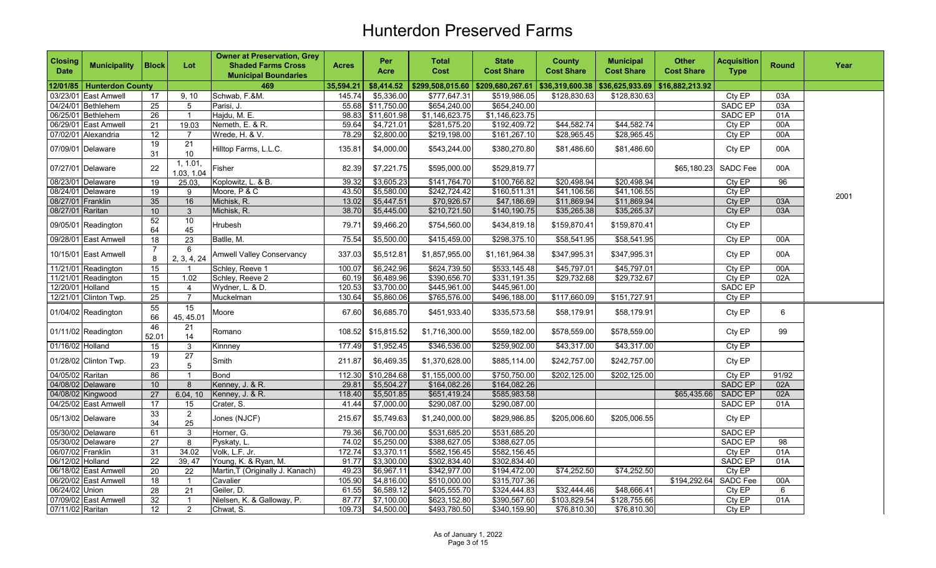| <b>Closing</b><br><b>Date</b> | <b>Municipality</b>         | <b>Block</b>    | Lot                          | <b>Owner at Preservation, Grey</b><br><b>Shaded Farms Cross</b><br><b>Municipal Boundaries</b> | <b>Acres</b> | Per<br><b>Acre</b> | <b>Total</b><br>Cost | <b>State</b><br><b>Cost Share</b> | <b>County</b><br><b>Cost Share</b> | <b>Municipal</b><br><b>Cost Share</b> | <b>Other</b><br><b>Cost Share</b> | <b>Acquisition</b><br><b>Type</b> | <b>Round</b> | Year |
|-------------------------------|-----------------------------|-----------------|------------------------------|------------------------------------------------------------------------------------------------|--------------|--------------------|----------------------|-----------------------------------|------------------------------------|---------------------------------------|-----------------------------------|-----------------------------------|--------------|------|
|                               | 12/01/85   Hunterdon County |                 |                              | 469                                                                                            | 35,594.21    | \$8,414.52         | \$299,508,015.60     | \$209,680,267.61                  | \$36,319,600.38                    | \$36,625,933.69                       | \$16,882,213.92                   |                                   |              |      |
|                               | 03/23/01 East Amwell        | 17              | 9, 10                        | Schwab, F.&M.                                                                                  | 145.74       | \$5,336.00         | \$777,647.31         | \$519,986.05                      | \$128,830.63                       | \$128,830.63                          |                                   | Cty EP                            | 03A          |      |
|                               | 04/24/01 Bethlehem          | 25              | 5                            | Parisi, J                                                                                      |              | 55.68 \$11,750.00  | \$654,240.00         | \$654,240.00                      |                                    |                                       |                                   | <b>SADC EP</b>                    | 03A          |      |
|                               | 06/25/01 Bethlehem          | 26              | $\overline{1}$               | Hajdu, M. E.                                                                                   |              | 98.83 \$11,601.98  | \$1,146,623.75       | \$1,146,623.75                    |                                    |                                       |                                   | <b>SADC EP</b>                    | 01A          |      |
|                               | 06/29/01 East Amwell        | 21              | 19.03                        | Nemeth, E. & R.                                                                                | 59.64        | \$4,721.01         | \$281,575.20         | \$192,409.72                      | \$44,582.74                        | \$44,582.74                           |                                   | Cty EP                            | 00A          |      |
|                               | 07/02/01 Alexandria         | 12              | $\overline{7}$               | Wrede, H. & V.                                                                                 | 78.29        | \$2,800.00         | \$219,198.00         | \$161,267.10                      | \$28,965.45                        | \$28,965.45                           |                                   | Cty EP                            | 00A          |      |
|                               | 07/09/01 Delaware           | 19<br>31        | 21<br>10                     | Hilltop Farms, L.L.C.                                                                          | 135.81       | \$4,000.00         | \$543,244.00         | \$380,270.80                      | \$81,486.60                        | \$81,486.60                           |                                   | Cty EP                            | 00A          |      |
|                               | 07/27/01 Delaware           | 22              | 1, 1.01,<br>1.03, 1.04       | Fisher                                                                                         | 82.39        | \$7,221.75         | \$595,000.00         | \$529,819.77                      |                                    |                                       | \$65,180.23                       | <b>SADC Fee</b>                   | 00A          |      |
|                               | 08/23/01 Delaware           | 19              | 25.03.                       | Koplowitz, L. & B.                                                                             | 39.32        | \$3,605.23         | \$141,764.70         | \$100,766.82                      | \$20,498.94                        | \$20,498.94                           |                                   | Cty EP                            | 96           |      |
|                               | 08/24/01 Delaware           | 19              | 9                            | Moore, P & C                                                                                   | 43.50        | \$5,580.00         | \$242,724.42         | \$160,511.31                      | \$41,106.56                        | \$41,106.55                           |                                   | CtyEP                             |              | 2001 |
| 08/27/01 Franklin             |                             | 35              | 16                           | Michisk, R.                                                                                    | 13.02        | \$5,447.51         | \$70,926.57          | \$47,186.69                       | \$11,869.94                        | \$11,869.94                           |                                   | Cty EP                            | 03A          |      |
| 08/27/01 Raritan              |                             | 10 <sup>1</sup> | $\mathbf{3}$                 | Michisk, R.                                                                                    | 38.70        | \$5,445.00         | \$210,721.50         | \$140,190.75                      | \$35,265.38                        | \$35,265.37                           |                                   | Cty EP                            | 03A          |      |
|                               | 09/05/01 Readington         | 52<br>64        | 10<br>45                     | <b>Hrubesh</b>                                                                                 | 79.71        | \$9,466.20         | \$754,560.00         | \$434,819.18                      | \$159,870.41                       | \$159,870.41                          |                                   | Cty EP                            |              |      |
|                               | 09/28/01 East Amwell        | 18              | $\overline{23}$              | Batlle, M.                                                                                     | 75.54        | \$5,500.00         | \$415,459.00         | \$298,375.10                      | \$58,541.95                        | \$58,541.95                           |                                   | Cty EP                            | 00A          |      |
|                               | 10/15/01 East Amwell        | 8               | 6<br>2, 3, 4, 24             | <b>Amwell Valley Conservancy</b>                                                               | 337.03       | \$5,512.81         | \$1,857,955.00       | \$1,161,964.38                    | \$347,995.31                       | \$347,995.31                          |                                   | Cty EP                            | 00A          |      |
|                               | 11/21/01 Readington         | 15              | -1                           | Schley, Reeve 1                                                                                | 100.07       | \$6,242.96         | \$624,739.50         | \$533,145.48                      | \$45,797.01                        | \$45,797.01                           |                                   | Cty EP                            | 00A          |      |
|                               | 11/21/01 Readington         | 15              | 1.02                         | Schley, Reeve 2                                                                                | 60.19        | \$6,489.96         | \$390,656.70         | \$331,191.35                      | \$29,732.68                        | \$29,732.67                           |                                   | Cty EP                            | 02A          |      |
| 12/20/01 Holland              |                             | 15              | $\overline{4}$               | Wydner, L. & D.                                                                                | 120.53       | \$3,700.00         | \$445,961.00         | \$445,961.00                      |                                    |                                       |                                   | <b>SADC EP</b>                    |              |      |
|                               | 12/21/01 Clinton Twp.       | 25              | $\overline{7}$               | Muckelman                                                                                      | 130.64       | \$5,860.06         | \$765,576.00         | \$496,188.00                      | \$117,660.09                       | \$151,727.91                          |                                   | Cty EP                            |              |      |
|                               | 01/04/02 Readington         | 55<br>66        | $\overline{15}$<br>45, 45.01 | Moore                                                                                          | 67.60        | \$6,685.70         | \$451,933.40         | \$335,573.58                      | \$58,179.91                        | \$58,179.91                           |                                   | Cty EP                            | 6            |      |
|                               | 01/11/02 Readington         | 46<br>52.01     | 21<br>14                     | Romano                                                                                         | 108.52       | \$15,815.52        | \$1,716,300.00       | \$559,182.00                      | \$578,559.00                       | \$578,559.00                          |                                   | Cty EP                            | 99           |      |
| 01/16/02 Holland              |                             | 15              | 3                            | Kinnney                                                                                        | 177.49       | \$1,952.45         | \$346,536.00         | \$259,902.00                      | \$43,317.00                        | \$43,317.00                           |                                   | Cty EP                            |              |      |
|                               | 01/28/02 Clinton Twp.       | 19<br>23        | $\overline{27}$<br>5         | Smith                                                                                          | 211.87       | \$6,469.35         | \$1,370,628.00       | \$885,114.00                      | \$242,757.00                       | \$242,757.00                          |                                   | Cty EP                            |              |      |
| 04/05/02 Raritan              |                             | 86              | $\overline{1}$               | <b>Bond</b>                                                                                    | 112.30       | \$10,284.68        | \$1,155,000.00       | \$750,750.00                      | \$202,125.00                       | \$202,125.00                          |                                   | Cty EP                            | 91/92        |      |
|                               | 04/08/02 Delaware           | 10 <sup>1</sup> | 8                            | Kenney, J. & R.                                                                                | 29.81        | \$5,504.27         | \$164,082.26         | \$164,082.26                      |                                    |                                       |                                   | <b>SADC EP</b>                    | 02A          |      |
|                               | 04/08/02 Kingwood           | 27              | 6.04, 10                     | Kenney, J. & R.                                                                                | 118.40       | \$5,501.85         | \$651,419.24         | \$585,983.58                      |                                    |                                       | \$65,435.66                       | SADC EP                           | 02A          |      |
|                               | 04/25/02 East Amwell        | 17              | 15                           | Crater, S.                                                                                     | 41.44        | \$7,000.00         | \$290,087.00         | \$290,087.00                      |                                    |                                       |                                   | <b>SADC EP</b>                    | 01A          |      |
|                               | 05/13/02 Delaware           | 33<br>34        | $\overline{2}$<br>25         | Jones (NJCF)                                                                                   | 215.67       | \$5,749.63         | \$1,240,000.00       | \$829,986.85                      | \$205,006.60                       | \$205,006.55                          |                                   | Cty EP                            |              |      |
|                               | 05/30/02 Delaware           | 61              | 3                            | Horner, G.                                                                                     | 79.36        | \$6,700.00         | \$531,685.20         | \$531,685.20                      |                                    |                                       |                                   | SADC EP                           |              |      |
|                               | 05/30/02 Delaware           | 27              | 8                            | Pyskaty, L.                                                                                    | 74.02        | \$5,250.00         | \$388,627.05         | \$388,627.05                      |                                    |                                       |                                   | <b>SADC EP</b>                    | 98           |      |
| 06/07/02 Franklin             |                             | 31              | 34.02                        | Volk, L.F. Jr.                                                                                 | 172.74       | \$3,370.11         | \$582,156.45         | \$582,156.45                      |                                    |                                       |                                   | Cty EP                            | 01A          |      |
| 06/12/02 Holland              |                             | 22              | 39, 47                       | Young, K. & Ryan, M.                                                                           | 91.77        | \$3,300.00         | \$302,834.40         | \$302,834.40                      |                                    |                                       |                                   | <b>SADC EP</b>                    | 01A          |      |
|                               | 06/18/02 East Amwell        | 20              | 22                           | Martin, T (Originally J. Kanach)                                                               | 49.23        | \$6,967.11         | \$342,977.00         | \$194,472.00                      | \$74,252.50                        | \$74,252.50                           |                                   | Cty EP                            |              |      |
|                               | 06/20/02 East Amwell        | 18              | $\overline{1}$               | Cavalier                                                                                       | 105.90       | \$4,816.00         | \$510,000.00         | \$315,707.36                      |                                    |                                       | \$194,292.64                      | <b>SADC Fee</b>                   | 00A          |      |
| 06/24/02 Union                |                             | 28              | $\overline{21}$              | Geiler, D.                                                                                     | 61.55        | \$6,589.12         | \$405,555.70         | \$324,444.83                      | \$32,444.46                        | \$48,666.41                           |                                   | Cty EP                            | 6            |      |
|                               | 07/09/02 East Amwell        | 32              | $\overline{1}$               | Nielsen, K. & Galloway, P.                                                                     | 87.77        | \$7,100.00         | \$623,152.80         | \$390,567.60                      | \$103,829.54                       | \$128,755.66                          |                                   | Cty EP                            | 01A          |      |
| 07/11/02 Raritan              |                             | 12 <sup>2</sup> | $\overline{2}$               | Chwat, S.                                                                                      | 109.73       | \$4,500.00         | \$493,780.50         | \$340,159.90                      | \$76,810.30                        | \$76,810.30                           |                                   | Cty EP                            |              |      |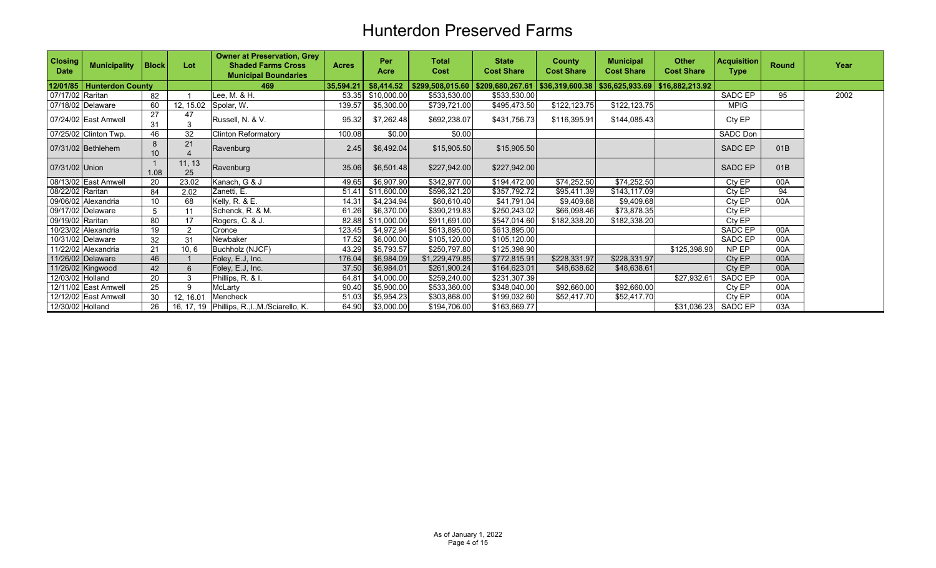| <b>Closing</b><br><b>Date</b> | <b>Municipality</b>     | <b>Block</b> | Lot           | <b>Owner at Preservation, Grey</b><br><b>Shaded Farms Cross</b><br><b>Municipal Boundaries</b> | <b>Acres</b> | Per<br>Acre | <b>Total</b><br>Cost | <b>State</b><br><b>Cost Share</b>                                              | <b>County</b><br><b>Cost Share</b> | <b>Municipal</b><br><b>Cost Share</b> | <b>Other</b><br><b>Cost Share</b> | <b>Acquisition</b><br><b>Type</b> | <b>Round</b> | Year |
|-------------------------------|-------------------------|--------------|---------------|------------------------------------------------------------------------------------------------|--------------|-------------|----------------------|--------------------------------------------------------------------------------|------------------------------------|---------------------------------------|-----------------------------------|-----------------------------------|--------------|------|
| 12/01/85                      | <b>Hunterdon County</b> |              |               | 469                                                                                            | 35,594.21    | \$8,414.52  |                      | $$299,508,015.60 \mid $209,680,267.61 \mid $36,319,600.38 \mid $36,625,933.69$ |                                    |                                       | \$16,882,213.92                   |                                   |              |      |
| 07/17/02 Raritan              |                         | 82           |               | Lee, M. & H.                                                                                   | 53.35        | \$10,000.00 | \$533,530.00         | \$533,530.00                                                                   |                                    |                                       |                                   | SADC EP                           | 95           | 2002 |
|                               | 07/18/02 Delaware       | 60           | 12, 15.02     | Spolar, W.                                                                                     | 139.57       | \$5,300.00  | \$739,721.00         | \$495,473.50                                                                   | \$122,123.75                       | \$122,123.75                          |                                   | <b>MPIG</b>                       |              |      |
|                               | 07/24/02 East Amwell    | 27<br>31     | 47            | Russell, N. & V.                                                                               | 95.32        | \$7,262.48  | \$692,238.07         | \$431,756.73                                                                   | \$116,395.91                       | \$144,085.43                          |                                   | Cty EP                            |              |      |
|                               | 07/25/02 Clinton Twp.   | 46           | 32            | <b>Clinton Reformatory</b>                                                                     | 100.08       | \$0.00      | \$0.00               |                                                                                |                                    |                                       |                                   | <b>SADC Don</b>                   |              |      |
|                               | 07/31/02 Bethlehem      | 8<br>10      | 21            | Ravenburg                                                                                      | 2.45         | \$6,492.04  | \$15,905.50          | \$15,905.50                                                                    |                                    |                                       |                                   | SADC EP                           | 01B          |      |
| 07/31/02 Union                |                         | 1.08         | 11, 13<br>25  | Ravenburg                                                                                      | 35.06        | \$6,501.48  | \$227,942.00         | \$227,942.00                                                                   |                                    |                                       |                                   | SADC EP                           | 01B          |      |
|                               | 08/13/02 East Amwell    | 20           | 23.02         | Kanach, G & J                                                                                  | 49.65        | \$6,907.90  | \$342,977.00         | \$194,472.00                                                                   | \$74,252.50                        | \$74,252.50                           |                                   | Cty EP                            | 00A          |      |
| 08/22/02 Raritan              |                         | 84           | 2.02          | Zanetti, E.                                                                                    | 51.41        | \$11,600.00 | \$596,321.20         | \$357,792.72                                                                   | \$95,411.39                        | \$143,117.09                          |                                   | Cty EP                            | 94           |      |
|                               | 09/06/02 Alexandria     | 10           | 68            | Kelly, R. & E.                                                                                 | 14.31        | \$4,234.94  | \$60,610.40          | \$41,791.04                                                                    | \$9,409.68                         | \$9,409.68                            |                                   | Cty EP                            | 00A          |      |
|                               | 09/17/02 Delaware       | 5            | 11            | Schenck, R. & M.                                                                               | 61.26        | \$6,370.00  | \$390,219.83         | \$250,243.02                                                                   | \$66,098.46                        | \$73,878.35                           |                                   | Cty EP                            |              |      |
| 09/19/02 Raritan              |                         | 80           | 17            | Rogers, C. & J.                                                                                | 82.88        | \$11,000.00 | \$911,691.00         | \$547,014.60                                                                   | \$182,338.20                       | \$182,338.20                          |                                   | Cty EP                            |              |      |
|                               | 10/23/02 Alexandria     | 19           | $\mathcal{P}$ | Cronce                                                                                         | 123.45       | \$4,972.94  | \$613,895.00         | \$613,895.00                                                                   |                                    |                                       |                                   | SADC EP                           | 00A          |      |
|                               | 10/31/02 Delaware       | 32           | 31            | Newbaker                                                                                       | 17.52        | \$6,000.00  | \$105,120.00         | \$105,120.00                                                                   |                                    |                                       |                                   | SADC EP                           | 00A          |      |
|                               | 11/22/02 Alexandria     | 21           | 10, 6         | Buchholz (NJCF)                                                                                | 43.29        | \$5,793.57  | \$250,797.80         | \$125,398.90                                                                   |                                    |                                       | \$125,398.90                      | NP EP                             | 00A          |      |
|                               | 11/26/02 Delaware       | 46           |               | Foley, E.J, Inc.                                                                               | 176.04       | \$6,984.09  | \$1,229,479.85       | \$772,815.91                                                                   | \$228,331.97                       | \$228,331.97                          |                                   | Cty EP                            | 00A          |      |
|                               | 11/26/02 Kingwood       | 42           |               | Foley, E.J. Inc.                                                                               | 37.50        | \$6,984.01  | \$261,900.24         | \$164,623.01                                                                   | \$48,638.62                        | \$48,638.61                           |                                   | Cty EP                            | 00A          |      |
| 12/03/02 Holland              |                         | 20           | 3             | Phillips, R. & I.                                                                              | 64.81        | \$4,000.00  | \$259,240.00         | \$231,307.39                                                                   |                                    |                                       | \$27,932.61                       | SADC EP                           | 00A          |      |
|                               | 12/11/02 East Amwell    | 25           | 9             | McLarty                                                                                        | 90.40        | \$5,900.00  | \$533,360.00         | \$348,040.00                                                                   | \$92,660.00                        | \$92,660.00                           |                                   | Cty EP                            | 00A          |      |
|                               | 12/12/02 East Amwell    | 30           | 12, 16.01     | Mencheck                                                                                       | 51.03        | \$5,954.23  | \$303,868.00         | \$199,032.60                                                                   | \$52,417.70                        | \$52,417.70                           |                                   | Cty EP                            | 00A          |      |
| 12/30/02 Holland              |                         | 26           |               | 16, 17, 19 Phillips, R., I., M. / Sciarello, K.                                                | 64.90        | \$3,000.00  | \$194,706.00         | \$163,669.77                                                                   |                                    |                                       | \$31,036.23                       | SADC EP                           | 03A          |      |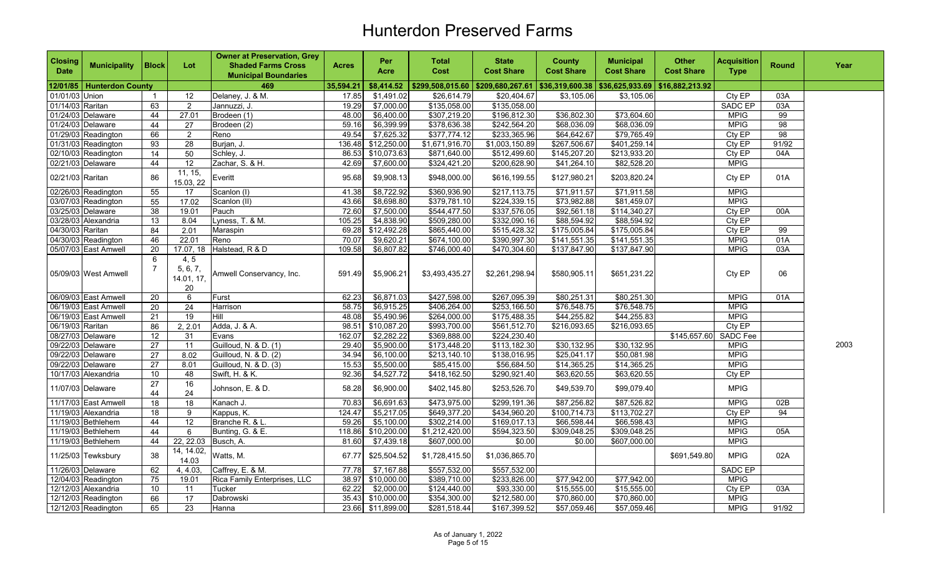| <b>Closing</b><br><b>Date</b> | <b>Municipality</b>       | <b>Block</b>        | Lot                                  | <b>Owner at Preservation, Grey</b><br><b>Shaded Farms Cross</b><br><b>Municipal Boundaries</b> | <b>Acres</b> | Per<br>Acre        | <b>Total</b><br><b>Cost</b> | <b>State</b><br><b>Cost Share</b>  | <b>County</b><br><b>Cost Share</b> | <b>Municipal</b><br><b>Cost Share</b> | <b>Other</b><br><b>Cost Share</b> | <b>Acquisition</b><br><b>Type</b> | <b>Round</b> | Year |
|-------------------------------|---------------------------|---------------------|--------------------------------------|------------------------------------------------------------------------------------------------|--------------|--------------------|-----------------------------|------------------------------------|------------------------------------|---------------------------------------|-----------------------------------|-----------------------------------|--------------|------|
|                               | 12/01/85 Hunterdon County |                     |                                      | 469                                                                                            | 35,594.21    | \$8,414.52         | 8299,508,015.60             | \$209,680,267.61   \$36,319,600.38 |                                    | \$36,625,933.69                       | \$16,882,213.92                   |                                   |              |      |
| 01/01/03 Union                |                           | -1                  | 12                                   | Delaney, J. & M.                                                                               | 17.85        | \$1,491.02         | \$26,614.79                 | \$20,404.67                        | \$3,105.06                         | \$3,105.06                            |                                   | Cty EP                            | 03A          |      |
| 01/14/03 Raritan              |                           | 63                  | $\overline{2}$                       | Jannuzzi, J.                                                                                   | 19.29        | \$7,000.00         | \$135,058.00                | \$135,058.00                       |                                    |                                       |                                   | <b>SADC EP</b>                    | 03A          |      |
|                               | 01/24/03 Delaware         | 44                  | 27.01                                | Brodeen (1)                                                                                    | 48.00        | \$6,400.00         | \$307,219.20                | \$196,812.30                       | \$36,802.30                        | \$73,604.60                           |                                   | <b>MPIG</b>                       | 99           |      |
|                               | 01/24/03 Delaware         | 44                  | $\overline{27}$                      | Brodeen (2)                                                                                    | 59.16        | \$6,399.99         | \$378,636.38                | \$242,564.20                       | \$68,036.09                        | \$68,036.09                           |                                   | <b>MPIG</b>                       | 98           |      |
|                               | 01/29/03 Readington       | 66                  | $\overline{2}$                       | Reno                                                                                           | 49.54        | \$7,625.32         | \$377,774.12                | \$233,365.96                       | \$64,642.67                        | \$79,765.49                           |                                   | Cty EP                            | 98           |      |
|                               | 01/31/03 Readington       | 93                  | $\overline{28}$                      | Burjan, J.                                                                                     |              | 136.48 \$12,250.00 | \$1,671,916.70              | \$1,003,150.89                     | \$267,506.67                       | \$401,259.14                          |                                   | Cty EP                            | 91/92        |      |
|                               | 02/10/03 Readington       | 14                  | 50                                   | Schley, J.                                                                                     |              | 86.53 \$10,073.63  | \$871,640.00                | \$512,499.60                       | \$145,207.20                       | \$213,933.20                          |                                   | Cty EP                            | 04A          |      |
|                               | 02/21/03 Delaware         | 44                  | 12                                   | Zachar, S. & H.                                                                                | 42.69        | \$7,600.00         | \$324,421.20                | \$200,628.90                       | \$41,264.10                        | \$82,528.20                           |                                   | <b>MPIG</b>                       |              |      |
| 02/21/03 Raritan              |                           | 86                  | 11, 15,<br>15.03, 22                 | Everitt                                                                                        | 95.68        | \$9,908.13         | \$948,000.00                | \$616,199.55                       | \$127,980.21                       | \$203,820.24                          |                                   | Cty EP                            | 01A          |      |
|                               | 02/26/03 Readington       | 55                  | 17                                   | Scanlon (I)                                                                                    | 41.38        | \$8,722.92         | \$360,936.90                | \$217,113.75                       | \$71,911.57                        | \$71,911.58                           |                                   | <b>MPIG</b>                       |              |      |
|                               | 03/07/03 Readington       | 55                  | 17.02                                | Scanlon (II)                                                                                   | 43.66        | \$8,698.80         | \$379,781.10                | \$224,339.15                       | \$73,982.88                        | \$81,459.07                           |                                   | <b>MPIG</b>                       |              |      |
|                               | 03/25/03 Delaware         | 38                  | 19.01                                | Pauch                                                                                          | 72.60        | \$7,500.00         | \$544,477.50                | \$337,576.05                       | \$92,561.18                        | \$114,340.27                          |                                   | Cty EP                            | 00A          |      |
|                               | 03/28/03 Alexandria       | 13                  | 8.04                                 | Lyness, T. & M.                                                                                | 105.25       | \$4,838.90         | \$509,280.00                | \$332,090.16                       | \$88,594.92                        | \$88,594.92                           |                                   | Cty EP                            |              |      |
| 04/30/03 Raritan              |                           | 84                  | 2.01                                 | Maraspin                                                                                       | 69.28        | \$12,492.28        | \$865,440.00                | \$515,428.32                       | \$175,005.84                       | \$175,005.84                          |                                   | Cty EP                            | 99           |      |
|                               | 04/30/03 Readington       | 46                  | 22.01                                | Reno                                                                                           | 70.07        | \$9,620.21         | \$674,100.00                | \$390,997.30                       | \$141,551.35                       | \$141,551.35                          |                                   | <b>MPIG</b>                       | 01A          |      |
|                               | 05/07/03 East Amwell      | 20                  | 17.07, 18                            | Halstead, R & D                                                                                | 109.58       | \$6,807.82         | \$746,000.40                | \$470,304.60                       | \$137,847.90                       | \$137,847.90                          |                                   | <b>MPIG</b>                       | 03A          |      |
|                               | 05/09/03 West Amwell      | 6<br>$\overline{7}$ | 4, 5<br>5, 6, 7,<br>14.01, 17,<br>20 | Amwell Conservancy, Inc.                                                                       | 591.49       | \$5,906.21         | \$3,493,435.27              | \$2,261,298.94                     | \$580,905.11                       | \$651,231.22                          |                                   | Cty EP                            | 06           |      |
|                               | 06/09/03 East Amwell      | 20                  | 6                                    | Furst                                                                                          | 62.23        | \$6,871.03         | \$427,598.00                | \$267,095.39                       | \$80,251.31                        | \$80,251.30                           |                                   | <b>MPIG</b>                       | 01A          |      |
|                               | 06/19/03 East Amwell      | 20                  | 24                                   | Harrison                                                                                       | 58.75        | \$6,915.25         | \$406,264.00                | \$253,166.50                       | \$76,548.75                        | \$76,548.75                           |                                   | <b>MPIG</b>                       |              |      |
|                               | 06/19/03 East Amwell      | 21                  | 19                                   | Hill                                                                                           | 48.08        | \$5,490.96         | \$264,000.00                | \$175,488.35                       | \$44,255.82                        | \$44,255.83                           |                                   | <b>MPIG</b>                       |              |      |
| 06/19/03 Raritan              |                           | 86                  | 2, 2.01                              | Adda, J. & A.                                                                                  | 98.51        | \$10,087.20        | \$993,700.00                | \$561,512.70                       | \$216,093.65                       | \$216,093.65                          |                                   | Cty EP                            |              |      |
|                               | 08/27/03 Delaware         | 12                  | 31                                   | Evans                                                                                          | 162.07       | \$2,282.22         | \$369,888.00                | \$224,230.40                       |                                    |                                       | \$145,657.60                      | <b>SADC Fee</b>                   |              |      |
|                               | 09/22/03 Delaware         | 27                  | 11                                   | Guilloud, N. & D. (1)                                                                          | 29.40        | \$5,900.00         | \$173,448.20                | \$113,182.30                       | \$30,132.95                        | \$30,132.95                           |                                   | <b>MPIG</b>                       |              | 2003 |
|                               | 09/22/03 Delaware         | 27                  | 8.02                                 | Guilloud, N. & D. (2)                                                                          | 34.94        | \$6,100.00         | \$213,140.10                | \$138,016.95                       | \$25,041.17                        | \$50,081.98                           |                                   | <b>MPIG</b>                       |              |      |
|                               | 09/22/03 Delaware         | 27                  | 8.01                                 | Guilloud, N. & D. (3)                                                                          | 15.53        | \$5,500.00         | \$85,415.00                 | \$56,684.50                        | \$14,365.25                        | \$14,365.25                           |                                   | <b>MPIG</b>                       |              |      |
|                               | 10/17/03 Alexandria       | $10$                | 48                                   | Swift, H. & K.                                                                                 | 92.36        | \$4,527.72         | \$418,162.50                | \$290,921.40                       | \$63,620.55                        | \$63,620.55                           |                                   | Cty EP                            |              |      |
|                               | 11/07/03 Delaware         | 27<br>44            | 16<br>24                             | Johnson, E. & D.                                                                               | 58.28        | \$6,900.00         | \$402,145.80                | \$253,526.70                       | \$49,539.70                        | \$99,079.40                           |                                   | <b>MPIG</b>                       |              |      |
|                               | 11/17/03 East Amwell      | 18                  | 18                                   | Kanach J.                                                                                      | 70.83        | \$6,691.63         | \$473,975.00                | \$299,191.36                       | \$87,256.82                        | \$87,526.82                           |                                   | <b>MPIG</b>                       | 02B          |      |
|                               | 11/19/03 Alexandria       | 18                  | 9                                    | Kappus, K.                                                                                     | 124.47       | \$5,217.05         | \$649,377.20                | \$434,960.20                       | \$100,714.73                       | \$113,702.27                          |                                   | Cty EP                            | 94           |      |
|                               | 11/19/03 Bethlehem        | 44                  | 12                                   | Branche R. & L.                                                                                | 59.26        | \$5,100.00         | \$302,214.00                | \$169,017.13                       | \$66,598.44                        | \$66,598.43                           |                                   | <b>MPIG</b>                       |              |      |
|                               | 11/19/03 Bethlehem        | 44                  | 6                                    | Bunting, G. & E.                                                                               |              | 118.86 \$10,200.00 | \$1,212,420.00              | \$594,323.50                       | \$309,048.25                       | \$309,048.25                          |                                   | <b>MPIG</b>                       | 05A          |      |
|                               | 11/19/03 Bethlehem        | 44                  | 22, 22.03                            | Busch, A.                                                                                      | 81.60        | \$7,439.18         | \$607,000.00                | \$0.00                             | \$0.00                             | \$607,000.00                          |                                   | <b>MPIG</b>                       |              |      |
|                               | 11/25/03 Tewksbury        | 38                  | 14, 14.02,<br>14.03                  | Watts, M.                                                                                      | 67.77        | \$25,504.52        | \$1,728,415.50              | \$1,036,865.70                     |                                    |                                       | \$691,549.80                      | <b>MPIG</b>                       | 02A          |      |
|                               | 11/26/03 Delaware         | 62                  | 4, 4.03.                             | Caffrey, E. & M.                                                                               | 77.78        | \$7,167.88         | \$557,532.00                | \$557,532.00                       |                                    |                                       |                                   | <b>SADC EP</b>                    |              |      |
|                               | 12/04/03 Readington       | 75                  | 19.01                                | Rica Family Enterprises, LLC                                                                   |              | 38.97 \$10,000.00  | \$389,710.00                | \$233,826.00                       | \$77,942.00                        | \$77,942.00                           |                                   | <b>MPIG</b>                       |              |      |
|                               | 12/12/03 Alexandria       | 10                  | 11                                   | Tucker                                                                                         | 62.22        | \$2,000.00         | $\sqrt{$124,440.00}$        | \$93,330.00                        | \$15,555.00                        | \$15,555.00                           |                                   | Cty EP                            | 03A          |      |
|                               | 12/12/03 Readington       | 66                  | 17                                   | Dabrowski                                                                                      |              | 35.43 \$10,000.00  | \$354,300.00                | \$212,580.00                       | \$70,860.00                        | \$70,860.00                           |                                   | <b>MPIG</b>                       |              |      |
|                               | 12/12/03 Readington       | 65                  | $\overline{23}$                      | Hanna                                                                                          |              | 23.66 \$11,899.00  | \$281,518.44                | \$167,399.52                       | \$57,059.46                        | \$57,059.46                           |                                   | <b>MPIG</b>                       | 91/92        |      |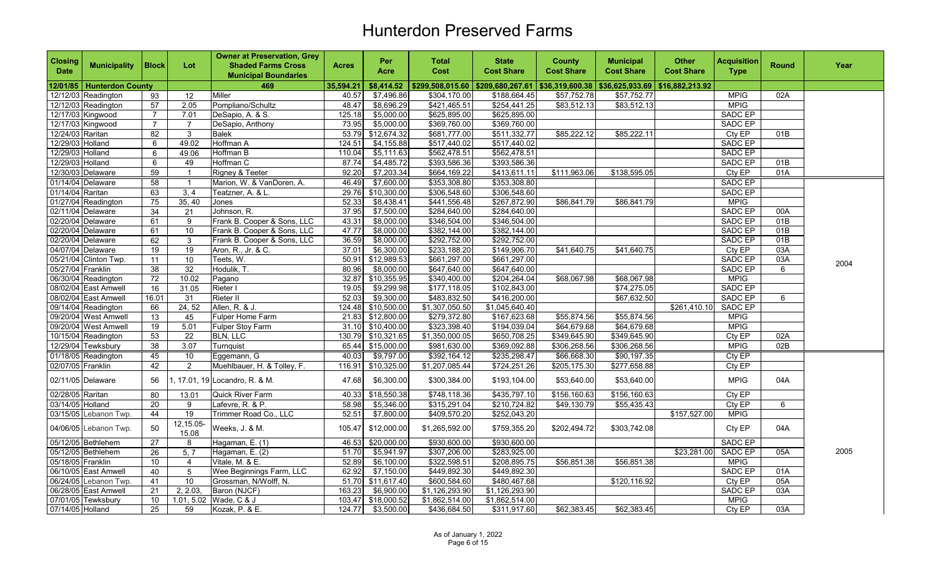| <b>Closing</b><br><b>Date</b> | <b>Municipality</b>         | <b>Block</b>    | Lot                     | <b>Owner at Preservation, Grey</b><br><b>Shaded Farms Cross</b><br><b>Municipal Boundaries</b> | <b>Acres</b> | Per<br>Acre         | <b>Total</b><br>Cost | <b>State</b><br><b>Cost Share</b>                   | <b>County</b><br><b>Cost Share</b> | <b>Municipal</b><br><b>Cost Share</b> | <b>Other</b><br><b>Cost Share</b> | <b>Acquisition</b><br><b>Type</b> | <b>Round</b> | Year |
|-------------------------------|-----------------------------|-----------------|-------------------------|------------------------------------------------------------------------------------------------|--------------|---------------------|----------------------|-----------------------------------------------------|------------------------------------|---------------------------------------|-----------------------------------|-----------------------------------|--------------|------|
|                               | 12/01/85   Hunterdon County |                 |                         | 469                                                                                            | 35,594.21    | \$8,414.52          | \$299,508,015.60     | $$209,680,267.61$ $$36,319,600.38$ $$36,625,933.69$ |                                    |                                       | \$16,882,213.92                   |                                   |              |      |
|                               | 12/12/03 Readington         | 93              | 12                      | Miller                                                                                         | 40.57        | \$7,496.86          | \$304,170.00         | \$188,664.45                                        | \$57,752.78                        | \$57,752.77                           |                                   | <b>MPIG</b>                       | 02A          |      |
|                               | 12/12/03 Readington         | 57              | 2.05                    | Pompliano/Schultz                                                                              | 48.47        | \$8,696.29          | \$421,465.51         | \$254,441.25                                        | \$83,512.13                        | \$83,512.13                           |                                   | <b>MPIG</b>                       |              |      |
|                               | 12/17/03 Kingwood           | $\overline{7}$  | 7.01                    | DeSapio, A. & S.                                                                               | 125.18       | \$5,000.00          | \$625,895.00         | \$625,895.00                                        |                                    |                                       |                                   | SADC EP                           |              |      |
|                               | 12/17/03 Kingwood           | 7               | 7                       | DeSapio, Anthony                                                                               | 73.95        | \$5,000.00          | \$369,760.00         | \$369,760.00                                        |                                    |                                       |                                   | <b>SADC EP</b>                    |              |      |
| 12/24/03 Raritan              |                             | 82              | $\mathbf{3}$            | Balek                                                                                          | 53.79        | \$12,674.32         | \$681,777.00         | \$511,332.77                                        | \$85,222.12                        | \$85,222.11                           |                                   | CtyEP                             | 01B          |      |
| 12/29/03 Holland              |                             | 6               | 49.02                   | Hoffman A                                                                                      | 124.51       | \$4,155.88          | \$517,440.02         | \$517,440.02                                        |                                    |                                       |                                   | <b>SADC EP</b>                    |              |      |
| 12/29/03 Holland              |                             | 6               | 49.06                   | Hoffman B                                                                                      | 110.04       | \$5,111.63          | \$562,478.51         | \$562,478.51                                        |                                    |                                       |                                   | SADC EP                           |              |      |
| 12/29/03 Holland              |                             | 6               | 49                      | Hoffman C                                                                                      | 87.74        | \$4,485.72          | \$393,586.36         | \$393,586.36                                        |                                    |                                       |                                   | <b>SADC EP</b>                    | 01B          |      |
|                               | 12/30/03 Delaware           | 59              | $\overline{1}$          | Rigney & Teeter                                                                                | 92.20        | \$7,203.34          | \$664,169.22         | \$413,611.11                                        | \$111,963.06                       | \$138,595.05                          |                                   | Cty EP                            | 01A          |      |
| 01/14/04 Delaware             |                             | 58              | $\overline{\mathbf{1}}$ | Marion, W. & VanDoren, A.                                                                      | 46.49        | \$7,600.00          | \$353,308.80         | \$353,308.80                                        |                                    |                                       |                                   | <b>SADC EP</b>                    |              |      |
| 01/14/04 Raritan              |                             | 63              | 3, 4                    | Teatzner, A. & L.                                                                              | 29.76        | \$10,300.00         | \$306,548.60         | \$306,548.60                                        |                                    |                                       |                                   | <b>SADC EP</b>                    |              |      |
|                               | 01/27/04 Readington         | $\overline{75}$ | 35, 40                  | Jones                                                                                          | 52.33        | \$8,438.41          | \$441,556.48         | \$267,872.90                                        | \$86,841.79                        | \$86,841.79                           |                                   | <b>MPIG</b>                       |              |      |
|                               | 02/11/04 Delaware           | 34              | 21                      | Johnson, R.                                                                                    | 37.95        | \$7,500.00          | \$284,640.00         | \$284,640.00                                        |                                    |                                       |                                   | SADC EP                           | 00A          |      |
|                               | 02/20/04 Delaware           | 61              | 9                       | Frank B. Cooper & Sons, LLC                                                                    | 43.31        | \$8,000.00          | \$346,504.00         | \$346,504.00                                        |                                    |                                       |                                   | <b>SADC EP</b>                    | 01B          |      |
|                               | 02/20/04 Delaware           | 61              | 10                      | Frank B. Cooper & Sons, LLC                                                                    | 47.77        | \$8,000.00          | \$382,144.00         | \$382,144.00                                        |                                    |                                       |                                   | <b>SADC EP</b>                    | 01B          |      |
|                               | 02/20/04 Delaware           | 62              | 3                       | Frank B. Cooper & Sons, LLC                                                                    | 36.59        | \$8,000.00          | \$292,752.00         | \$292,752.00                                        |                                    |                                       |                                   | SADC EP                           | 01B          |      |
|                               | 04/07/04 Delaware           | 19              | 19                      | Aron, R., Jr. & C.                                                                             | 37.01        | \$6,300.00          | \$233,188.20         | \$149,906.70                                        | \$41,640.75                        | \$41,640.75                           |                                   | Cty EP                            | 03A          |      |
|                               | 05/21/04 Clinton Twp.       | $\overline{11}$ | 10                      | Teets. W.                                                                                      | 50.91        | \$12,989.53         | \$661,297.00         | \$661,297.00                                        |                                    |                                       |                                   | SADC EP                           | 03A          | 2004 |
| 05/27/04 Franklin             |                             | 38              | 32                      | Hodulik. T.                                                                                    | 80.96        | \$8,000.00          | \$647,640.00         | \$647,640.00                                        |                                    |                                       |                                   | <b>SADC EP</b>                    | 6            |      |
|                               | 06/30/04 Readington         | 72              | 10.02                   | Pagano                                                                                         | 32.87        | \$10,355.95         | \$340,400.00         | \$204,264.04                                        | \$68,067.98                        | \$68,067.98                           |                                   | <b>MPIG</b>                       |              |      |
|                               | 08/02/04 East Amwell        | 16              | 31.05                   | Rieter I                                                                                       | 19.05        | \$9,299.98          | \$177,118.05         | \$102,843.00                                        |                                    | \$74,275.05                           |                                   | SADC EP                           |              |      |
|                               | 08/02/04 East Amwell        | 16.01           | 31                      | Rieter II                                                                                      | 52.03        | \$9,300.00          | \$483,832.50         | \$416,200.00                                        |                                    | \$67,632.50                           |                                   | SADC EP                           | 6            |      |
|                               | 09/14/04 Readington         | 66              | 24, 52                  | Allen, R. & J.                                                                                 |              | 124.48 \$10,500.00  | \$1,307,050.50       | \$1,045,640.40                                      |                                    |                                       | \$261,410.10                      | <b>SADC EP</b>                    |              |      |
|                               | 09/20/04 West Amwell        | 13              | 45                      | Fulper Home Farm                                                                               |              | 21.83 \$12,800.00   | \$279,372.80         | \$167,623.68                                        | \$55,874.56                        | \$55,874.56                           |                                   | <b>MPIG</b>                       |              |      |
|                               | 09/20/04 West Amwell        | $\overline{19}$ | 5.01                    | <b>Fulper Stoy Farm</b>                                                                        |              | $31.10$ \$10,400.00 | \$323,398.40         | \$194,039.04                                        | \$64,679.68                        | \$64,679.68                           |                                   | <b>MPIG</b>                       |              |      |
|                               | 10/15/04 Readington         | 53              | $\overline{22}$         | <b>BLN, LLC</b>                                                                                |              | 130.79 \$10,321.65  | \$1,350,000.05       | \$650,708.25                                        | \$349,645.90                       | \$349,645.90                          |                                   | Cty EP                            | 02A          |      |
|                               | 12/29/04 Tewksbury          | 38              | 3.07                    | Turnquist                                                                                      |              | 65.44 \$15,000.00   | \$981,630.00         | \$369,092.88                                        | \$306,268.56                       | \$306,268.56                          |                                   | <b>MPIG</b>                       | 02B          |      |
|                               | 01/18/05 Readington         | 45              | 10                      | Eggemann, G                                                                                    | 40.03        | \$9,797.00          | \$392,164.12         | \$235,298.47                                        | \$66,668.30                        | \$90,197.35                           |                                   | Cty EP                            |              |      |
| 02/07/05 Franklin             |                             | 42              | $\overline{2}$          | Muehlbauer, H. & Tolley, F.                                                                    | 116.91       | \$10,325.00         | \$1,207,085.44       | \$724,251.26                                        | \$205,175.30                       | \$277,658.88                          |                                   | CtyEP                             |              |      |
|                               | 02/11/05 Delaware           | 56              |                         | , 17.01, 19 Locandro, R. & M.                                                                  | 47.68        | \$6,300.00          | \$300,384.00         | \$193,104.00                                        | \$53,640.00                        | \$53,640.00                           |                                   | <b>MPIG</b>                       | 04A          |      |
| 02/28/05 Raritan              |                             | 80              | 13.01                   | Quick River Farm                                                                               |              | 40.33 \$18,550.38   | \$748,118.36         | \$435,797.10                                        | \$156,160.63                       | \$156,160.63                          |                                   | Cty EP                            |              |      |
| 03/14/05 Holland              |                             | 20              | 9                       | Lafevre, R. & P.                                                                               | 58.98        | \$5,346.00          | \$315,291.04         | \$210,724.82                                        | \$49,130.79                        | \$55,435.43                           |                                   | Cty EP                            | 6            |      |
|                               | 03/15/05 Lebanon Twp.       | 44              | 19                      | Trimmer Road Co., LLC                                                                          | 52.51        | \$7,800.00          | \$409,570.20         | \$252,043.20                                        |                                    |                                       | \$157,527.00                      | <b>MPIG</b>                       |              |      |
|                               | 04/06/05 Lebanon Twp.       | 50              | 12,15.05-<br>15.08      | Weeks, J. & M.                                                                                 | 105.47       | \$12,000.00         | \$1,265,592.00       | \$759,355.20                                        | \$202,494.72                       | \$303,742.08                          |                                   | Cty EP                            | 04A          |      |
|                               | 05/12/05 Bethlehem          | 27              | 8                       | Hagaman, E. (1)                                                                                | 46.53        | \$20,000.00         | \$930,600.00         | \$930,600.00                                        |                                    |                                       |                                   | <b>SADC EP</b>                    |              |      |
|                               | 05/12/05 Bethlehem          | 26              | 5, 7                    | Hagaman, E. (2)                                                                                | 51.70        | \$5,941.97          | \$307,206.00         | \$283,925.00                                        |                                    |                                       | \$23,281.00                       | <b>SADC EP</b>                    | 05A          | 2005 |
| 05/18/05 Franklin             |                             | 10 <sup>°</sup> | $\overline{4}$          | Vitale, M. & E.                                                                                | 52.89        | \$6,100.00          | \$322,598.51         | \$208,895.75                                        | \$56,851.38                        | \$56,851.38                           |                                   | <b>MPIG</b>                       |              |      |
|                               | 06/10/05 East Amwell        | 40              | 5                       | Wee Beginnings Farm, LLC                                                                       | 62.92        | \$7,150.00          | \$449,892.30         | \$449,892.30                                        |                                    |                                       |                                   | <b>SADC EP</b>                    | 01A          |      |
|                               | 06/24/05 Lebanon Twp.       | 41              | 10                      | Grossman, N/Wolff, N.                                                                          |              | 51.70 \$11,617.40   | \$600,584.60         | \$480,467.68                                        |                                    | \$120,116.92                          |                                   | Cty EP                            | 05A          |      |
|                               | 06/28/05 East Amwell        | 21              | 2, 2.03,                | Baron (NJCF)                                                                                   | 163.23       | \$6,900.00          | \$1,126,293.90       | \$1,126,293.90                                      |                                    |                                       |                                   | <b>SADC EP</b>                    | 03A          |      |
|                               | 07/01/05 Tewksbury          | 10              | 1.01, 5.02              | Wade, C & J                                                                                    |              | 103.47 \$18,000.52  | \$1,862,514.00       | \$1,862,514.00                                      |                                    |                                       |                                   | <b>MPIG</b>                       |              |      |
| 07/14/05 Holland              |                             | 25              | 59                      | Kozak, P. & E.                                                                                 | 124.77       | \$3,500.00          | \$436,684.50         | \$311,917.60                                        | \$62,383.45                        | \$62,383.45                           |                                   | Cty EP                            | 03A          |      |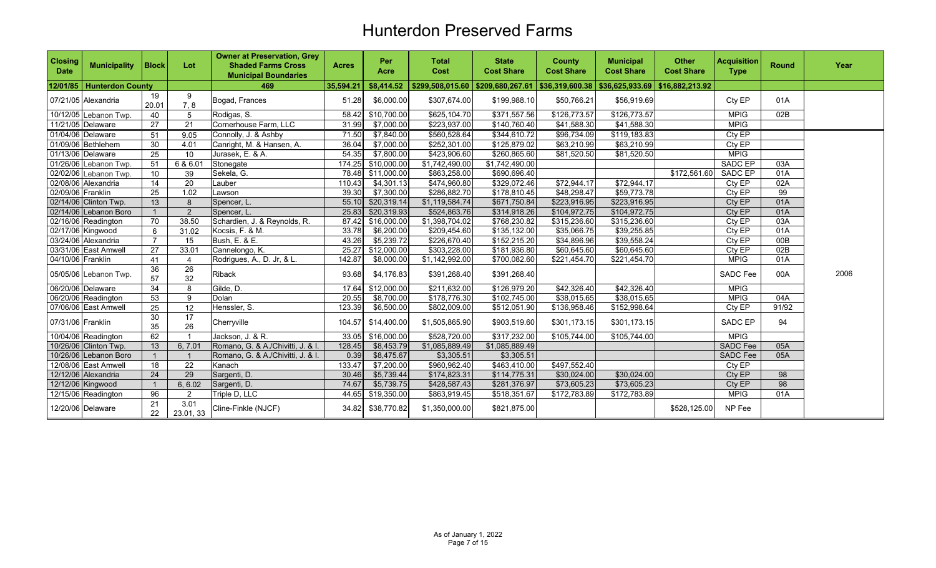| <b>Closing</b><br><b>Date</b> | <b>Municipality</b>         | <b>Block</b>    | Lot                   | <b>Owner at Preservation, Grey</b><br><b>Shaded Farms Cross</b><br><b>Municipal Boundaries</b> | <b>Acres</b> | Per<br><b>Acre</b> | <b>Total</b><br>Cost                | <b>State</b><br><b>Cost Share</b> | <b>County</b><br><b>Cost Share</b> | <b>Municipal</b><br><b>Cost Share</b> | <b>Other</b><br><b>Cost Share</b> | <b>Acquisition</b><br><b>Type</b> | <b>Round</b> | Year |
|-------------------------------|-----------------------------|-----------------|-----------------------|------------------------------------------------------------------------------------------------|--------------|--------------------|-------------------------------------|-----------------------------------|------------------------------------|---------------------------------------|-----------------------------------|-----------------------------------|--------------|------|
|                               | 12/01/85   Hunterdon County |                 |                       | 469                                                                                            | 35,594.21    | \$8,414.52         | $$299,508,015.60$ $$209,680,267.61$ |                                   | \$36,319,600.38   \$36,625,933.69  |                                       | \$16,882,213.92                   |                                   |              |      |
|                               | 07/21/05 Alexandria         | 19<br>20.01     | 9<br>7, 8             | Bogad, Frances                                                                                 | 51.28        | \$6,000.00         | \$307,674.00                        | \$199,988.10                      | \$50,766.21                        | \$56,919.69                           |                                   | Cty EP                            | 01A          |      |
|                               | 10/12/05 Lebanon Twp.       | 40              | 5                     | Rodigas, S.                                                                                    | 58.42        | \$10,700.00        | \$625,104.70                        | \$371,557.56                      | \$126,773.57                       | \$126,773.57                          |                                   | <b>MPIG</b>                       | 02B          |      |
|                               | 11/21/05 Delaware           | 27              | $\overline{21}$       | Cornerhouse Farm, LLC                                                                          | 31.99        | \$7,000.00         | \$223,937.00                        | \$140,760.40                      | \$41,588.30                        | \$41,588.30                           |                                   | <b>MPIG</b>                       |              |      |
|                               | 01/04/06 Delaware           | 51              | 9.05                  | Connolly, J. & Ashby                                                                           | 71.50        | \$7,840.00         | \$560,528.64                        | \$344,610.72                      | \$96,734.09                        | \$119,183.83                          |                                   | Cty EP                            |              |      |
|                               | 01/09/06 Bethlehem          | 30              | 4.01                  | Canright, M. & Hansen, A.                                                                      | 36.04        | \$7,000.00         | \$252,301.00                        | \$125,879.02                      | \$63,210.99                        | \$63,210.99                           |                                   | Cty EP                            |              |      |
|                               | 01/13/06 Delaware           | 25              | 10                    | Jurasek, E. & A.                                                                               | 54.35        | \$7,800.00         | \$423,906.60                        | \$260,865.60                      | \$81,520.50                        | \$81,520.50                           |                                   | <b>MPIG</b>                       |              |      |
|                               | 01/26/06 Lebanon Twp.       | 51              | 6 & 6.01              | Stonegate                                                                                      |              | 174.25 \$10,000.00 | \$1,742,490.00                      | \$1,742,490.00                    |                                    |                                       |                                   | <b>SADC EP</b>                    | 03A          |      |
|                               | 02/02/06 Lebanon Twp.       | 10              | 39                    | Sekela, G.                                                                                     |              | 78.48 \$11,000.00  | \$863,258.00                        | \$690,696.40                      |                                    |                                       | \$172,561.60                      | <b>SADC EP</b>                    | 01A          |      |
|                               | 02/08/06 Alexandria         | 14              | 20                    | Lauber                                                                                         | 110.43       | \$4,301.13         | \$474,960.80                        | \$329,072.46                      | \$72,944.17                        | \$72,944.17                           |                                   | Cty EP                            | 02A          |      |
| 02/09/06 Franklin             |                             | 25              | 1.02                  | Lawson                                                                                         | 39.30        | \$7,300.00         | \$286,882.70                        | \$178,810.45                      | \$48,298.47                        | \$59,773.78                           |                                   | Cty EP                            | 99           |      |
|                               | 02/14/06 Clinton Twp.       | 13              | 8                     | Spencer, L.                                                                                    |              | 55.10 \$20,319.14  | \$1,119,584.74                      | \$671,750.84                      | \$223,916.95                       | \$223,916.95                          |                                   | Cty EP                            | 01A          |      |
|                               | 02/14/06 Lebanon Boro       |                 | $\mathcal{P}$         | Spencer, L.                                                                                    |              | 25.83 \$20,319.93  | \$524,863.76                        | \$314,918.26                      | \$104,972.75                       | \$104,972.75                          |                                   | Cty EP                            | 01A          |      |
|                               | 02/16/06 Readington         | 70              | 38.50                 | Schardien, J. & Reynolds, R.                                                                   | 87.42        | \$16,000.00        | \$1,398,704.02                      | \$768,230.82                      | \$315,236.60                       | \$315,236.60                          |                                   | Cty EP                            | 03A          |      |
|                               | 02/17/06 Kingwood           | 6               | 31.02                 | Kocsis, F. & M.                                                                                | 33.78        | \$6,200.00         | \$209,454.60                        | \$135,132.00                      | \$35,066.75                        | \$39,255.85                           |                                   | Cty EP                            | 01A          |      |
|                               | 03/24/06 Alexandria         | $\overline{7}$  | 15                    | Bush, E. & E.                                                                                  | 43.26        | \$5,239.72         | \$226,670.40                        | \$152,215.20                      | \$34,896.96                        | \$39,558.24                           |                                   | Cty EP                            | 00B          |      |
|                               | 03/31/06 East Amwell        | 27              | 33.01                 | Cannelongo, K.                                                                                 | 25.27        | \$12,000.00        | \$303,228.00                        | \$181,936.80                      | \$60,645.60                        | \$60,645.60                           |                                   | Cty EP                            | 02B          |      |
| 04/10/06 Franklin             |                             | 41              | 4                     | Rodrigues, A., D. Jr, & L.                                                                     | 142.87       | \$8,000.00         | \$1,142,992.00                      | \$700,082.60                      | \$221,454.70                       | \$221,454.70                          |                                   | <b>MPIG</b>                       | 01A          |      |
|                               | 05/05/06 Lebanon Twp.       | 36<br>57        | 26<br>32              | Riback                                                                                         | 93.68        | \$4,176.83         | \$391,268.40                        | \$391,268.40                      |                                    |                                       |                                   | <b>SADC Fee</b>                   | 00A          | 2006 |
|                               | 06/20/06 Delaware           | $\overline{34}$ | 8                     | Gilde, D.                                                                                      | 17.64        | \$12,000.00        | \$211,632.00                        | \$126,979.20                      | \$42,326.40                        | \$42,326.40                           |                                   | <b>MPIG</b>                       |              |      |
|                               | 06/20/06 Readington         | 53              | 9                     | Dolan                                                                                          | 20.55        | \$8,700.00         | \$178,776.30                        | \$102,745.00                      | \$38,015.65                        | \$38,015.65                           |                                   | <b>MPIG</b>                       | 04A          |      |
|                               | 07/06/06 East Amwell        | 25              | 12                    | Henssler, S.                                                                                   | 123.39       | \$6,500.00         | \$802,009.00                        | \$512,051.90                      | \$136,958.46                       | \$152,998.64                          |                                   | Cty EP                            | 91/92        |      |
| 07/31/06 Franklin             |                             | 30<br>35        | $\overline{17}$<br>26 | Cherryville                                                                                    | 104.57       | \$14,400.00        | \$1,505,865.90                      | \$903,519.60                      | \$301,173.15                       | \$301,173.15                          |                                   | <b>SADC EP</b>                    | 94           |      |
|                               | 10/04/06 Readington         | 62              |                       | Jackson, J. & R.                                                                               | 33.05        | \$16,000.00        | \$528,720.00                        | \$317,232.00                      | \$105,744.00                       | \$105,744.00                          |                                   | <b>MPIG</b>                       |              |      |
|                               | 10/26/06 Clinton Twp.       | 13              | 6, 7.01               | Romano, G. & A./Chivitti, J. & I.                                                              | 128.45       | \$8,453.79         | \$1,085,889.49                      | \$1,085,889.49                    |                                    |                                       |                                   | <b>SADC Fee</b>                   | 05A          |      |
|                               | 10/26/06 Lebanon Boro       |                 |                       | Romano, G. & A./Chivitti, J. & I                                                               | 0.39         | \$8,475.67         | \$3,305.51                          | \$3,305.51                        |                                    |                                       |                                   | <b>SADC Fee</b>                   | 05A          |      |
|                               | 12/08/06 East Amwell        | 18              | $\overline{22}$       | Kanach                                                                                         | 133.47       | \$7,200.00         | \$960,962.40                        | \$463,410.00                      | \$497,552.40                       |                                       |                                   | Cty EP                            |              |      |
|                               | 12/12/06 Alexandria         | 24              | 29                    | Sargenti, D.                                                                                   | 30.46        | \$5,739.44         | \$174,823.31                        | \$114,775.31                      | \$30,024.00                        | \$30,024.00                           |                                   | CtyEP                             | 98           |      |
|                               | 12/12/06 Kingwood           |                 | 6, 6.02               | Sargenti, D.                                                                                   | 74.67        | \$5,739.75         | \$428,587.43                        | \$281,376.97                      | \$73,605.23                        | \$73,605.23                           |                                   | Cty EP                            | 98           |      |
|                               | 12/15/06 Readington         | 96              | $\overline{2}$        | Triple D, LLC                                                                                  | 44.65        | \$19,350.00        | \$863,919.45                        | \$518,351.67                      | \$172,783.89                       | \$172,783.89                          |                                   | <b>MPIG</b>                       | 01A          |      |
|                               | 12/20/06 Delaware           | 21<br>22        | 3.01<br>23.01, 33     | Cline-Finkle (NJCF)                                                                            | 34.82        | \$38,770.82        | \$1,350,000.00                      | \$821,875.00                      |                                    |                                       | \$528,125.00                      | NP Fee                            |              |      |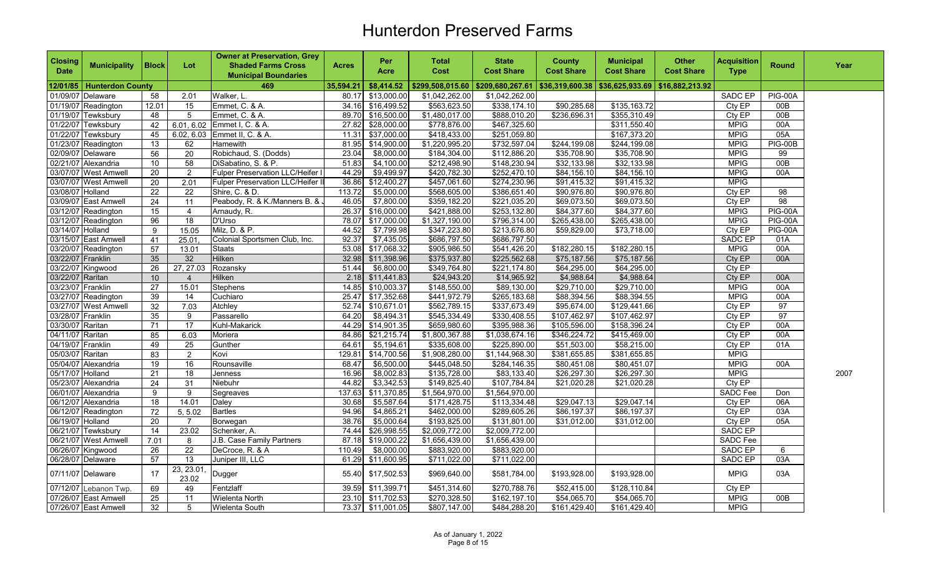| <b>Closing</b><br><b>Date</b> | <b>Municipality</b>     | <b>Block</b>    | Lot                | <b>Owner at Preservation, Grey</b><br><b>Shaded Farms Cross</b><br><b>Municipal Boundaries</b> | <b>Acres</b> | Per<br>Acre        | Total<br>Cost    | <b>State</b><br><b>Cost Share</b> | <b>County</b><br><b>Cost Share</b> | <b>Municipal</b><br><b>Cost Share</b> | <b>Other</b><br><b>Cost Share</b> | <b>Acquisition</b><br><b>Type</b> | <b>Round</b>    | Year |
|-------------------------------|-------------------------|-----------------|--------------------|------------------------------------------------------------------------------------------------|--------------|--------------------|------------------|-----------------------------------|------------------------------------|---------------------------------------|-----------------------------------|-----------------------------------|-----------------|------|
| 12/01/85                      | <b>Hunterdon County</b> |                 |                    | 469                                                                                            | 35,594.21    | \$8,414.52         | \$299,508,015.60 | \$209,680,267.61                  | \$36,319,600.38                    | \$36,625,933.69                       | \$16,882,213.92                   |                                   |                 |      |
| 01/09/07 Delaware             |                         | 58              | 2.01               | Walker, L.                                                                                     | 80.17        | \$13,000.00        | \$1,042,262.00   | \$1,042,262.00                    |                                    |                                       |                                   | SADC EP                           | PIG-00A         |      |
|                               | 01/19/07 Readington     | 12.01           | 15                 | Emmet, C. & A.                                                                                 | 34.16        | \$16,499.52        | \$563,623.50     | \$338,174.10                      | \$90,285.68                        | \$135,163.72                          |                                   | Cty EP                            | 00B             |      |
|                               | 01/19/07 Tewksbury      | 48              | 5                  | Emmet, C. & A.                                                                                 |              | 89.70 \$16,500.00  | \$1,480,017.00   | \$888,010.20                      | \$236,696.31                       | \$355,310.49                          |                                   | Cty EP                            | 00B             |      |
|                               | 01/22/07 Tewksbury      | 42              |                    | 6.01, 6.02 Emmet I, C. & A.                                                                    |              | 27.82 \$28,000.00  | \$778,876.00     | \$467,325.60                      |                                    | \$311,550.40                          |                                   | <b>MPIG</b>                       | 00A             |      |
|                               | 01/22/07 Tewksbury      | 45              |                    | 6.02, 6.03 Emmet II, C. & A.                                                                   | 11.31        | \$37,000.00        | \$418,433.00     | \$251,059.80                      |                                    | \$167,373.20                          |                                   | <b>MPIG</b>                       | 05A             |      |
|                               | 01/23/07 Readington     | 13              | 62                 | Hamewith                                                                                       |              | 81.95 \$14,900.00  | \$1,220,995.20   | \$732,597.04                      | \$244,199.08                       | \$244,199.08                          |                                   | <b>MPIG</b>                       | PIG-00B         |      |
| 02/09/07 Delaware             |                         | 56              | $\overline{20}$    | Robichaud, S. (Dodds)                                                                          | 23.04        | \$8,000.00         | \$184,304.00     | \$112,886.20                      | \$35.708.90                        | \$35,708.90                           |                                   | <b>MPIG</b>                       | 99              |      |
|                               | 02/21/07 Alexandria     | 10 <sup>1</sup> | 58                 | DiSabatino, S. & P.                                                                            | 51.83        | \$4,100.00         | \$212,498.90     | \$148,230.94                      | \$32,133.98                        | \$32,133.98                           |                                   | <b>MPIG</b>                       | 00B             |      |
|                               | 03/07/07 West Amwell    | 20              | 2                  | <b>Fulper Preservation LLC/Heifer I</b>                                                        | 44.29        | \$9,499.97         | \$420,782.30     | \$252,470.10                      | \$84,156.10                        | \$84,156.10                           |                                   | <b>MPIG</b>                       | 00A             |      |
|                               | 03/07/07 West Amwell    | 20              | 2.01               | <b>Fulper Preservation LLC/Heifer II</b>                                                       |              | 36.86 \$12,400.27  | \$457,061.60     | \$274,230.96                      | \$91,415.32                        | \$91,415.32                           |                                   | <b>MPIG</b>                       |                 |      |
| 03/08/07 Holland              |                         | 22              | $\overline{22}$    | Shire, C. & D.                                                                                 | 113.72       | \$5,000.00         | \$568,605.00     | \$386,651.40                      | \$90,976.80                        | \$90,976.80                           |                                   | Cty EP                            | 98              |      |
|                               | 03/09/07 East Amwell    | 24              | 11                 | Peabody, R. & K./Manners B. &                                                                  | 46.05        | \$7,800.00         | \$359,182.20     | \$221,035.20                      | \$69,073.50                        | \$69,073.50                           |                                   | Cty EP                            | 98              |      |
|                               | 03/12/07 Readington     | 15              | 4                  | Arnaudy, R.                                                                                    | 26.37        | \$16,000.00        | \$421,888.00     | \$253,132.80                      | \$84,377.60                        | \$84,377.60                           |                                   | <b>MPIG</b>                       | PIG-00A         |      |
|                               | 03/12/07 Readington     | 96              | 18                 | D'Urso                                                                                         | 78.07        | \$17,000.00        | \$1,327,190.00   | \$796,314.00                      | \$265,438.00                       | \$265,438.00                          |                                   | <b>MPIG</b>                       | <b>PIG-00A</b>  |      |
| 03/14/07 Holland              |                         | 9               | 15.05              | Milz, D. & P.                                                                                  | 44.52        | \$7,799.98         | \$347,223.80     | \$213,676.80                      | \$59,829.00                        | \$73,718.00                           |                                   | Cty EP                            | PIG-00A         |      |
|                               | 03/15/07 East Amwell    | 41              | 25.01              | Colonial Sportsmen Club, Inc.                                                                  | 92.37        | \$7,435.05         | \$686,797.50     | \$686,797.50                      |                                    |                                       |                                   | <b>SADC EP</b>                    | 01A             |      |
|                               | 03/20/07 Readington     | 57              | 13.01              | <b>Staats</b>                                                                                  |              | 53.08 \$17,068.32  | \$905,986.50     | \$541,426.20                      | \$182,280.15                       | \$182,280.15                          |                                   | <b>MPIG</b>                       | 00A             |      |
| 03/22/07 Franklin             |                         | 35              | 32                 | Hilken                                                                                         |              | 32.98 \$11,398.96  | \$375,937.80     | \$225,562.68                      | \$75,187.56                        | \$75,187.56                           |                                   | Cty EP                            | 00A             |      |
| 03/22/07 Kingwood             |                         | 26              | 27, 27.03          | Rozansky                                                                                       | 51.44        | \$6,800.00         | \$349,764.80     | \$221,174.80                      | \$64,295.00                        | \$64,295.00                           |                                   | CtyEP                             |                 |      |
| 03/22/07 Raritan              |                         | 10              | $\overline{4}$     | <b>Hilken</b>                                                                                  | 2.18         | \$11,441.83        | \$24,943.20      | \$14,965.92                       | \$4,988.64                         | \$4,988.64                            |                                   | Cty EP                            | 00A             |      |
| 03/23/07 Franklin             |                         | 27              | 15.01              | Stephens                                                                                       | 14.85        | \$10,003.37        | \$148,550.00     | \$89,130.00                       | \$29,710.00                        | \$29,710.00                           |                                   | <b>MPIG</b>                       | 00A             |      |
|                               | 03/27/07 Readington     | 39              | 14                 | Cuchiaro                                                                                       | 25.47        | \$17,352.68        | \$441,972.79     | \$265,183.68                      | \$88,394.56                        | \$88,394.55                           |                                   | <b>MPIG</b>                       | 00A             |      |
|                               | 03/27/07 West Amwell    | 32              | 7.03               | Atchley                                                                                        | 52.74        | \$10,671.01        | \$562,789.15     | \$337,673.49                      | \$95,674.00                        | \$129,441.66                          |                                   | Cty EP                            | 97              |      |
| 03/28/07 Franklin             |                         | 35              | 9                  | Passarello                                                                                     | 64.20        | \$8,494.31         | \$545,334.49     | \$330,408.55                      | \$107,462.97                       | \$107,462.97                          |                                   | CtyEP                             | $\overline{97}$ |      |
| 03/30/07 Raritan              |                         | 71              | 17                 | Kuhl-Makarick                                                                                  | 44.29        | \$14,901.35        | \$659,980.60     | \$395,988.36                      | \$105,596.00                       | \$158,396.24                          |                                   | Cty EP                            | 00A             |      |
| 04/11/07 Raritan              |                         | 85              | 6.03               | Moriera                                                                                        | 84.86        | \$21,215.74        | \$1,800,367.88   | \$1,038,674.16                    | \$346,224.72                       | \$415,469.00                          |                                   | Cty EP                            | 00A             |      |
| 04/19/07 Franklin             |                         | 49              | $\overline{25}$    | Gunther                                                                                        | 64.61        | \$5,194.61         | \$335,608.00     | \$225,890.00                      | \$51,503.00                        | \$58,215.00                           |                                   | Cty EP                            | 01A             |      |
| 05/03/07 Raritan              |                         | 83              | $\overline{2}$     | Kovi                                                                                           | 129.81       | \$14,700.56        | \$1,908,280.00   | \$1,144,968.30                    | \$381,655.85                       | \$381,655.85                          |                                   | <b>MPIG</b>                       |                 |      |
|                               | 05/04/07 Alexandria     | 19              | 16                 | Rounsaville                                                                                    | 68.47        | \$6,500.00         | \$445,048.50     | \$284,146.35                      | \$80,451.08                        | \$80,451.07                           |                                   | <b>MPIG</b>                       | 00A             |      |
| 05/17/07 Holland              |                         | 21              | 18                 | Jenness                                                                                        | 16.96        | \$8,002.83         | \$135,728.00     | \$83,133.40                       | \$26,297.30                        | \$26,297.30                           |                                   | <b>MPIG</b>                       |                 | 2007 |
|                               | 05/23/07 Alexandria     | 24              | 31                 | Niebuhr                                                                                        | 44.82        | \$3,342.53         | \$149,825.40     | \$107,784.84                      | \$21,020.28                        | \$21,020.28                           |                                   | Cty EP                            |                 |      |
|                               | 06/01/07 Alexandria     | 9               | 9                  | Segreaves                                                                                      |              | 137.63 \$11,370.85 | \$1,564,970.00   | \$1,564,970.00                    |                                    |                                       |                                   | SADC Fee                          | Don             |      |
|                               | 06/12/07 Alexandria     | 18              | 14.01              | Daley                                                                                          | 30.68        | \$5,587.64         | \$171,428.75     | \$113,334.48                      | \$29,047.13                        | \$29,047.14                           |                                   | Cty EP                            | 06A             |      |
|                               | 06/12/07 Readington     | 72              | 5, 5.02            | <b>Bartles</b>                                                                                 | 94.96        | \$4,865.21         | \$462,000.00     | \$289,605.26                      | \$86,197.37                        | \$86,197.37                           |                                   | Cty EP                            | 03A             |      |
| 06/19/07 Holland              |                         | 20              | 7                  | Borwegan                                                                                       | 38.76        | \$5,000.64         | \$193,825.00     | \$131,801.00                      | \$31,012.00                        | \$31,012.00                           |                                   | Cty EP                            | 05A             |      |
|                               | 06/21/07 Tewksbury      | 14              | 23.02              | Schenker, A.                                                                                   | 74.44        | \$26,998.55        | \$2,009,772.00   | \$2,009,772.00                    |                                    |                                       |                                   | <b>SADC EP</b>                    |                 |      |
|                               | 06/21/07 West Amwell    | 7.01            | 8                  | J.B. Case Family Partners                                                                      |              | 87.18 \$19,000.22  | \$1,656,439.00   | \$1,656,439.00                    |                                    |                                       |                                   | <b>SADC Fee</b>                   |                 |      |
| 06/26/07 Kingwood             |                         | 26              | 22                 | DeCroce, R. & A                                                                                | 110.49       | \$8,000.00         | \$883,920.00     | \$883,920.00                      |                                    |                                       |                                   | SADC EP                           | 6               |      |
| 06/28/07 Delaware             |                         | 57              | 13                 | Juniper III, LLC                                                                               | 61.29        | \$11,600.95        | \$711,022.00     | \$711,022.00                      |                                    |                                       |                                   | SADC EP                           | 03A             |      |
|                               | 07/11/07 Delaware       | 17              | 23, 23.01<br>23.02 | Dugger                                                                                         | 55.40        | \$17,502.53        | \$969,640.00     | \$581,784.00                      | \$193,928.00                       | \$193,928.00                          |                                   | <b>MPIG</b>                       | 03A             |      |
|                               | 07/12/07 Lebanon Twp.   | 69              | 49                 | Fentzlaff                                                                                      |              | 39.59 \$11,399.71  | \$451,314.60     | \$270,788.76                      | $\overline{$}52,415.00$            | \$128,110.84                          |                                   | Cty EP                            |                 |      |
|                               | 07/26/07 East Amwell    | 25              | 11                 | Wielenta North                                                                                 |              | 23.10 \$11,702.53  | \$270,328.50     | \$162,197.10                      | \$54,065.70                        | \$54,065.70                           |                                   | <b>MPIG</b>                       | 00B             |      |
|                               | 07/26/07 East Amwell    | 32              | 5                  | Wielenta South                                                                                 |              | 73.37 \$11,001.05  | \$807,147.00     | \$484,288.20                      | \$161,429.40                       | \$161,429.40                          |                                   | <b>MPIG</b>                       |                 |      |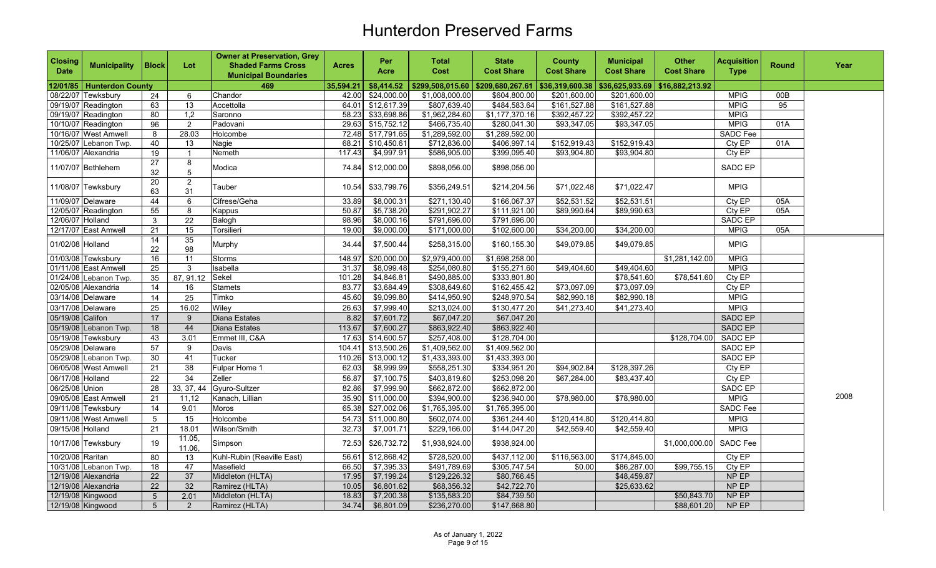| $$36,625,933.69$ \$16,882,213.92<br>35,594.21<br>\$8,414.52<br>  \$299,508,015.60   \$209,680,267.61   \$36,319,600.38<br>12/01/85   Hunterdon County<br>469<br>\$24,000.00<br><b>MPIG</b><br>00B<br>08/22/07 Tewksbury<br>Chandor<br>42.00<br>\$1,008,000.00<br>\$604,800.00<br>\$201,600.00<br>\$201,600.00<br>24<br>6<br>09/19/07 Readington<br>13<br>\$12,617.39<br>\$807,639.40<br>\$484,583.64<br>\$161,527.88<br>\$161,527.88<br><b>MPIG</b><br>95<br>63<br>Accettolla<br>64.01<br>\$1,962,284.60<br>\$1,177,370.16<br>\$392,457.22<br>\$392,457.22<br><b>MPIG</b><br>09/19/07 Readington<br>80<br>1,2<br>58.23 \$33,698.86<br>Saronno<br>29.63 \$15,752.12<br>\$466,735.40<br>\$280,041.30<br>\$93,347.05<br>\$93,347.05<br><b>MPIG</b><br>10/10/07 Readington<br>96<br>$\overline{2}$<br>Padovani<br>01A<br>10/16/07 West Amwell<br>72.48 \$17,791.65<br>\$1,289,592.00<br>\$1,289,592.00<br><b>SADC Fee</b><br>28.03<br>8<br>Holcombe<br>\$712,836.00<br>10/25/07 Lebanon Twp.<br>40<br>68.21 \$10,450.61<br>\$406,997.14<br>\$152,919.43<br>\$152,919.43<br>Cty EP<br>01A<br>13<br>Nagie<br>\$4,997.91<br>\$586,905.00<br>\$399,095.40<br>\$93,904.80<br>\$93,904.80<br>Cty EP<br>11/06/07 Alexandria<br>19<br>Nemeth<br>117.43<br>$\overline{1}$<br>27<br>8<br>SADC EP<br>11/07/07 Bethlehem<br>Modica<br>\$12,000.00<br>\$898,056.00<br>\$898,056.00<br>74.84<br>32<br>5<br>20<br>$\overline{2}$<br>11/08/07 Tewksbury<br>Tauber<br>10.54<br>\$33,799.76<br>\$356,249.51<br>\$214,204.56<br>\$71,022.48<br>\$71,022.47<br><b>MPIG</b><br>63<br>31<br>11/09/07 Delaware<br>44<br>6<br>Cifrese/Geha<br>33.89<br>\$8,000.31<br>\$271,130.40<br>\$166,067.37<br>\$52,531.52<br>\$52,531.51<br>Cty EP<br>05A<br>\$5,738.20<br>\$291,902.27<br>\$111,921.00<br>Cty EP<br>12/05/07 Readington<br>55<br>8<br>50.87<br>\$89,990.64<br>\$89,990.63<br>05A<br>Kappus<br>12/06/07 Holland<br>3<br>$\overline{22}$<br>\$8,000.16<br>\$791,696.00<br>\$791,696.00<br>SADC EP<br>Balogh<br>98.96<br>12/17/07 East Amwell<br>15<br>\$102,600.00<br><b>MPIG</b><br>21<br>Torsilieri<br>19.00<br>\$9,000.00<br>\$171,000.00<br>\$34,200.00<br>\$34,200.00<br>05A<br>$\overline{35}$<br>14<br>01/02/08 Holland<br>Murphy<br>34.44<br>\$7,500.44<br>\$258,315.00<br>\$160,155.30<br>\$49,079.85<br><b>MPIG</b><br>\$49,079.85<br>22<br>98<br>\$2,979,400.00<br>01/03/08 Tewksbury<br>148.97<br>\$20,000.00<br>\$1,698,258.00<br><b>MPIG</b><br>16<br>\$1,281,142.00<br>11<br>Storms<br>\$254,080.80<br><b>MPIG</b><br>01/11/08 East Amwell<br>25<br>Isabella<br>31.37<br>\$8,099.48<br>\$155,271.60<br>\$49,404.60<br>\$49,404.60<br>3<br>35<br>87, 91.12<br>Sekel<br>\$333,801.80<br>Cty EP<br>01/24/08 Lebanon Twp.<br>101.28<br>\$4,846.81<br>\$490,885.00<br>\$78,541.60<br>\$78,541.60<br>02/05/08 Alexandria<br>14<br>\$3,684.49<br>\$308,649.60<br>\$162,455.42<br>\$73,097.09<br>\$73,097.09<br>Cty EP<br>16<br>Stamets<br>83.77<br><b>MPIG</b><br>03/14/08 Delaware<br>25<br>Timko<br>45.60<br>\$9,099.80<br>\$414,950.90<br>\$248,970.54<br>\$82,990.18<br>\$82,990.18<br>14<br>03/17/08 Delaware<br>\$213,024.00<br>\$130,477.20<br><b>MPIG</b><br>25<br>16.02<br>Wiley<br>26.63<br>\$7,999.40<br>\$41,273.40<br>\$41,273.40<br>SADC EP<br>05/19/08 Califon<br>17<br>Diana Estates<br>8.82<br>\$7,601.72<br>\$67,047.20<br>\$67,047.20<br>9<br>\$863,922.40<br>05/19/08 Lebanon Twp.<br>18<br>44<br>113.67<br>\$7,600.27<br>\$863,922.40<br><b>SADC EP</b><br>Diana Estates<br>43<br>05/19/08 Tewksbury<br>3.01<br>Emmet III, C&A<br>17.63<br>\$14,600.57<br>\$257,408.00<br>\$128,704.00<br>\$128,704.00<br>SADC EP<br>\$1,409,562.00<br>$\sqrt{1,409,562.00}$<br>SADC EP<br>05/29/08 Delaware<br>57<br>104.41 \$13,500.26<br>9<br>Davis<br>\$1,433,393.00<br>SADC EP<br>05/29/08 Lebanon Twp.<br>41<br>110.26 \$13,000.12<br>\$1,433,393.00<br>30<br>Tucker<br>21<br>38<br>06/05/08 West Amwell<br>Fulper Home 1<br>62.03<br>\$8,999.99<br>\$558,251.30<br>\$334,951.20<br>\$94,902.84<br>\$128,397.26<br>Cty EP<br>$\overline{34}$<br>06/17/08 Holland<br>22<br>\$253,098.20<br>\$67,284.00<br>\$83,437.40<br>Zeller<br>56.87<br>\$7,100.75<br>\$403,819.60<br>Cty EP<br>06/25/08 Union<br>33, 37, 44<br>\$662,872.00<br>\$662,872.00<br>28<br>Gyuro-Sultzer<br>82.86<br>\$7,999.90<br>SADC EP<br>2008<br><b>MPIG</b><br>21<br>35.90<br>\$11,000.00<br>\$394,900.00<br>\$78,980.00<br>09/05/08 East Amwell<br>11,12<br>Kanach, Lillian<br>\$236,940.00<br>\$78,980.00<br>9.01<br>\$27,002.06<br>\$1,765,395.00<br>\$1,765,395.00<br><b>SADC Fee</b><br>09/11/08 Tewksbury<br>14<br>Moros<br>65.38<br><b>MPIG</b><br>09/11/08 West Amwell<br>$5\phantom{.0}$<br>15<br>Holcombe<br>54.73<br>\$11,000.80<br>\$602,074.00<br>\$120,414.80<br>\$120,414.80<br>\$361,244.40<br><b>MPIG</b><br>09/15/08 Holland<br>32.73<br>\$7,001.71<br>\$229,166.00<br>\$144,047.20<br>\$42,559.40<br>\$42,559.40<br>21<br>18.01<br>Wilson/Smith<br>11.05,<br>SADC Fee<br>10/17/08 Tewksbury<br>Simpson<br>72.53<br>\$26,732.72<br>\$1,938,924.00<br>\$938,924.00<br>\$1,000,000.00<br>19<br>11.06<br>10/20/08 Raritan<br>80<br>\$12,868.42<br>\$728,520.00<br>\$437,112.00<br>\$116,563.00<br>\$174,845.00<br>Cty EP<br>Kuhl-Rubin (Reaville East)<br>56.61<br>13<br>10/31/08 Lebanon Twp.<br>18<br>47<br>66.50<br>\$7,395.33<br>\$491,789.69<br>\$305,747.54<br>\$86,287.00<br>\$99,755.15<br>Cty EP<br>Masefield<br>\$0.00<br>37<br>$\overline{22}$<br>NP EP<br>12/19/08 Alexandria<br>Middleton (HLTA)<br>17.95<br>\$7,199.24<br>\$129,226.32<br>\$80,766.45<br>\$48,459.87<br>32<br>NP EP<br>12/19/08 Alexandria<br>22<br>\$6,801.62<br>\$68,356.32<br>\$42,722.70<br>\$25,633.62<br>Ramirez (HLTA)<br>10.05<br>2.01<br>\$84,739.50<br>NP EP<br>12/19/08 Kingwood<br>Middleton (HLTA)<br>18.83<br>\$7,200.38<br>\$135,583.20<br>\$50,843.70<br>$5\phantom{.0}$<br>34.74<br>NP EP<br>12/19/08 Kingwood<br>\$6,801.09<br>\$88,601.20<br>5 <sup>5</sup><br>$\overline{2}$ | <b>Closing</b><br>Date | <b>Municipality</b> | <b>Block</b> | Lot | <b>Owner at Preservation, Grey</b><br><b>Shaded Farms Cross</b><br><b>Municipal Boundaries</b> | <b>Acres</b> | Per<br>Acre | <b>Total</b><br>Cost | <b>State</b><br><b>Cost Share</b> | <b>County</b><br><b>Cost Share</b> | <b>Municipal</b><br><b>Cost Share</b> | <b>Other</b><br><b>Cost Share</b> | <b>Acquisition</b><br><b>Type</b> | <b>Round</b> | Year |
|----------------------------------------------------------------------------------------------------------------------------------------------------------------------------------------------------------------------------------------------------------------------------------------------------------------------------------------------------------------------------------------------------------------------------------------------------------------------------------------------------------------------------------------------------------------------------------------------------------------------------------------------------------------------------------------------------------------------------------------------------------------------------------------------------------------------------------------------------------------------------------------------------------------------------------------------------------------------------------------------------------------------------------------------------------------------------------------------------------------------------------------------------------------------------------------------------------------------------------------------------------------------------------------------------------------------------------------------------------------------------------------------------------------------------------------------------------------------------------------------------------------------------------------------------------------------------------------------------------------------------------------------------------------------------------------------------------------------------------------------------------------------------------------------------------------------------------------------------------------------------------------------------------------------------------------------------------------------------------------------------------------------------------------------------------------------------------------------------------------------------------------------------------------------------------------------------------------------------------------------------------------------------------------------------------------------------------------------------------------------------------------------------------------------------------------------------------------------------------------------------------------------------------------------------------------------------------------------------------------------------------------------------------------------------------------------------------------------------------------------------------------------------------------------------------------------------------------------------------------------------------------------------------------------------------------------------------------------------------------------------------------------------------------------------------------------------------------------------------------------------------------------------------------------------------------------------------------------------------------------------------------------------------------------------------------------------------------------------------------------------------------------------------------------------------------------------------------------------------------------------------------------------------------------------------------------------------------------------------------------------------------------------------------------------------------------------------------------------------------------------------------------------------------------------------------------------------------------------------------------------------------------------------------------------------------------------------------------------------------------------------------------------------------------------------------------------------------------------------------------------------------------------------------------------------------------------------------------------------------------------------------------------------------------------------------------------------------------------------------------------------------------------------------------------------------------------------------------------------------------------------------------------------------------------------------------------------------------------------------------------------------------------------------------------------------------------------------------------------------------------------------------------------------------------------------------------------------------------------------------------------------------------------------------------------------------------------------------------------------------------------------------------------------------------------------------------------------------------------------------------------------------------------------------------------------------------------------------------------------------------------------------------------------------------------------------------------------------------------------------------------------------------------------------------------------------------------------------------------------------------------------------------------------------------------------------------------------------------------------------------------------------------------------------------------------------------------------------------------------------------------------------------------------------------------------------------------------------------------------------------------------------------------------------------------------------------------------|------------------------|---------------------|--------------|-----|------------------------------------------------------------------------------------------------|--------------|-------------|----------------------|-----------------------------------|------------------------------------|---------------------------------------|-----------------------------------|-----------------------------------|--------------|------|
|                                                                                                                                                                                                                                                                                                                                                                                                                                                                                                                                                                                                                                                                                                                                                                                                                                                                                                                                                                                                                                                                                                                                                                                                                                                                                                                                                                                                                                                                                                                                                                                                                                                                                                                                                                                                                                                                                                                                                                                                                                                                                                                                                                                                                                                                                                                                                                                                                                                                                                                                                                                                                                                                                                                                                                                                                                                                                                                                                                                                                                                                                                                                                                                                                                                                                                                                                                                                                                                                                                                                                                                                                                                                                                                                                                                                                                                                                                                                                                                                                                                                                                                                                                                                                                                                                                                                                                                                                                                                                                                                                                                                                                                                                                                                                                                                                                                                                                                                                                                                                                                                                                                                                                                                                                                                                                                                                                                                                                                                                                                                                                                                                                                                                                                                                                                                                                                                                                                                                                |                        |                     |              |     |                                                                                                |              |             |                      |                                   |                                    |                                       |                                   |                                   |              |      |
|                                                                                                                                                                                                                                                                                                                                                                                                                                                                                                                                                                                                                                                                                                                                                                                                                                                                                                                                                                                                                                                                                                                                                                                                                                                                                                                                                                                                                                                                                                                                                                                                                                                                                                                                                                                                                                                                                                                                                                                                                                                                                                                                                                                                                                                                                                                                                                                                                                                                                                                                                                                                                                                                                                                                                                                                                                                                                                                                                                                                                                                                                                                                                                                                                                                                                                                                                                                                                                                                                                                                                                                                                                                                                                                                                                                                                                                                                                                                                                                                                                                                                                                                                                                                                                                                                                                                                                                                                                                                                                                                                                                                                                                                                                                                                                                                                                                                                                                                                                                                                                                                                                                                                                                                                                                                                                                                                                                                                                                                                                                                                                                                                                                                                                                                                                                                                                                                                                                                                                |                        |                     |              |     |                                                                                                |              |             |                      |                                   |                                    |                                       |                                   |                                   |              |      |
|                                                                                                                                                                                                                                                                                                                                                                                                                                                                                                                                                                                                                                                                                                                                                                                                                                                                                                                                                                                                                                                                                                                                                                                                                                                                                                                                                                                                                                                                                                                                                                                                                                                                                                                                                                                                                                                                                                                                                                                                                                                                                                                                                                                                                                                                                                                                                                                                                                                                                                                                                                                                                                                                                                                                                                                                                                                                                                                                                                                                                                                                                                                                                                                                                                                                                                                                                                                                                                                                                                                                                                                                                                                                                                                                                                                                                                                                                                                                                                                                                                                                                                                                                                                                                                                                                                                                                                                                                                                                                                                                                                                                                                                                                                                                                                                                                                                                                                                                                                                                                                                                                                                                                                                                                                                                                                                                                                                                                                                                                                                                                                                                                                                                                                                                                                                                                                                                                                                                                                |                        |                     |              |     |                                                                                                |              |             |                      |                                   |                                    |                                       |                                   |                                   |              |      |
|                                                                                                                                                                                                                                                                                                                                                                                                                                                                                                                                                                                                                                                                                                                                                                                                                                                                                                                                                                                                                                                                                                                                                                                                                                                                                                                                                                                                                                                                                                                                                                                                                                                                                                                                                                                                                                                                                                                                                                                                                                                                                                                                                                                                                                                                                                                                                                                                                                                                                                                                                                                                                                                                                                                                                                                                                                                                                                                                                                                                                                                                                                                                                                                                                                                                                                                                                                                                                                                                                                                                                                                                                                                                                                                                                                                                                                                                                                                                                                                                                                                                                                                                                                                                                                                                                                                                                                                                                                                                                                                                                                                                                                                                                                                                                                                                                                                                                                                                                                                                                                                                                                                                                                                                                                                                                                                                                                                                                                                                                                                                                                                                                                                                                                                                                                                                                                                                                                                                                                |                        |                     |              |     |                                                                                                |              |             |                      |                                   |                                    |                                       |                                   |                                   |              |      |
|                                                                                                                                                                                                                                                                                                                                                                                                                                                                                                                                                                                                                                                                                                                                                                                                                                                                                                                                                                                                                                                                                                                                                                                                                                                                                                                                                                                                                                                                                                                                                                                                                                                                                                                                                                                                                                                                                                                                                                                                                                                                                                                                                                                                                                                                                                                                                                                                                                                                                                                                                                                                                                                                                                                                                                                                                                                                                                                                                                                                                                                                                                                                                                                                                                                                                                                                                                                                                                                                                                                                                                                                                                                                                                                                                                                                                                                                                                                                                                                                                                                                                                                                                                                                                                                                                                                                                                                                                                                                                                                                                                                                                                                                                                                                                                                                                                                                                                                                                                                                                                                                                                                                                                                                                                                                                                                                                                                                                                                                                                                                                                                                                                                                                                                                                                                                                                                                                                                                                                |                        |                     |              |     |                                                                                                |              |             |                      |                                   |                                    |                                       |                                   |                                   |              |      |
|                                                                                                                                                                                                                                                                                                                                                                                                                                                                                                                                                                                                                                                                                                                                                                                                                                                                                                                                                                                                                                                                                                                                                                                                                                                                                                                                                                                                                                                                                                                                                                                                                                                                                                                                                                                                                                                                                                                                                                                                                                                                                                                                                                                                                                                                                                                                                                                                                                                                                                                                                                                                                                                                                                                                                                                                                                                                                                                                                                                                                                                                                                                                                                                                                                                                                                                                                                                                                                                                                                                                                                                                                                                                                                                                                                                                                                                                                                                                                                                                                                                                                                                                                                                                                                                                                                                                                                                                                                                                                                                                                                                                                                                                                                                                                                                                                                                                                                                                                                                                                                                                                                                                                                                                                                                                                                                                                                                                                                                                                                                                                                                                                                                                                                                                                                                                                                                                                                                                                                |                        |                     |              |     |                                                                                                |              |             |                      |                                   |                                    |                                       |                                   |                                   |              |      |
|                                                                                                                                                                                                                                                                                                                                                                                                                                                                                                                                                                                                                                                                                                                                                                                                                                                                                                                                                                                                                                                                                                                                                                                                                                                                                                                                                                                                                                                                                                                                                                                                                                                                                                                                                                                                                                                                                                                                                                                                                                                                                                                                                                                                                                                                                                                                                                                                                                                                                                                                                                                                                                                                                                                                                                                                                                                                                                                                                                                                                                                                                                                                                                                                                                                                                                                                                                                                                                                                                                                                                                                                                                                                                                                                                                                                                                                                                                                                                                                                                                                                                                                                                                                                                                                                                                                                                                                                                                                                                                                                                                                                                                                                                                                                                                                                                                                                                                                                                                                                                                                                                                                                                                                                                                                                                                                                                                                                                                                                                                                                                                                                                                                                                                                                                                                                                                                                                                                                                                |                        |                     |              |     |                                                                                                |              |             |                      |                                   |                                    |                                       |                                   |                                   |              |      |
|                                                                                                                                                                                                                                                                                                                                                                                                                                                                                                                                                                                                                                                                                                                                                                                                                                                                                                                                                                                                                                                                                                                                                                                                                                                                                                                                                                                                                                                                                                                                                                                                                                                                                                                                                                                                                                                                                                                                                                                                                                                                                                                                                                                                                                                                                                                                                                                                                                                                                                                                                                                                                                                                                                                                                                                                                                                                                                                                                                                                                                                                                                                                                                                                                                                                                                                                                                                                                                                                                                                                                                                                                                                                                                                                                                                                                                                                                                                                                                                                                                                                                                                                                                                                                                                                                                                                                                                                                                                                                                                                                                                                                                                                                                                                                                                                                                                                                                                                                                                                                                                                                                                                                                                                                                                                                                                                                                                                                                                                                                                                                                                                                                                                                                                                                                                                                                                                                                                                                                |                        |                     |              |     |                                                                                                |              |             |                      |                                   |                                    |                                       |                                   |                                   |              |      |
|                                                                                                                                                                                                                                                                                                                                                                                                                                                                                                                                                                                                                                                                                                                                                                                                                                                                                                                                                                                                                                                                                                                                                                                                                                                                                                                                                                                                                                                                                                                                                                                                                                                                                                                                                                                                                                                                                                                                                                                                                                                                                                                                                                                                                                                                                                                                                                                                                                                                                                                                                                                                                                                                                                                                                                                                                                                                                                                                                                                                                                                                                                                                                                                                                                                                                                                                                                                                                                                                                                                                                                                                                                                                                                                                                                                                                                                                                                                                                                                                                                                                                                                                                                                                                                                                                                                                                                                                                                                                                                                                                                                                                                                                                                                                                                                                                                                                                                                                                                                                                                                                                                                                                                                                                                                                                                                                                                                                                                                                                                                                                                                                                                                                                                                                                                                                                                                                                                                                                                |                        |                     |              |     |                                                                                                |              |             |                      |                                   |                                    |                                       |                                   |                                   |              |      |
|                                                                                                                                                                                                                                                                                                                                                                                                                                                                                                                                                                                                                                                                                                                                                                                                                                                                                                                                                                                                                                                                                                                                                                                                                                                                                                                                                                                                                                                                                                                                                                                                                                                                                                                                                                                                                                                                                                                                                                                                                                                                                                                                                                                                                                                                                                                                                                                                                                                                                                                                                                                                                                                                                                                                                                                                                                                                                                                                                                                                                                                                                                                                                                                                                                                                                                                                                                                                                                                                                                                                                                                                                                                                                                                                                                                                                                                                                                                                                                                                                                                                                                                                                                                                                                                                                                                                                                                                                                                                                                                                                                                                                                                                                                                                                                                                                                                                                                                                                                                                                                                                                                                                                                                                                                                                                                                                                                                                                                                                                                                                                                                                                                                                                                                                                                                                                                                                                                                                                                |                        |                     |              |     |                                                                                                |              |             |                      |                                   |                                    |                                       |                                   |                                   |              |      |
|                                                                                                                                                                                                                                                                                                                                                                                                                                                                                                                                                                                                                                                                                                                                                                                                                                                                                                                                                                                                                                                                                                                                                                                                                                                                                                                                                                                                                                                                                                                                                                                                                                                                                                                                                                                                                                                                                                                                                                                                                                                                                                                                                                                                                                                                                                                                                                                                                                                                                                                                                                                                                                                                                                                                                                                                                                                                                                                                                                                                                                                                                                                                                                                                                                                                                                                                                                                                                                                                                                                                                                                                                                                                                                                                                                                                                                                                                                                                                                                                                                                                                                                                                                                                                                                                                                                                                                                                                                                                                                                                                                                                                                                                                                                                                                                                                                                                                                                                                                                                                                                                                                                                                                                                                                                                                                                                                                                                                                                                                                                                                                                                                                                                                                                                                                                                                                                                                                                                                                |                        |                     |              |     |                                                                                                |              |             |                      |                                   |                                    |                                       |                                   |                                   |              |      |
|                                                                                                                                                                                                                                                                                                                                                                                                                                                                                                                                                                                                                                                                                                                                                                                                                                                                                                                                                                                                                                                                                                                                                                                                                                                                                                                                                                                                                                                                                                                                                                                                                                                                                                                                                                                                                                                                                                                                                                                                                                                                                                                                                                                                                                                                                                                                                                                                                                                                                                                                                                                                                                                                                                                                                                                                                                                                                                                                                                                                                                                                                                                                                                                                                                                                                                                                                                                                                                                                                                                                                                                                                                                                                                                                                                                                                                                                                                                                                                                                                                                                                                                                                                                                                                                                                                                                                                                                                                                                                                                                                                                                                                                                                                                                                                                                                                                                                                                                                                                                                                                                                                                                                                                                                                                                                                                                                                                                                                                                                                                                                                                                                                                                                                                                                                                                                                                                                                                                                                |                        |                     |              |     |                                                                                                |              |             |                      |                                   |                                    |                                       |                                   |                                   |              |      |
|                                                                                                                                                                                                                                                                                                                                                                                                                                                                                                                                                                                                                                                                                                                                                                                                                                                                                                                                                                                                                                                                                                                                                                                                                                                                                                                                                                                                                                                                                                                                                                                                                                                                                                                                                                                                                                                                                                                                                                                                                                                                                                                                                                                                                                                                                                                                                                                                                                                                                                                                                                                                                                                                                                                                                                                                                                                                                                                                                                                                                                                                                                                                                                                                                                                                                                                                                                                                                                                                                                                                                                                                                                                                                                                                                                                                                                                                                                                                                                                                                                                                                                                                                                                                                                                                                                                                                                                                                                                                                                                                                                                                                                                                                                                                                                                                                                                                                                                                                                                                                                                                                                                                                                                                                                                                                                                                                                                                                                                                                                                                                                                                                                                                                                                                                                                                                                                                                                                                                                |                        |                     |              |     |                                                                                                |              |             |                      |                                   |                                    |                                       |                                   |                                   |              |      |
|                                                                                                                                                                                                                                                                                                                                                                                                                                                                                                                                                                                                                                                                                                                                                                                                                                                                                                                                                                                                                                                                                                                                                                                                                                                                                                                                                                                                                                                                                                                                                                                                                                                                                                                                                                                                                                                                                                                                                                                                                                                                                                                                                                                                                                                                                                                                                                                                                                                                                                                                                                                                                                                                                                                                                                                                                                                                                                                                                                                                                                                                                                                                                                                                                                                                                                                                                                                                                                                                                                                                                                                                                                                                                                                                                                                                                                                                                                                                                                                                                                                                                                                                                                                                                                                                                                                                                                                                                                                                                                                                                                                                                                                                                                                                                                                                                                                                                                                                                                                                                                                                                                                                                                                                                                                                                                                                                                                                                                                                                                                                                                                                                                                                                                                                                                                                                                                                                                                                                                |                        |                     |              |     |                                                                                                |              |             |                      |                                   |                                    |                                       |                                   |                                   |              |      |
|                                                                                                                                                                                                                                                                                                                                                                                                                                                                                                                                                                                                                                                                                                                                                                                                                                                                                                                                                                                                                                                                                                                                                                                                                                                                                                                                                                                                                                                                                                                                                                                                                                                                                                                                                                                                                                                                                                                                                                                                                                                                                                                                                                                                                                                                                                                                                                                                                                                                                                                                                                                                                                                                                                                                                                                                                                                                                                                                                                                                                                                                                                                                                                                                                                                                                                                                                                                                                                                                                                                                                                                                                                                                                                                                                                                                                                                                                                                                                                                                                                                                                                                                                                                                                                                                                                                                                                                                                                                                                                                                                                                                                                                                                                                                                                                                                                                                                                                                                                                                                                                                                                                                                                                                                                                                                                                                                                                                                                                                                                                                                                                                                                                                                                                                                                                                                                                                                                                                                                |                        |                     |              |     |                                                                                                |              |             |                      |                                   |                                    |                                       |                                   |                                   |              |      |
|                                                                                                                                                                                                                                                                                                                                                                                                                                                                                                                                                                                                                                                                                                                                                                                                                                                                                                                                                                                                                                                                                                                                                                                                                                                                                                                                                                                                                                                                                                                                                                                                                                                                                                                                                                                                                                                                                                                                                                                                                                                                                                                                                                                                                                                                                                                                                                                                                                                                                                                                                                                                                                                                                                                                                                                                                                                                                                                                                                                                                                                                                                                                                                                                                                                                                                                                                                                                                                                                                                                                                                                                                                                                                                                                                                                                                                                                                                                                                                                                                                                                                                                                                                                                                                                                                                                                                                                                                                                                                                                                                                                                                                                                                                                                                                                                                                                                                                                                                                                                                                                                                                                                                                                                                                                                                                                                                                                                                                                                                                                                                                                                                                                                                                                                                                                                                                                                                                                                                                |                        |                     |              |     |                                                                                                |              |             |                      |                                   |                                    |                                       |                                   |                                   |              |      |
|                                                                                                                                                                                                                                                                                                                                                                                                                                                                                                                                                                                                                                                                                                                                                                                                                                                                                                                                                                                                                                                                                                                                                                                                                                                                                                                                                                                                                                                                                                                                                                                                                                                                                                                                                                                                                                                                                                                                                                                                                                                                                                                                                                                                                                                                                                                                                                                                                                                                                                                                                                                                                                                                                                                                                                                                                                                                                                                                                                                                                                                                                                                                                                                                                                                                                                                                                                                                                                                                                                                                                                                                                                                                                                                                                                                                                                                                                                                                                                                                                                                                                                                                                                                                                                                                                                                                                                                                                                                                                                                                                                                                                                                                                                                                                                                                                                                                                                                                                                                                                                                                                                                                                                                                                                                                                                                                                                                                                                                                                                                                                                                                                                                                                                                                                                                                                                                                                                                                                                |                        |                     |              |     |                                                                                                |              |             |                      |                                   |                                    |                                       |                                   |                                   |              |      |
|                                                                                                                                                                                                                                                                                                                                                                                                                                                                                                                                                                                                                                                                                                                                                                                                                                                                                                                                                                                                                                                                                                                                                                                                                                                                                                                                                                                                                                                                                                                                                                                                                                                                                                                                                                                                                                                                                                                                                                                                                                                                                                                                                                                                                                                                                                                                                                                                                                                                                                                                                                                                                                                                                                                                                                                                                                                                                                                                                                                                                                                                                                                                                                                                                                                                                                                                                                                                                                                                                                                                                                                                                                                                                                                                                                                                                                                                                                                                                                                                                                                                                                                                                                                                                                                                                                                                                                                                                                                                                                                                                                                                                                                                                                                                                                                                                                                                                                                                                                                                                                                                                                                                                                                                                                                                                                                                                                                                                                                                                                                                                                                                                                                                                                                                                                                                                                                                                                                                                                |                        |                     |              |     |                                                                                                |              |             |                      |                                   |                                    |                                       |                                   |                                   |              |      |
|                                                                                                                                                                                                                                                                                                                                                                                                                                                                                                                                                                                                                                                                                                                                                                                                                                                                                                                                                                                                                                                                                                                                                                                                                                                                                                                                                                                                                                                                                                                                                                                                                                                                                                                                                                                                                                                                                                                                                                                                                                                                                                                                                                                                                                                                                                                                                                                                                                                                                                                                                                                                                                                                                                                                                                                                                                                                                                                                                                                                                                                                                                                                                                                                                                                                                                                                                                                                                                                                                                                                                                                                                                                                                                                                                                                                                                                                                                                                                                                                                                                                                                                                                                                                                                                                                                                                                                                                                                                                                                                                                                                                                                                                                                                                                                                                                                                                                                                                                                                                                                                                                                                                                                                                                                                                                                                                                                                                                                                                                                                                                                                                                                                                                                                                                                                                                                                                                                                                                                |                        |                     |              |     |                                                                                                |              |             |                      |                                   |                                    |                                       |                                   |                                   |              |      |
|                                                                                                                                                                                                                                                                                                                                                                                                                                                                                                                                                                                                                                                                                                                                                                                                                                                                                                                                                                                                                                                                                                                                                                                                                                                                                                                                                                                                                                                                                                                                                                                                                                                                                                                                                                                                                                                                                                                                                                                                                                                                                                                                                                                                                                                                                                                                                                                                                                                                                                                                                                                                                                                                                                                                                                                                                                                                                                                                                                                                                                                                                                                                                                                                                                                                                                                                                                                                                                                                                                                                                                                                                                                                                                                                                                                                                                                                                                                                                                                                                                                                                                                                                                                                                                                                                                                                                                                                                                                                                                                                                                                                                                                                                                                                                                                                                                                                                                                                                                                                                                                                                                                                                                                                                                                                                                                                                                                                                                                                                                                                                                                                                                                                                                                                                                                                                                                                                                                                                                |                        |                     |              |     |                                                                                                |              |             |                      |                                   |                                    |                                       |                                   |                                   |              |      |
|                                                                                                                                                                                                                                                                                                                                                                                                                                                                                                                                                                                                                                                                                                                                                                                                                                                                                                                                                                                                                                                                                                                                                                                                                                                                                                                                                                                                                                                                                                                                                                                                                                                                                                                                                                                                                                                                                                                                                                                                                                                                                                                                                                                                                                                                                                                                                                                                                                                                                                                                                                                                                                                                                                                                                                                                                                                                                                                                                                                                                                                                                                                                                                                                                                                                                                                                                                                                                                                                                                                                                                                                                                                                                                                                                                                                                                                                                                                                                                                                                                                                                                                                                                                                                                                                                                                                                                                                                                                                                                                                                                                                                                                                                                                                                                                                                                                                                                                                                                                                                                                                                                                                                                                                                                                                                                                                                                                                                                                                                                                                                                                                                                                                                                                                                                                                                                                                                                                                                                |                        |                     |              |     |                                                                                                |              |             |                      |                                   |                                    |                                       |                                   |                                   |              |      |
|                                                                                                                                                                                                                                                                                                                                                                                                                                                                                                                                                                                                                                                                                                                                                                                                                                                                                                                                                                                                                                                                                                                                                                                                                                                                                                                                                                                                                                                                                                                                                                                                                                                                                                                                                                                                                                                                                                                                                                                                                                                                                                                                                                                                                                                                                                                                                                                                                                                                                                                                                                                                                                                                                                                                                                                                                                                                                                                                                                                                                                                                                                                                                                                                                                                                                                                                                                                                                                                                                                                                                                                                                                                                                                                                                                                                                                                                                                                                                                                                                                                                                                                                                                                                                                                                                                                                                                                                                                                                                                                                                                                                                                                                                                                                                                                                                                                                                                                                                                                                                                                                                                                                                                                                                                                                                                                                                                                                                                                                                                                                                                                                                                                                                                                                                                                                                                                                                                                                                                |                        |                     |              |     |                                                                                                |              |             |                      |                                   |                                    |                                       |                                   |                                   |              |      |
|                                                                                                                                                                                                                                                                                                                                                                                                                                                                                                                                                                                                                                                                                                                                                                                                                                                                                                                                                                                                                                                                                                                                                                                                                                                                                                                                                                                                                                                                                                                                                                                                                                                                                                                                                                                                                                                                                                                                                                                                                                                                                                                                                                                                                                                                                                                                                                                                                                                                                                                                                                                                                                                                                                                                                                                                                                                                                                                                                                                                                                                                                                                                                                                                                                                                                                                                                                                                                                                                                                                                                                                                                                                                                                                                                                                                                                                                                                                                                                                                                                                                                                                                                                                                                                                                                                                                                                                                                                                                                                                                                                                                                                                                                                                                                                                                                                                                                                                                                                                                                                                                                                                                                                                                                                                                                                                                                                                                                                                                                                                                                                                                                                                                                                                                                                                                                                                                                                                                                                |                        |                     |              |     |                                                                                                |              |             |                      |                                   |                                    |                                       |                                   |                                   |              |      |
|                                                                                                                                                                                                                                                                                                                                                                                                                                                                                                                                                                                                                                                                                                                                                                                                                                                                                                                                                                                                                                                                                                                                                                                                                                                                                                                                                                                                                                                                                                                                                                                                                                                                                                                                                                                                                                                                                                                                                                                                                                                                                                                                                                                                                                                                                                                                                                                                                                                                                                                                                                                                                                                                                                                                                                                                                                                                                                                                                                                                                                                                                                                                                                                                                                                                                                                                                                                                                                                                                                                                                                                                                                                                                                                                                                                                                                                                                                                                                                                                                                                                                                                                                                                                                                                                                                                                                                                                                                                                                                                                                                                                                                                                                                                                                                                                                                                                                                                                                                                                                                                                                                                                                                                                                                                                                                                                                                                                                                                                                                                                                                                                                                                                                                                                                                                                                                                                                                                                                                |                        |                     |              |     |                                                                                                |              |             |                      |                                   |                                    |                                       |                                   |                                   |              |      |
|                                                                                                                                                                                                                                                                                                                                                                                                                                                                                                                                                                                                                                                                                                                                                                                                                                                                                                                                                                                                                                                                                                                                                                                                                                                                                                                                                                                                                                                                                                                                                                                                                                                                                                                                                                                                                                                                                                                                                                                                                                                                                                                                                                                                                                                                                                                                                                                                                                                                                                                                                                                                                                                                                                                                                                                                                                                                                                                                                                                                                                                                                                                                                                                                                                                                                                                                                                                                                                                                                                                                                                                                                                                                                                                                                                                                                                                                                                                                                                                                                                                                                                                                                                                                                                                                                                                                                                                                                                                                                                                                                                                                                                                                                                                                                                                                                                                                                                                                                                                                                                                                                                                                                                                                                                                                                                                                                                                                                                                                                                                                                                                                                                                                                                                                                                                                                                                                                                                                                                |                        |                     |              |     |                                                                                                |              |             |                      |                                   |                                    |                                       |                                   |                                   |              |      |
|                                                                                                                                                                                                                                                                                                                                                                                                                                                                                                                                                                                                                                                                                                                                                                                                                                                                                                                                                                                                                                                                                                                                                                                                                                                                                                                                                                                                                                                                                                                                                                                                                                                                                                                                                                                                                                                                                                                                                                                                                                                                                                                                                                                                                                                                                                                                                                                                                                                                                                                                                                                                                                                                                                                                                                                                                                                                                                                                                                                                                                                                                                                                                                                                                                                                                                                                                                                                                                                                                                                                                                                                                                                                                                                                                                                                                                                                                                                                                                                                                                                                                                                                                                                                                                                                                                                                                                                                                                                                                                                                                                                                                                                                                                                                                                                                                                                                                                                                                                                                                                                                                                                                                                                                                                                                                                                                                                                                                                                                                                                                                                                                                                                                                                                                                                                                                                                                                                                                                                |                        |                     |              |     |                                                                                                |              |             |                      |                                   |                                    |                                       |                                   |                                   |              |      |
|                                                                                                                                                                                                                                                                                                                                                                                                                                                                                                                                                                                                                                                                                                                                                                                                                                                                                                                                                                                                                                                                                                                                                                                                                                                                                                                                                                                                                                                                                                                                                                                                                                                                                                                                                                                                                                                                                                                                                                                                                                                                                                                                                                                                                                                                                                                                                                                                                                                                                                                                                                                                                                                                                                                                                                                                                                                                                                                                                                                                                                                                                                                                                                                                                                                                                                                                                                                                                                                                                                                                                                                                                                                                                                                                                                                                                                                                                                                                                                                                                                                                                                                                                                                                                                                                                                                                                                                                                                                                                                                                                                                                                                                                                                                                                                                                                                                                                                                                                                                                                                                                                                                                                                                                                                                                                                                                                                                                                                                                                                                                                                                                                                                                                                                                                                                                                                                                                                                                                                |                        |                     |              |     |                                                                                                |              |             |                      |                                   |                                    |                                       |                                   |                                   |              |      |
|                                                                                                                                                                                                                                                                                                                                                                                                                                                                                                                                                                                                                                                                                                                                                                                                                                                                                                                                                                                                                                                                                                                                                                                                                                                                                                                                                                                                                                                                                                                                                                                                                                                                                                                                                                                                                                                                                                                                                                                                                                                                                                                                                                                                                                                                                                                                                                                                                                                                                                                                                                                                                                                                                                                                                                                                                                                                                                                                                                                                                                                                                                                                                                                                                                                                                                                                                                                                                                                                                                                                                                                                                                                                                                                                                                                                                                                                                                                                                                                                                                                                                                                                                                                                                                                                                                                                                                                                                                                                                                                                                                                                                                                                                                                                                                                                                                                                                                                                                                                                                                                                                                                                                                                                                                                                                                                                                                                                                                                                                                                                                                                                                                                                                                                                                                                                                                                                                                                                                                |                        |                     |              |     |                                                                                                |              |             |                      |                                   |                                    |                                       |                                   |                                   |              |      |
|                                                                                                                                                                                                                                                                                                                                                                                                                                                                                                                                                                                                                                                                                                                                                                                                                                                                                                                                                                                                                                                                                                                                                                                                                                                                                                                                                                                                                                                                                                                                                                                                                                                                                                                                                                                                                                                                                                                                                                                                                                                                                                                                                                                                                                                                                                                                                                                                                                                                                                                                                                                                                                                                                                                                                                                                                                                                                                                                                                                                                                                                                                                                                                                                                                                                                                                                                                                                                                                                                                                                                                                                                                                                                                                                                                                                                                                                                                                                                                                                                                                                                                                                                                                                                                                                                                                                                                                                                                                                                                                                                                                                                                                                                                                                                                                                                                                                                                                                                                                                                                                                                                                                                                                                                                                                                                                                                                                                                                                                                                                                                                                                                                                                                                                                                                                                                                                                                                                                                                |                        |                     |              |     |                                                                                                |              |             |                      |                                   |                                    |                                       |                                   |                                   |              |      |
|                                                                                                                                                                                                                                                                                                                                                                                                                                                                                                                                                                                                                                                                                                                                                                                                                                                                                                                                                                                                                                                                                                                                                                                                                                                                                                                                                                                                                                                                                                                                                                                                                                                                                                                                                                                                                                                                                                                                                                                                                                                                                                                                                                                                                                                                                                                                                                                                                                                                                                                                                                                                                                                                                                                                                                                                                                                                                                                                                                                                                                                                                                                                                                                                                                                                                                                                                                                                                                                                                                                                                                                                                                                                                                                                                                                                                                                                                                                                                                                                                                                                                                                                                                                                                                                                                                                                                                                                                                                                                                                                                                                                                                                                                                                                                                                                                                                                                                                                                                                                                                                                                                                                                                                                                                                                                                                                                                                                                                                                                                                                                                                                                                                                                                                                                                                                                                                                                                                                                                |                        |                     |              |     |                                                                                                |              |             |                      |                                   |                                    |                                       |                                   |                                   |              |      |
|                                                                                                                                                                                                                                                                                                                                                                                                                                                                                                                                                                                                                                                                                                                                                                                                                                                                                                                                                                                                                                                                                                                                                                                                                                                                                                                                                                                                                                                                                                                                                                                                                                                                                                                                                                                                                                                                                                                                                                                                                                                                                                                                                                                                                                                                                                                                                                                                                                                                                                                                                                                                                                                                                                                                                                                                                                                                                                                                                                                                                                                                                                                                                                                                                                                                                                                                                                                                                                                                                                                                                                                                                                                                                                                                                                                                                                                                                                                                                                                                                                                                                                                                                                                                                                                                                                                                                                                                                                                                                                                                                                                                                                                                                                                                                                                                                                                                                                                                                                                                                                                                                                                                                                                                                                                                                                                                                                                                                                                                                                                                                                                                                                                                                                                                                                                                                                                                                                                                                                |                        |                     |              |     |                                                                                                |              |             |                      |                                   |                                    |                                       |                                   |                                   |              |      |
|                                                                                                                                                                                                                                                                                                                                                                                                                                                                                                                                                                                                                                                                                                                                                                                                                                                                                                                                                                                                                                                                                                                                                                                                                                                                                                                                                                                                                                                                                                                                                                                                                                                                                                                                                                                                                                                                                                                                                                                                                                                                                                                                                                                                                                                                                                                                                                                                                                                                                                                                                                                                                                                                                                                                                                                                                                                                                                                                                                                                                                                                                                                                                                                                                                                                                                                                                                                                                                                                                                                                                                                                                                                                                                                                                                                                                                                                                                                                                                                                                                                                                                                                                                                                                                                                                                                                                                                                                                                                                                                                                                                                                                                                                                                                                                                                                                                                                                                                                                                                                                                                                                                                                                                                                                                                                                                                                                                                                                                                                                                                                                                                                                                                                                                                                                                                                                                                                                                                                                |                        |                     |              |     |                                                                                                |              |             |                      |                                   |                                    |                                       |                                   |                                   |              |      |
|                                                                                                                                                                                                                                                                                                                                                                                                                                                                                                                                                                                                                                                                                                                                                                                                                                                                                                                                                                                                                                                                                                                                                                                                                                                                                                                                                                                                                                                                                                                                                                                                                                                                                                                                                                                                                                                                                                                                                                                                                                                                                                                                                                                                                                                                                                                                                                                                                                                                                                                                                                                                                                                                                                                                                                                                                                                                                                                                                                                                                                                                                                                                                                                                                                                                                                                                                                                                                                                                                                                                                                                                                                                                                                                                                                                                                                                                                                                                                                                                                                                                                                                                                                                                                                                                                                                                                                                                                                                                                                                                                                                                                                                                                                                                                                                                                                                                                                                                                                                                                                                                                                                                                                                                                                                                                                                                                                                                                                                                                                                                                                                                                                                                                                                                                                                                                                                                                                                                                                |                        |                     |              |     |                                                                                                |              |             |                      |                                   |                                    |                                       |                                   |                                   |              |      |
|                                                                                                                                                                                                                                                                                                                                                                                                                                                                                                                                                                                                                                                                                                                                                                                                                                                                                                                                                                                                                                                                                                                                                                                                                                                                                                                                                                                                                                                                                                                                                                                                                                                                                                                                                                                                                                                                                                                                                                                                                                                                                                                                                                                                                                                                                                                                                                                                                                                                                                                                                                                                                                                                                                                                                                                                                                                                                                                                                                                                                                                                                                                                                                                                                                                                                                                                                                                                                                                                                                                                                                                                                                                                                                                                                                                                                                                                                                                                                                                                                                                                                                                                                                                                                                                                                                                                                                                                                                                                                                                                                                                                                                                                                                                                                                                                                                                                                                                                                                                                                                                                                                                                                                                                                                                                                                                                                                                                                                                                                                                                                                                                                                                                                                                                                                                                                                                                                                                                                                |                        |                     |              |     |                                                                                                |              |             |                      |                                   |                                    |                                       |                                   |                                   |              |      |
|                                                                                                                                                                                                                                                                                                                                                                                                                                                                                                                                                                                                                                                                                                                                                                                                                                                                                                                                                                                                                                                                                                                                                                                                                                                                                                                                                                                                                                                                                                                                                                                                                                                                                                                                                                                                                                                                                                                                                                                                                                                                                                                                                                                                                                                                                                                                                                                                                                                                                                                                                                                                                                                                                                                                                                                                                                                                                                                                                                                                                                                                                                                                                                                                                                                                                                                                                                                                                                                                                                                                                                                                                                                                                                                                                                                                                                                                                                                                                                                                                                                                                                                                                                                                                                                                                                                                                                                                                                                                                                                                                                                                                                                                                                                                                                                                                                                                                                                                                                                                                                                                                                                                                                                                                                                                                                                                                                                                                                                                                                                                                                                                                                                                                                                                                                                                                                                                                                                                                                |                        |                     |              |     |                                                                                                |              |             |                      |                                   |                                    |                                       |                                   |                                   |              |      |
|                                                                                                                                                                                                                                                                                                                                                                                                                                                                                                                                                                                                                                                                                                                                                                                                                                                                                                                                                                                                                                                                                                                                                                                                                                                                                                                                                                                                                                                                                                                                                                                                                                                                                                                                                                                                                                                                                                                                                                                                                                                                                                                                                                                                                                                                                                                                                                                                                                                                                                                                                                                                                                                                                                                                                                                                                                                                                                                                                                                                                                                                                                                                                                                                                                                                                                                                                                                                                                                                                                                                                                                                                                                                                                                                                                                                                                                                                                                                                                                                                                                                                                                                                                                                                                                                                                                                                                                                                                                                                                                                                                                                                                                                                                                                                                                                                                                                                                                                                                                                                                                                                                                                                                                                                                                                                                                                                                                                                                                                                                                                                                                                                                                                                                                                                                                                                                                                                                                                                                |                        |                     |              |     |                                                                                                |              |             |                      |                                   |                                    |                                       |                                   |                                   |              |      |
|                                                                                                                                                                                                                                                                                                                                                                                                                                                                                                                                                                                                                                                                                                                                                                                                                                                                                                                                                                                                                                                                                                                                                                                                                                                                                                                                                                                                                                                                                                                                                                                                                                                                                                                                                                                                                                                                                                                                                                                                                                                                                                                                                                                                                                                                                                                                                                                                                                                                                                                                                                                                                                                                                                                                                                                                                                                                                                                                                                                                                                                                                                                                                                                                                                                                                                                                                                                                                                                                                                                                                                                                                                                                                                                                                                                                                                                                                                                                                                                                                                                                                                                                                                                                                                                                                                                                                                                                                                                                                                                                                                                                                                                                                                                                                                                                                                                                                                                                                                                                                                                                                                                                                                                                                                                                                                                                                                                                                                                                                                                                                                                                                                                                                                                                                                                                                                                                                                                                                                |                        |                     |              |     |                                                                                                |              |             |                      |                                   |                                    |                                       |                                   |                                   |              |      |
|                                                                                                                                                                                                                                                                                                                                                                                                                                                                                                                                                                                                                                                                                                                                                                                                                                                                                                                                                                                                                                                                                                                                                                                                                                                                                                                                                                                                                                                                                                                                                                                                                                                                                                                                                                                                                                                                                                                                                                                                                                                                                                                                                                                                                                                                                                                                                                                                                                                                                                                                                                                                                                                                                                                                                                                                                                                                                                                                                                                                                                                                                                                                                                                                                                                                                                                                                                                                                                                                                                                                                                                                                                                                                                                                                                                                                                                                                                                                                                                                                                                                                                                                                                                                                                                                                                                                                                                                                                                                                                                                                                                                                                                                                                                                                                                                                                                                                                                                                                                                                                                                                                                                                                                                                                                                                                                                                                                                                                                                                                                                                                                                                                                                                                                                                                                                                                                                                                                                                                |                        |                     |              |     |                                                                                                |              |             |                      |                                   |                                    |                                       |                                   |                                   |              |      |
|                                                                                                                                                                                                                                                                                                                                                                                                                                                                                                                                                                                                                                                                                                                                                                                                                                                                                                                                                                                                                                                                                                                                                                                                                                                                                                                                                                                                                                                                                                                                                                                                                                                                                                                                                                                                                                                                                                                                                                                                                                                                                                                                                                                                                                                                                                                                                                                                                                                                                                                                                                                                                                                                                                                                                                                                                                                                                                                                                                                                                                                                                                                                                                                                                                                                                                                                                                                                                                                                                                                                                                                                                                                                                                                                                                                                                                                                                                                                                                                                                                                                                                                                                                                                                                                                                                                                                                                                                                                                                                                                                                                                                                                                                                                                                                                                                                                                                                                                                                                                                                                                                                                                                                                                                                                                                                                                                                                                                                                                                                                                                                                                                                                                                                                                                                                                                                                                                                                                                                |                        |                     |              |     |                                                                                                |              |             |                      |                                   |                                    |                                       |                                   |                                   |              |      |
|                                                                                                                                                                                                                                                                                                                                                                                                                                                                                                                                                                                                                                                                                                                                                                                                                                                                                                                                                                                                                                                                                                                                                                                                                                                                                                                                                                                                                                                                                                                                                                                                                                                                                                                                                                                                                                                                                                                                                                                                                                                                                                                                                                                                                                                                                                                                                                                                                                                                                                                                                                                                                                                                                                                                                                                                                                                                                                                                                                                                                                                                                                                                                                                                                                                                                                                                                                                                                                                                                                                                                                                                                                                                                                                                                                                                                                                                                                                                                                                                                                                                                                                                                                                                                                                                                                                                                                                                                                                                                                                                                                                                                                                                                                                                                                                                                                                                                                                                                                                                                                                                                                                                                                                                                                                                                                                                                                                                                                                                                                                                                                                                                                                                                                                                                                                                                                                                                                                                                                |                        |                     |              |     | Ramirez (HLTA)                                                                                 |              |             | \$236,270.00         | \$147,668.80                      |                                    |                                       |                                   |                                   |              |      |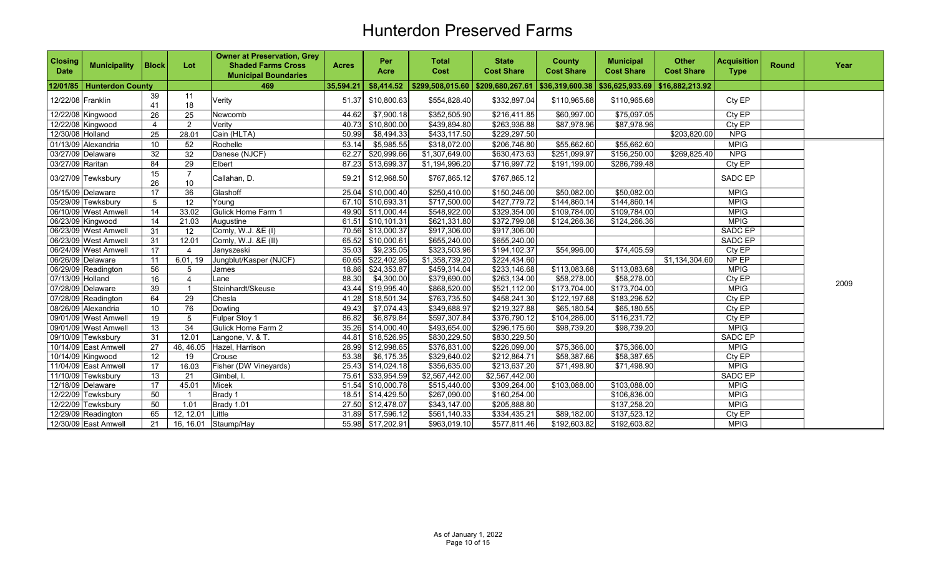| <b>Closing</b><br><b>Date</b> | <b>Municipality</b>       | <b>Block</b>          | Lot                     | <b>Owner at Preservation, Grey</b><br><b>Shaded Farms Cross</b><br><b>Municipal Boundaries</b> | <b>Acres</b> | Per<br><b>Acre</b> | <b>Total</b><br>Cost                | <b>State</b><br><b>Cost Share</b> | <b>County</b><br><b>Cost Share</b> | <b>Municipal</b><br><b>Cost Share</b> | <b>Other</b><br><b>Cost Share</b> | <b>Acquisition</b><br><b>Type</b> | <b>Round</b> | Year |
|-------------------------------|---------------------------|-----------------------|-------------------------|------------------------------------------------------------------------------------------------|--------------|--------------------|-------------------------------------|-----------------------------------|------------------------------------|---------------------------------------|-----------------------------------|-----------------------------------|--------------|------|
|                               | 12/01/85 Hunterdon County |                       |                         | 469                                                                                            | 35,594.21    | \$8,414.52         | $$299,508,015.60$ $$209,680,267.61$ |                                   |                                    | \$36,319,600.38   \$36,625,933.69     | \$16,882,213.92                   |                                   |              |      |
| 12/22/08 Franklin             |                           | 39<br>41              | 11<br>18                | Verity                                                                                         | 51.37        | \$10,800.63        | \$554,828.40                        | \$332,897.04                      | \$110,965.68                       | \$110,965.68                          |                                   | Cty EP                            |              |      |
|                               | 12/22/08 Kingwood         | 26                    | 25                      | Newcomb                                                                                        | 44.62        | \$7,900.18         | \$352,505.90                        | \$216,411.85                      | \$60,997.00                        | \$75,097.05                           |                                   | Cty EP                            |              |      |
|                               | 12/22/08 Kingwood         | $\boldsymbol{\Delta}$ | $\overline{2}$          | Verity                                                                                         | 40.73        | \$10,800.00        | \$439,894.80                        | \$263,936.88                      | \$87,978.96                        | \$87,978.96                           |                                   | Cty EP                            |              |      |
| 12/30/08 Holland              |                           | 25                    | 28.01                   | Cain (HLTA)                                                                                    | 50.99        | \$8,494.33         | \$433,117.50                        | \$229,297.50                      |                                    |                                       | \$203,820.00                      | <b>NPG</b>                        |              |      |
|                               | 01/13/09 Alexandria       | 10 <sup>1</sup>       | 52                      | Rochelle                                                                                       | 53.14        | \$5,985.55         | \$318,072.00                        | \$206,746.80                      | \$55,662.60                        | \$55,662.60                           |                                   | <b>MPIG</b>                       |              |      |
|                               | 03/27/09 Delaware         | 32                    | 32                      | Danese (NJCF)                                                                                  | 62.27        | \$20,999.66        | \$1,307,649.00                      | \$630,473.63                      | \$251,099.97                       | \$156,250.00                          | \$269,825.40                      | <b>NPG</b>                        |              |      |
| 03/27/09 Raritan              |                           | 84                    | 29                      | Elbert                                                                                         |              | 87.23 \$13,699.37  | \$1,194,996.20                      | \$716,997.72                      | \$191,199.00                       | \$286,799.48                          |                                   | Cty EP                            |              |      |
|                               | 03/27/09 Tewksbury        | 15<br>26              | $\overline{7}$<br>10    | Callahan, D.                                                                                   | 59.21        | \$12,968.50        | \$767,865.12                        | \$767,865.12                      |                                    |                                       |                                   | SADC EP                           |              |      |
|                               | 05/15/09 Delaware         | 17                    | 36                      | Glashoff                                                                                       |              | 25.04 \$10,000.40  | \$250,410.00                        | \$150,246.00                      | \$50,082.00                        | \$50,082.00                           |                                   | <b>MPIG</b>                       |              |      |
|                               | 05/29/09 Tewksbury        | 5                     | 12                      | Young                                                                                          |              | 67.10 \$10,693.31  | \$717,500.00                        | \$427,779.72                      | \$144,860.14                       | \$144,860.14                          |                                   | <b>MPIG</b>                       |              |      |
|                               | 06/10/09 West Amwell      | 14                    | 33.02                   | Gulick Home Farm 1                                                                             |              | 49.90 \$11,000.44  | \$548,922.00                        | \$329,354.00                      | \$109,784.00                       | \$109,784.00                          |                                   | <b>MPIG</b>                       |              |      |
|                               | 06/23/09 Kingwood         | 14                    | 21.03                   | Augustine                                                                                      |              | 61.51 \$10,101.31  | \$621,331.80                        | \$372,799.08                      | \$124,266.36                       | \$124,266.36                          |                                   | <b>MPIG</b>                       |              |      |
|                               | 06/23/09 West Amwell      | 31                    | 12                      | Comly, W.J. &E (I)                                                                             | 70.56        | \$13,000.37        | \$917,306.00                        | \$917,306.00                      |                                    |                                       |                                   | <b>SADC EP</b>                    |              |      |
|                               | 06/23/09 West Amwell      | 31                    | 12.01                   | Comly, W.J. &E (II)                                                                            |              | 65.52 \$10,000.61  | \$655,240.00                        | \$655,240.00                      |                                    |                                       |                                   | SADC EP                           |              |      |
|                               | 06/24/09 West Amwell      | 17                    |                         | Janyszeski                                                                                     | 35.03        | \$9,235.05         | \$323,503.96                        | \$194, 102.37                     | \$54,996.00                        | \$74,405.59                           |                                   | Cty EP                            |              |      |
|                               | 06/26/09 Delaware         | 11                    | 6.01, 19                | Jungblut/Kasper (NJCF)                                                                         |              | 60.65 \$22,402.95  | \$1,358,739.20                      | \$224,434.60                      |                                    |                                       | \$1,134,304.60                    | NP EP                             |              |      |
|                               | 06/29/09 Readington       | 56                    | 5                       | James                                                                                          | 18.86        | \$24,353.87        | \$459,314.04                        | \$233,146.68                      | \$113,083.68                       | \$113,083.68                          |                                   | <b>MPIG</b>                       |              |      |
| 07/13/09 Holland              |                           | 16                    | 4                       | Lane                                                                                           | 88.30        | \$4,300.00         | \$379,690.00                        | \$263,134.00                      | \$58,278.00                        | \$58,278.00                           |                                   | Cty EP                            |              | 2009 |
|                               | 07/28/09 Delaware         | 39                    | $\overline{\mathbf{1}}$ | Steinhardt/Skeuse                                                                              |              | 43.44 \$19,995.40  | \$868,520.00                        | \$521,112.00                      | \$173,704.00                       | \$173,704.00                          |                                   | <b>MPIG</b>                       |              |      |
|                               | 07/28/09 Readington       | 64                    | 29                      | Chesla                                                                                         |              | 41.28 \$18,501.34  | \$763,735.50                        | \$458,241.30                      | \$122,197.68                       | \$183,296.52                          |                                   | Cty EP                            |              |      |
|                               | 08/26/09 Alexandria       | 10                    | 76                      | Dowling                                                                                        | 49.43        | \$7,074.43         | \$349,688.97                        | \$219,327.88                      | \$65,180.54                        | \$65,180.55                           |                                   | Cty EP                            |              |      |
|                               | 09/01/09 West Amwell      | $\overline{19}$       | 5                       | Fulper Stoy 1                                                                                  | 86.82        | \$6,879.84         | \$597,307.84                        | \$376,790.12                      | \$104,286.00                       | \$116,231.72                          |                                   | CtyEP                             |              |      |
|                               | 09/01/09 West Amwell      | 13                    | $\overline{34}$         | Gulick Home Farm 2                                                                             | 35.26        | \$14,000.40        | \$493,654.00                        | \$296,175.60                      | \$98,739.20                        | \$98,739.20                           |                                   | <b>MPIG</b>                       |              |      |
|                               | 09/10/09 Tewksbury        | 31                    | 12.01                   | Langone, V. & T.                                                                               |              | 44.81 \$18,526.95  | \$830,229.50                        | \$830,229.50                      |                                    |                                       |                                   | SADC EP                           |              |      |
|                               | 10/14/09 East Amwell      | 27                    | 46, 46.05               | Hazel, Harrison                                                                                |              | 28.99 \$12,998.65  | \$376,831.00                        | \$226,099.00                      | \$75,366.00                        | \$75,366.00                           |                                   | <b>MPIG</b>                       |              |      |
|                               | 10/14/09 Kingwood         | 12                    | 19                      | Crouse                                                                                         | 53.38        | \$6,175.35         | \$329,640.02                        | \$212,864.71                      | \$58,387.66                        | \$58,387.65                           |                                   | Cty EP                            |              |      |
|                               | 11/04/09 East Amwell      | 17                    | 16.03                   | Fisher (DW Vineyards)                                                                          | 25.43        | \$14,024.18        | \$356,635.00                        | $$2\overline{13,637.20}$          | \$71,498.90                        | \$71,498.90                           |                                   | <b>MPIG</b>                       |              |      |
|                               | 11/10/09 Tewksbury        | 13                    | 21                      | Gimbel, I.                                                                                     | 75.61        | \$33,954.59        | \$2,567,442.00                      | \$2,567,442.00                    |                                    |                                       |                                   | <b>SADC EP</b>                    |              |      |
|                               | 12/18/09 Delaware         | 17                    | 45.01                   | Micek                                                                                          |              | 51.54 \$10,000.78  | \$515,440.00                        | \$309,264.00                      | \$103,088.00                       | \$103,088.00                          |                                   | <b>MPIG</b>                       |              |      |
|                               | 12/22/09 Tewksbury        | 50                    | $\overline{\mathbf{1}}$ | Brady 1                                                                                        |              | 18.51 \$14,429.50  | \$267,090.00                        | \$160,254.00                      |                                    | \$106,836.00                          |                                   | <b>MPIG</b>                       |              |      |
|                               | 12/22/09 Tewksbury        | 50                    | 1.01                    | Brady 1.01                                                                                     |              | 27.50 \$12,478.07  | \$343,147.00                        | \$205,888.80                      |                                    | \$137,258.20                          |                                   | <b>MPIG</b>                       |              |      |
|                               | 12/29/09 Readington       | 65                    | 12.12.01                | Little                                                                                         |              | 31.89 \$17,596.12  | \$561,140.33                        | \$334,435.21                      | \$89,182.00                        | \$137,523.12                          |                                   | Cty EP                            |              |      |
|                               | 12/30/09 East Amwell      | 21                    |                         | 16, 16.01 Staump/Hay                                                                           |              | 55.98 \$17,202.91  | \$963,019.10                        | \$577,811.46                      | \$192,603.82                       | \$192,603.82                          |                                   | <b>MPIG</b>                       |              |      |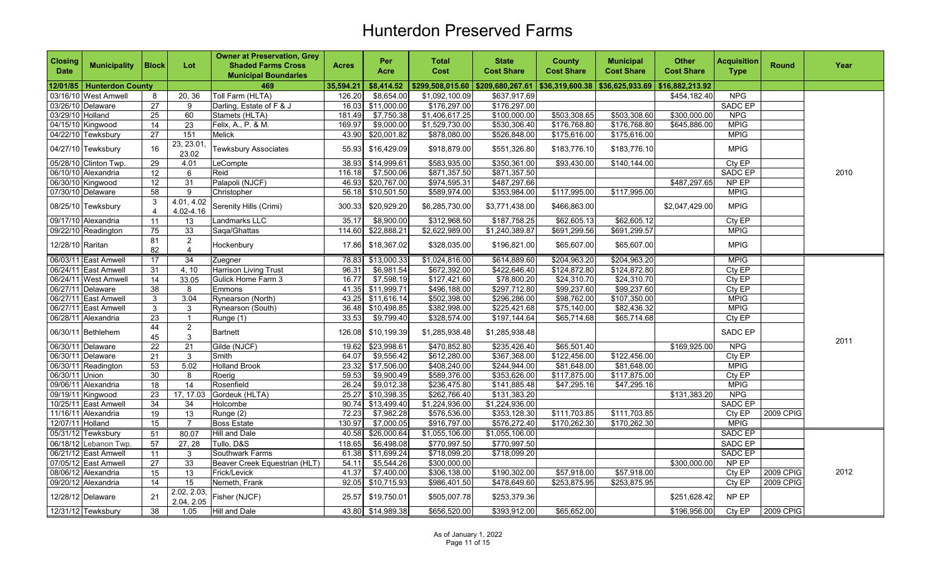| <b>Closing</b><br><b>Date</b> | <b>Municipality</b>         | <b>Block</b>      | Lot                              | <b>Owner at Preservation, Grey</b><br><b>Shaded Farms Cross</b><br><b>Municipal Boundaries</b> | <b>Acres</b> | Per<br>Acre       | <b>Total</b><br>Cost | <b>State</b><br><b>Cost Share</b> | <b>County</b><br><b>Cost Share</b> | <b>Municipal</b><br><b>Cost Share</b> | <b>Other</b><br><b>Cost Share</b> | <b>Acquisition</b><br><b>Type</b> | <b>Round</b> | Year |
|-------------------------------|-----------------------------|-------------------|----------------------------------|------------------------------------------------------------------------------------------------|--------------|-------------------|----------------------|-----------------------------------|------------------------------------|---------------------------------------|-----------------------------------|-----------------------------------|--------------|------|
|                               | 12/01/85   Hunterdon County |                   |                                  | 469                                                                                            | 35,594.21    | \$8,414.52        |                      | \$299,508,015.60 \$209,680,267.61 | \$36,319,600.38   \$36,625,933.69  |                                       | \$16,882,213.92                   |                                   |              |      |
|                               | 03/16/10 West Amwell        | 8                 | 20, 36                           | Toll Farm (HLTA)                                                                               | 126.20       | \$8,654.00        | \$1,092,100.09       | \$637,917.69                      |                                    |                                       | \$454,182.40                      | NPG                               |              |      |
|                               | 03/26/10 Delaware           | $\overline{27}$   | 9                                | Darling, Estate of F & J                                                                       | 16.03        | \$11,000.00       | \$176,297.00         | \$176,297.00                      |                                    |                                       |                                   | SADC EP                           |              |      |
| 03/29/10 Holland              |                             | 25                | 60                               | Stamets (HLTA)                                                                                 | 181.49       | \$7,750.38        | \$1,406,617.25       | \$100,000.00                      | \$503,308.65                       | \$503,308.60                          | \$300,000.00                      | <b>NPG</b>                        |              |      |
|                               | 04/15/10 Kingwood           | 14                | 23                               | Felix, A., P. & M.                                                                             | 169.97       | \$9,000.00        | \$1,529,730.00       | \$530,306.40                      | \$176,768.80                       | \$176,768.80                          | \$645,886.00                      | <b>MPIG</b>                       |              |      |
|                               | 04/22/10 Tewksbury          | 27                | 151                              | Melick                                                                                         | 43.90        | \$20,001.82       | \$878,080.00         | \$526,848.00                      | \$175,616.00                       | \$175,616.00                          |                                   | <b>MPIG</b>                       |              |      |
|                               | 04/27/10 Tewksbury          | 16                | 23, 23.01<br>23.02               | <b>Tewksbury Associates</b>                                                                    | 55.93        | \$16,429.09       | \$918,879.00         | \$551,326.80                      | \$183,776.10                       | \$183,776.10                          |                                   | <b>MPIG</b>                       |              |      |
|                               | 05/28/10 Clinton Twp.       | 29                | 4.01                             | LeCompte                                                                                       | 38.93        | \$14,999.61       | \$583,935.00         | \$350,361.00                      | \$93,430.00                        | \$140,144.00                          |                                   | Cty EP                            |              |      |
|                               | 06/10/10 Alexandria         | 12 <sup>°</sup>   | 6                                | Reid                                                                                           | 116.18       | \$7,500.06        | \$871,357.50         | \$871,357.50                      |                                    |                                       |                                   | SADC EP                           |              | 2010 |
|                               | 06/30/10 Kingwood           | $12 \overline{ }$ | 31                               | Palapoli (NJCF)                                                                                | 46.93        | \$20,767.00       | \$974,595.31         | \$487,297.66                      |                                    |                                       | \$487,297.65                      | NP EP                             |              |      |
|                               | 07/30/10 Delaware           | 58                | 9                                | Christopher                                                                                    | 56.18        | \$10,501.50       | \$589,974.00         | \$353,984.00                      | \$117,995.00                       | \$117.995.00                          |                                   | <b>MPIG</b>                       |              |      |
|                               | 08/25/10 Tewksbury          | 3<br>$\Delta$     | 4.01, 4.02<br>4.02-4.16          | Serenity Hills (Crimi)                                                                         | 300.33       | \$20,929.20       | \$6,285,730.00       | \$3,771,438.00                    | \$466,863.00                       |                                       | \$2,047,429.00                    | <b>MPIG</b>                       |              |      |
|                               | 09/17/10 Alexandria         | 11                | 13                               | Landmarks LLC                                                                                  | 35.17        | \$8,900.00        | \$312,968.50         | \$187,758.25                      | \$62,605.13                        | \$62,605.12                           |                                   | Cty EP                            |              |      |
|                               | 09/22/10 Readington         | 75                | 33                               | Saga/Ghattas                                                                                   | 114.60       | \$22,888.21       | \$2,622,989.00       | \$1,240,389.87                    | \$691,299.56                       | \$691,299.57                          |                                   | <b>MPIG</b>                       |              |      |
| 12/28/10 Raritan              |                             | 81<br>82          | $\overline{2}$<br>$\overline{4}$ | Hockenbury                                                                                     | 17.86        | \$18,367.02       | \$328,035.00         | \$196,821.00                      | \$65,607.00                        | \$65,607.00                           |                                   | <b>MPIG</b>                       |              |      |
|                               | 06/03/11 East Amwell        | 17                | $\overline{34}$                  | Zuegner                                                                                        | 78.83        | \$13,000.33       | \$1,024,816.00       | \$614,889.60                      | \$204,963.20                       | \$204,963.20                          |                                   | <b>MPIG</b>                       |              |      |
|                               | 06/24/11 East Amwell        | 31                | 4, 10                            | Harrison Living Trust                                                                          | 96.31        | \$6,981.54        | \$672,392.00         | \$422,646.40                      | \$124,872.80                       | \$124,872.80                          |                                   | Cty EP                            |              |      |
|                               | 06/24/11 West Amwell        | 14                | 33.05                            | Gulick Home Farm 3                                                                             | 16.77        | \$7,598.19        | \$127,421.60         | $\overline{$78,800.20}$           | \$24,310.70                        | \$24,310.70                           |                                   | Cty EP                            |              |      |
|                               | 06/27/11 Delaware           | 38                | 8                                | Emmons                                                                                         |              | 41.35 \$11,999.71 | \$496,188.00         | \$297,712.80                      | \$99,237.60                        | \$99,237.60                           |                                   | Cty EP                            |              |      |
|                               | 06/27/11 East Amwell        | 3                 | 3.04                             | Rynearson (North)                                                                              | 43.25        | \$11,616.14       | \$502,398.00         | \$296,286.00                      | \$98,762.00                        | \$107,350.00                          |                                   | <b>MPIG</b>                       |              |      |
|                               | 06/27/11 East Amwell        | $\mathbf{3}$      | 3                                | Rynearson (South)                                                                              | 36.48        | \$10,498.85       | \$382,998.00         | \$225,421.68                      | \$75,140.00                        | \$82,436.32                           |                                   | <b>MPIG</b>                       |              |      |
|                               | 06/28/11 Alexandria         | 23                | $\overline{1}$                   | Runge (1)                                                                                      | 33.53        | \$9,799.40        | \$328,574.00         | \$197,144.64                      | \$65,714.68                        | \$65,714.68                           |                                   | Cty EP                            |              |      |
|                               | 06/30/11 Bethlehem          | 44<br>45          | $\overline{2}$<br>$\mathbf{3}$   | <b>Bartnett</b>                                                                                | 126.08       | \$10,199.39       | \$1,285,938.48       | \$1,285,938.48                    |                                    |                                       |                                   | SADC EP                           |              | 2011 |
|                               | 06/30/11 Delaware           | $\overline{22}$   | $\overline{21}$                  | Gilde (NJCF)                                                                                   | 19.62        | \$23,998.61       | \$470,852.80         | \$235,426.40                      | \$65,501.40                        |                                       | \$169,925.00                      | NPG                               |              |      |
|                               | 06/30/11 Delaware           | $\overline{21}$   | $\overline{3}$                   | Smith                                                                                          | 64.07        | \$9,556.42        | \$612,280.00         | \$367,368.00                      | \$122,456.00                       | \$122,456.00                          |                                   | Cty EP                            |              |      |
|                               | 06/30/11 Readington         | 53                | 5.02                             | <b>Holland Brook</b>                                                                           |              | 23.32 \$17,506.00 | \$408,240.00         | \$244,944.00                      | \$81,648.00                        | \$81,648.00                           |                                   | <b>MPIG</b>                       |              |      |
| 06/30/11 Union                |                             | 30                | 8                                | Roerig                                                                                         | 59.53        | \$9,900.49        | \$589,376.00         | \$353,626.00                      | \$117,875.00                       | \$117,875.00                          |                                   | Cty EP                            |              |      |
|                               | 09/06/11 Alexandria         | 18                | 14                               | Rosenfield                                                                                     | 26.24        | \$9,012.38        | \$236,475.80         | \$141,885.48                      | \$47,295.16                        | \$47,295.16                           |                                   | <b>MPIG</b>                       |              |      |
|                               | 09/19/11 Kingwood           | 23                | 17, 17.03                        | Gordeuk (HLTA)                                                                                 | 25.27        | \$10,398.35       | \$262,766.40         | \$131,383.20                      |                                    |                                       | \$131,383.20                      | <b>NPG</b>                        |              |      |
|                               | 10/25/11 East Amwell        | 34                | 34                               | Holcombe                                                                                       | 90.74        | \$13,499.40       | \$1,224,936.00       | \$1,224,936.00                    |                                    |                                       |                                   | <b>SADC EP</b>                    |              |      |
|                               | 11/16/11 Alexandria         | 19                | 13                               | Runge (2)                                                                                      | 72.23        | \$7,982.28        | \$576,536.00         | \$353,128.30                      | \$111,703.85                       | \$111,703.85                          |                                   | Cty EP                            | 2009 CPIG    |      |
| 12/07/11 Holland              |                             | 15                | $\overline{7}$                   | <b>Boss Estate</b>                                                                             | 130.97       | \$7,000.05        | \$916,797.00         | \$576,272.40                      | \$170,262.30                       | \$170,262.30                          |                                   | <b>MPIG</b>                       |              |      |
|                               | 05/31/12 Tewksbury          | 51                | 80.07                            | <b>Hill and Dale</b>                                                                           | 40.58        | \$26,000.64       | \$1,055,106.00       | \$1,055,106.00                    |                                    |                                       |                                   | SADC EP                           |              |      |
|                               | 06/18/12 Lebanon Twp.       | 57                | 27, 28                           | Tullo, D&S                                                                                     | 118.65       | \$6,498.08        | \$770,997.50         | \$770,997.50                      |                                    |                                       |                                   | SADC EP                           |              |      |
|                               | 06/21/12 East Amwell        | 11                | 3                                | Southwark Farms                                                                                | 61.38        | \$11,699.24       | \$718,099.20         | \$718,099.20                      |                                    |                                       |                                   | SADC EP                           |              |      |
|                               | 07/05/12 East Amwell        | 27                | 33                               | Beaver Creek Equestrian (HLT)                                                                  | 54.11        | \$5,544.26        | \$300,000.00         |                                   |                                    |                                       | \$300,000.00                      | NP EP                             |              |      |
|                               | 08/06/12 Alexandria         | 15                | 13                               | Frick/Levick                                                                                   | 41.37        | \$7,400.00        | \$306,138.00         | \$190,302.00                      | \$57,918.00                        | \$57,918.00                           |                                   | Cty EP                            | 2009 CPIG    | 2012 |
|                               | 09/20/12 Alexandria         | 14                | 15                               | Nemeth, Frank                                                                                  | 92.05        | \$10,715.93       | \$986,401.50         | \$478,649.60                      | \$253,875.95                       | \$253,875.95                          |                                   | Cty EP                            | 2009 CPIG    |      |
|                               | 12/28/12 Delaware           | 21                | 2.02, 2.03,<br>2.04, 2.05        | Fisher (NJCF)                                                                                  | 25.57        | \$19,750.01       | \$505,007.78         | \$253,379.36                      |                                    |                                       | \$251,628.42                      | NP EP                             |              |      |
|                               | 12/31/12 Tewksbury          | 38                | 1.05                             | <b>Hill and Dale</b>                                                                           |              | 43.80 \$14,989.38 | \$656,520.00         | \$393,912.00                      | \$65,652.00                        |                                       | \$196,956.00                      | Cty EP                            | 2009 CPIG    |      |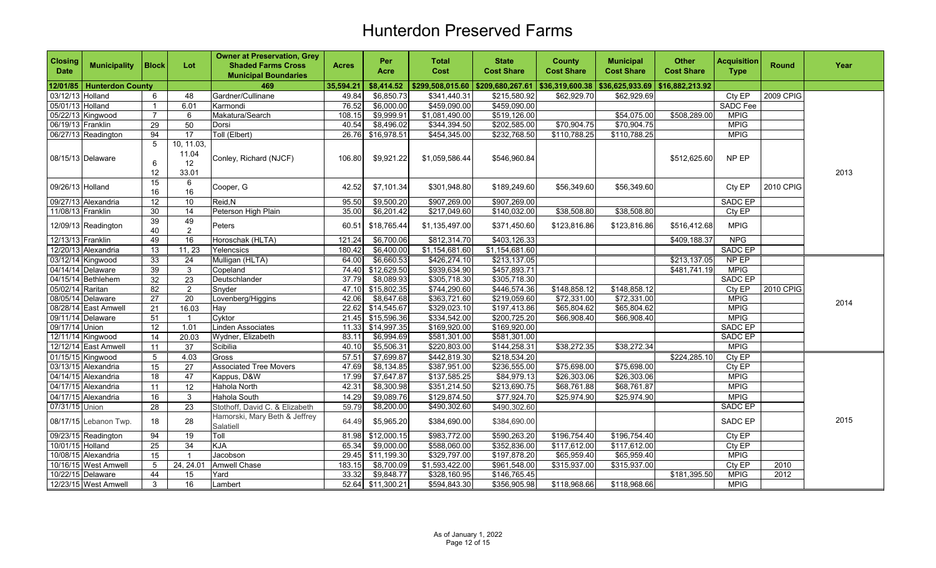| <b>Closing</b><br><b>Date</b> | <b>Municipality</b>         | <b>Block</b>    | Lot                                               | <b>Owner at Preservation, Grey</b><br><b>Shaded Farms Cross</b><br><b>Municipal Boundaries</b> | <b>Acres</b> | Per<br><b>Acre</b> | <b>Total</b><br>Cost              | <b>State</b><br><b>Cost Share</b> | <b>County</b><br><b>Cost Share</b> | <b>Municipal</b><br><b>Cost Share</b> | <b>Other</b><br><b>Cost Share</b> | <b>Acquisition</b><br><b>Type</b> | <b>Round</b>     | Year |
|-------------------------------|-----------------------------|-----------------|---------------------------------------------------|------------------------------------------------------------------------------------------------|--------------|--------------------|-----------------------------------|-----------------------------------|------------------------------------|---------------------------------------|-----------------------------------|-----------------------------------|------------------|------|
|                               | 12/01/85   Hunterdon County |                 |                                                   | 469                                                                                            | 35,594.21    | \$8,414.52         | \$299,508,015.60 \$209,680,267.61 |                                   | \$36,319,600.38   \$36,625,933.69  |                                       | \$16,882,213.92                   |                                   |                  |      |
| 03/12/13 Holland              |                             | 6               | 48                                                | Gardner/Cullinane                                                                              | 49.84        | \$6,850.73         | \$341,440.31                      | \$215,580.92                      | \$62,929.70                        | \$62,929.69                           |                                   | Cty EP                            | <b>2009 CPIG</b> |      |
| 05/01/13 Holland              |                             |                 | 6.01                                              | Karmondi                                                                                       | 76.52        | \$6,000.00         | \$459,090.00                      | \$459,090.00                      |                                    |                                       |                                   | <b>SADC Fee</b>                   |                  |      |
|                               | 05/22/13 Kingwood           | $\overline{7}$  | 6                                                 | Makatura/Search                                                                                | 108.15       | \$9,999.91         | \$1,081,490.00                    | \$519,126.00                      |                                    | \$54,075.00                           | \$508,289.00                      | <b>MPIG</b>                       |                  |      |
| 06/19/13 Franklin             |                             | 29              | 50                                                | Dorsi                                                                                          | 40.54        | \$8,496.02         | \$344,394.50                      | \$202,585.00                      | \$70,904.75                        | \$70,904.75                           |                                   | <b>MPIG</b>                       |                  |      |
|                               | 06/27/13 Readington         | 94              | 17                                                | Toll (Elbert)                                                                                  | 26.76        | \$16,978.51        | \$454,345.00                      | \$232,768.50                      | \$110,788.25                       | \$110,788.25                          |                                   | <b>MPIG</b>                       |                  |      |
|                               | 08/15/13 Delaware           | 5<br>6<br>12    | 10, 11.03,<br>11.04<br>$12 \overline{ }$<br>33.01 | Conley, Richard (NJCF)                                                                         | 106.80       | \$9,921.22         | \$1,059,586.44                    | \$546,960.84                      |                                    |                                       | \$512,625.60                      | NP EP                             |                  | 2013 |
| 09/26/13 Holland              |                             | 15<br>16        | 6<br>16                                           | Cooper, G                                                                                      | 42.52        | \$7,101.34         | \$301,948.80                      | \$189,249.60                      | \$56,349.60                        | \$56,349.60                           |                                   | Cty EP                            | 2010 CPIG        |      |
|                               | 09/27/13 Alexandria         | $\overline{12}$ | 10                                                | Reid, N                                                                                        | 95.50        | \$9,500.20         | \$907,269.00                      | \$907,269.00                      |                                    |                                       |                                   | <b>SADC EP</b>                    |                  |      |
| 11/08/13 Franklin             |                             | 30              | 14                                                | Peterson High Plain                                                                            | 35.00        | \$6,201.42         | \$217,049.60                      | \$140,032.00                      | \$38,508.80                        | \$38,508.80                           |                                   | Cty EP                            |                  |      |
|                               | 12/09/13 Readington         | 39<br>40        | 49<br>$\mathbf{2}$                                | Peters                                                                                         | 60.51        | \$18,765.44        | \$1,135,497.00                    | \$371,450.60                      | \$123,816.86                       | \$123,816.86                          | \$516,412.68                      | <b>MPIG</b>                       |                  |      |
| 12/13/13 Franklin             |                             | 49              | 16                                                | Horoschak (HLTA)                                                                               | 121.24       | \$6,700.06         | \$812,314.70                      | \$403,126.33                      |                                    |                                       | \$409,188.37                      | <b>NPG</b>                        |                  |      |
|                               | 12/20/13 Alexandria         | $\overline{13}$ | 11, 23                                            | Yelencsics                                                                                     | 180.42       | \$6,400.00         | \$1,154,681.60                    | \$1,154,681.60                    |                                    |                                       |                                   | SADC EP                           |                  |      |
|                               | 03/12/14 Kingwood           | 33              | 24                                                | Mulligan (HLTA)                                                                                | 64.00        | \$6,660.53         | \$426,274.10                      | \$213,137.05                      |                                    |                                       | \$213,137.05                      | NP EP                             |                  |      |
|                               | 04/14/14 Delaware           | 39              | $\mathbf 3$                                       | Copeland                                                                                       | 74.40        | \$12,629.50        | \$939,634.90                      | \$457,893.71                      |                                    |                                       | \$481,741.19                      | <b>MPIG</b>                       |                  |      |
|                               | 04/15/14 Bethlehem          | 32              | $\overline{23}$                                   | Deutschlander                                                                                  | 37.79        | \$8,089.93         | \$305,718.30                      | \$305,718.30                      |                                    |                                       |                                   | SADC EP                           |                  |      |
| 05/02/14 Raritan              |                             | 82              | $\overline{2}$                                    | Snyder                                                                                         | 47.10        | \$15,802.35        | \$744,290.60                      | \$446,574.36                      | \$148,858.12                       | \$148,858.12                          |                                   | CtyEP                             | 2010 CPIG        |      |
|                               | 08/05/14 Delaware           | 27              | $\overline{20}$                                   | Lovenberg/Higgins                                                                              | 42.06        | \$8,647.68         | \$363,721.60                      | \$219,059.60                      | \$72,331.00                        | \$72,331.00                           |                                   | <b>MPIG</b>                       |                  | 2014 |
|                               | 08/28/14 East Amwell        | 21              | 16.03                                             | Hay                                                                                            |              | 22.62 \$14,545.67  | \$329,023.10                      | \$197,413.86                      | \$65,804.62                        | \$65,804.62                           |                                   | <b>MPIG</b>                       |                  |      |
|                               | 09/11/14 Delaware           | 51              | $\overline{1}$                                    | Cyktor                                                                                         |              | 21.45 \$15,596.36  | \$334,542.00                      | \$200,725.20                      | \$66,908.40                        | \$66,908.40                           |                                   | <b>MPIG</b>                       |                  |      |
| 09/17/14 Union                |                             | 12              | 1.01                                              | Linden Associates                                                                              |              | 11.33 \$14,997.35  | \$169,920.00                      | \$169,920.00                      |                                    |                                       |                                   | SADC EP                           |                  |      |
|                               | 12/11/14 Kingwood           | 14              | 20.03                                             | Wydner, Elizabeth                                                                              | 83.11        | \$6,994.69         | \$581,301.00                      | \$581,301.00                      |                                    |                                       |                                   | <b>SADC EP</b>                    |                  |      |
|                               | 12/12/14 East Amwell        | 11              | 37                                                | Scibilia                                                                                       | 40.10        | \$5,506.31         | \$220,803.00                      | \$144,258.31                      | \$38,272.35                        | \$38,272.34                           |                                   | <b>MPIG</b>                       |                  |      |
|                               | 01/15/15 Kingwood           | 5               | 4.03                                              | Gross                                                                                          | 57.51        | \$7,699.87         | \$442,819.30                      | \$218,534.20                      |                                    |                                       | \$224,285.10                      | CtyEP                             |                  |      |
|                               | 03/13/15 Alexandria         | 15              | 27                                                | <b>Associated Tree Movers</b>                                                                  | 47.69        | \$8,134.85         | \$387,951.00                      | \$236,555.00                      | \$75,698.00                        | \$75,698.00                           |                                   | Cty EP                            |                  |      |
|                               | 04/14/15 Alexandria         | 18              | 47                                                | Kappus, D&W                                                                                    | 17.99        | \$7,647.87         | \$137,585.25                      | \$84,979.13                       | \$26,303.06                        | \$26,303.06                           |                                   | <b>MPIG</b>                       |                  |      |
|                               | 04/17/15 Alexandria         | 11              | 12                                                | Hahola North                                                                                   | 42.31        | \$8,300.98         | \$351,214.50                      | \$213,690.75                      | \$68,761.88                        | \$68,761.87                           |                                   | <b>MPIG</b>                       |                  |      |
|                               | 04/17/15 Alexandria         | 16              | $\mathbf{3}$                                      | Hahola South                                                                                   | 14.29        | \$9,089.76         | \$129,874.50                      | \$77,924.70                       | \$25,974.90                        | \$25,974.90                           |                                   | <b>MPIG</b>                       |                  |      |
| 07/31/15 Union                |                             | 28              | 23                                                | Stothoff, David C. & Elizabeth                                                                 | 59.79        | \$8,200.00         | \$490,302.60                      | \$490,302.60                      |                                    |                                       |                                   | SADC EP                           |                  |      |
|                               | 08/17/15 Lebanon Twp.       | 18              | 28                                                | Hamorski, Mary Beth & Jeffrey<br>Salatiell                                                     | 64.49        | \$5,965.20         | \$384,690.00                      | \$384,690.00                      |                                    |                                       |                                   | SADC EP                           |                  | 2015 |
|                               | 09/23/15 Readington         | 94              | 19                                                | Toll                                                                                           | 81.98        | \$12,000.15        | \$983,772.00                      | \$590,263.20                      | \$196,754.40                       | \$196,754.40                          |                                   | Cty EP                            |                  |      |
| 10/01/15 Holland              |                             | 25              | $\overline{34}$                                   | <b>KJA</b>                                                                                     | 65.34        | \$9,000.00         | \$588,060.00                      | \$352,836.00                      | \$117,612.00                       | \$117,612.00                          |                                   | Cty EP                            |                  |      |
|                               | 10/08/15 Alexandria         | 15              | $\overline{\mathbf{1}}$                           | Jacobson                                                                                       | 29.45        | \$11,199.30        | \$329,797.00                      | \$197,878.20                      | \$65,959.40                        | \$65,959.40                           |                                   | <b>MPIG</b>                       |                  |      |
|                               | 10/16/15 West Amwell        | 5               | 24, 24.01                                         | Amwell Chase                                                                                   | 183.15       | \$8,700.09         | \$1,593,422.00                    | \$961,548.00                      | \$315,937.00                       | \$315,937.00                          |                                   | Cty EP                            | 2010             |      |
|                               | 10/22/15 Delaware           | 44              | 15                                                | Yard                                                                                           | 33.32        | \$9,848.77         | \$328,160.95                      | \$146,765.45                      |                                    |                                       | \$181,395.50                      | <b>MPIG</b>                       | 2012             |      |
|                               | 12/23/15 West Amwell        | 3               | 16                                                | Lambert                                                                                        |              | 52.64 \$11,300.21  | \$594,843.30                      | \$356,905.98                      | \$118,968.66                       | \$118,968.66                          |                                   | <b>MPIG</b>                       |                  |      |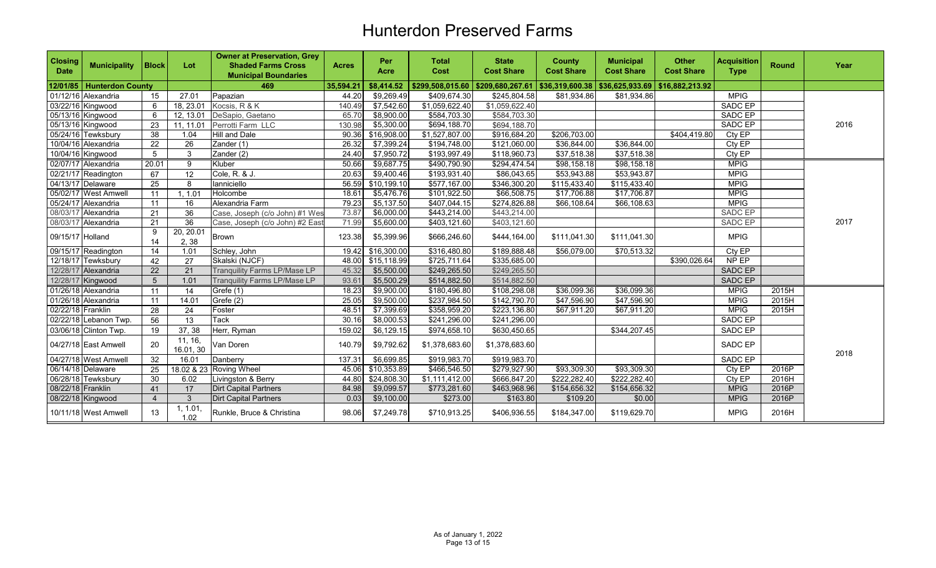| <b>Closing</b><br><b>Date</b> | <b>Municipality</b>     | <b>Block</b>    | Lot                  | <b>Owner at Preservation, Grey</b><br><b>Shaded Farms Cross</b><br><b>Municipal Boundaries</b> | <b>Acres</b> | Per<br>Acre | <b>Total</b><br><b>Cost</b>         | <b>State</b><br><b>Cost Share</b> | <b>County</b><br><b>Cost Share</b> | <b>Municipal</b><br><b>Cost Share</b> | <b>Other</b><br><b>Cost Share</b> | <b>Acquisition</b><br><b>Type</b> | <b>Round</b> | Year |
|-------------------------------|-------------------------|-----------------|----------------------|------------------------------------------------------------------------------------------------|--------------|-------------|-------------------------------------|-----------------------------------|------------------------------------|---------------------------------------|-----------------------------------|-----------------------------------|--------------|------|
| 12/01/85                      | <b>Hunterdon County</b> |                 |                      | 469                                                                                            | 35,594.21    | \$8,414.52  | $$299,508,015.60$ $$209,680,267.61$ |                                   | \$36,319,600.38                    | $$36,625,933.69$ $$16,882,213.92$     |                                   |                                   |              |      |
|                               | 01/12/16 Alexandria     | 15              | 27.01                | Papazian                                                                                       | 44.20        | \$9,269.49  | \$409,674.30                        | \$245,804.58                      | \$81,934.86                        | \$81,934.86                           |                                   | <b>MPIG</b>                       |              |      |
|                               | 03/22/16 Kingwood       | 6               | 18.23.01             | Kocsis, R & K                                                                                  | 140.49       | \$7,542.60  | \$1,059,622.40                      | \$1,059,622.40                    |                                    |                                       |                                   | <b>SADC EP</b>                    |              |      |
|                               | 05/13/16 Kingwood       | 6               | 12, 13.01            | DeSapio, Gaetano                                                                               | 65.70        | \$8,900.00  | \$584,703.30                        | \$584,703.30                      |                                    |                                       |                                   | SADC EP                           |              |      |
|                               | 05/13/16 Kingwood       | 23              | 11, 11.01            | Perrotti Farm LLC                                                                              | 130.98       | \$5,300.00  | \$694,188.70                        | \$694,188.70                      |                                    |                                       |                                   | <b>SADC EP</b>                    |              | 2016 |
|                               | 05/24/16 Tewksbury      | 38              | 1.04                 | <b>Hill and Dale</b>                                                                           | 90.36        | \$16,908.00 | \$1,527,807.00                      | \$916,684.20                      | \$206,703.00                       |                                       | \$404,419.80                      | CtyEP                             |              |      |
|                               | 10/04/16 Alexandria     | 22              | 26                   | Zander (1)                                                                                     | 26.32        | \$7,399.24  | \$194,748.00                        | \$121,060.00                      | \$36,844.00                        | \$36,844.00                           |                                   | Cty EP                            |              |      |
|                               | 10/04/16 Kingwood       | 5               | 3                    | Zander (2)                                                                                     | 24.40        | \$7,950.72  | \$193,997.49                        | \$118,960.73                      | \$37,518.38                        | \$37,518.38                           |                                   | Cty EP                            |              |      |
|                               | 02/07/17 Alexandria     | 20.01           | 9                    | Kluber                                                                                         | 50.66        | \$9,687.75  | \$490,790.90                        | \$294,474.54                      | \$98,158.18                        | \$98,158.18                           |                                   | <b>MPIG</b>                       |              |      |
|                               | 02/21/17 Readington     | 67              | 12                   | Cole, R. & J.                                                                                  | 20.63        | \$9,400.46  | \$193,931.40                        | \$86,043.65                       | \$53,943.88                        | \$53,943.87                           |                                   | <b>MPIG</b>                       |              |      |
|                               | 04/13/17 Delaware       | $\overline{25}$ | 8                    | lanniciello                                                                                    | 56.59        | \$10,199.10 | \$577,167.00                        | \$346,300.20                      | \$115,433.40                       | \$115,433.40                          |                                   | <b>MPIG</b>                       |              |      |
|                               | 05/02/17 West Amwell    | 11              | 1, 1.01              | Holcombe                                                                                       | 18.61        | \$5,476.76  | \$101,922.50                        | \$66,508.75                       | \$17,706.88                        | \$17,706.87                           |                                   | <b>MPIG</b>                       |              |      |
|                               | 05/24/17 Alexandria     | 11              | 16                   | Alexandria Farm                                                                                | 79.23        | \$5,137.50  | \$407,044.15                        | \$274,826.88                      | \$66,108.64                        | \$66,108.63                           |                                   | <b>MPIG</b>                       |              |      |
|                               | 08/03/17 Alexandria     | 21              | 36                   | Case, Joseph (c/o John) #1 Wes                                                                 | 73.87        | \$6,000.00  | \$443,214.00                        | $\overline{$443,214.00}$          |                                    |                                       |                                   | <b>SADC EP</b>                    |              |      |
|                               | 08/03/17 Alexandria     | 21              | 36                   | Case, Joseph (c/o John) #2 East                                                                | 71.99        | \$5,600.00  | \$403,121.60                        | \$403,121.60                      |                                    |                                       |                                   | SADC EP                           |              | 2017 |
| 09/15/17 Holland              |                         | 9<br>14         | 20, 20.01<br>2,38    | <b>Brown</b>                                                                                   | 123.38       | \$5,399.96  | \$666,246.60                        | \$444,164.00                      | \$111,041.30                       | \$111,041.30                          |                                   | <b>MPIG</b>                       |              |      |
|                               | 09/15/17 Readington     | 14              | 1.01                 | Schley, John                                                                                   | 19.42        | \$16,300.00 | \$316,480.80                        | \$189,888.48                      | \$56,079.00                        | \$70,513.32                           |                                   | Cty EP                            |              |      |
|                               | 12/18/17 Tewksbury      | 42              | 27                   | Skalski (NJCF)                                                                                 | 48.00        | \$15,118.99 | \$725,711.64                        | \$335,685.00                      |                                    |                                       | \$390.026.64                      | NP EP                             |              |      |
|                               | 12/28/17 Alexandria     | 22              | 21                   | <b>Tranquility Farms LP/Mase LP</b>                                                            | 45.32        | \$5,500.00  | \$249,265.50                        | \$249,265.50                      |                                    |                                       |                                   | <b>SADC EP</b>                    |              |      |
|                               | 12/28/17 Kingwood       | 5               | 1.01                 | <b>Tranquility Farms LP/Mase LP</b>                                                            | 93.61        | \$5,500.29  | \$514,882.50                        | \$514,882.50                      |                                    |                                       |                                   | SADC EP                           |              |      |
|                               | 01/26/18 Alexandria     | 11              | 14                   | Grefe (1)                                                                                      | 18.23        | \$9,900.00  | \$180,496.80                        | \$108,298.08                      | \$36,099.36                        | \$36,099.36                           |                                   | <b>MPIG</b>                       | 2015H        |      |
|                               | 01/26/18 Alexandria     | 11              | 14.01                | Grefe (2)                                                                                      | 25.05        | \$9,500.00  | \$237,984.50                        | \$142,790.70                      | \$47,596.90                        | \$47,596.90                           |                                   | <b>MPIG</b>                       | 2015H        |      |
| 02/22/18 Franklin             |                         | $\overline{28}$ | 24                   | Foster                                                                                         | 48.51        | \$7,399.69  | \$358,959.20                        | \$223,136.80                      | \$67,911.20                        | \$67,911.20                           |                                   | <b>MPIG</b>                       | 2015H        |      |
|                               | 02/22/18 Lebanon Twp.   | 56              | 13                   | Tack                                                                                           | 30.16        | \$8,000.53  | \$241,296.00                        | \$241,296.00                      |                                    |                                       |                                   | SADC EP                           |              |      |
|                               | 03/06/18 Clinton Twp.   | 19              | 37, 38               | Herr, Ryman                                                                                    | 159.02       | \$6,129.15  | \$974,658.10                        | \$630,450.65                      |                                    | \$344,207.45                          |                                   | SADC EP                           |              |      |
|                               | 04/27/18 East Amwell    | 20              | 11, 16,<br>16.01, 30 | Van Doren                                                                                      | 140.79       | \$9,792.62  | \$1,378,683.60                      | \$1,378,683.60                    |                                    |                                       |                                   | SADC EP                           |              | 2018 |
|                               | 04/27/18 West Amwell    | 32              | 16.01                | Danberry                                                                                       | 137.31       | \$6,699.85  | \$919,983.70                        | \$919,983.70                      |                                    |                                       |                                   | SADC EP                           |              |      |
|                               | 06/14/18 Delaware       | 25              |                      | 18.02 & 23 Roving Wheel                                                                        | 45.06        | \$10,353.89 | \$466,546.50                        | \$279,927.90                      | \$93,309.30                        | \$93,309.30                           |                                   | Cty EP                            | 2016P        |      |
|                               | 06/28/18 Tewksbury      | 30              | 6.02                 | Livingston & Berry                                                                             | 44.80        | \$24,808.30 | \$1,111,412.00                      | \$666,847.20                      | \$222,282.40                       | \$222,282.40                          |                                   | Cty EP                            | 2016H        |      |
| 08/22/18 Franklin             |                         | 41              | 17                   | Dirt Capital Partners                                                                          | 84.98        | \$9,099.57  | \$773,281.60                        | \$463,968.96                      | \$154,656.32                       | \$154,656.32                          |                                   | <b>MPIG</b>                       | 2016P        |      |
|                               | 08/22/18 Kingwood       |                 | 3                    | <b>Dirt Capital Partners</b>                                                                   | 0.03         | \$9,100.00  | \$273.00                            | \$163.80                          | \$109.20                           | \$0.00                                |                                   | <b>MPIG</b>                       | 2016P        |      |
|                               | 10/11/18 West Amwell    | 13              | 1, 1.01<br>1.02      | Runkle. Bruce & Christina                                                                      | 98.06        | \$7,249.78  | \$710,913.25                        | \$406,936.55                      | \$184,347.00                       | \$119,629.70                          |                                   | <b>MPIG</b>                       | 2016H        |      |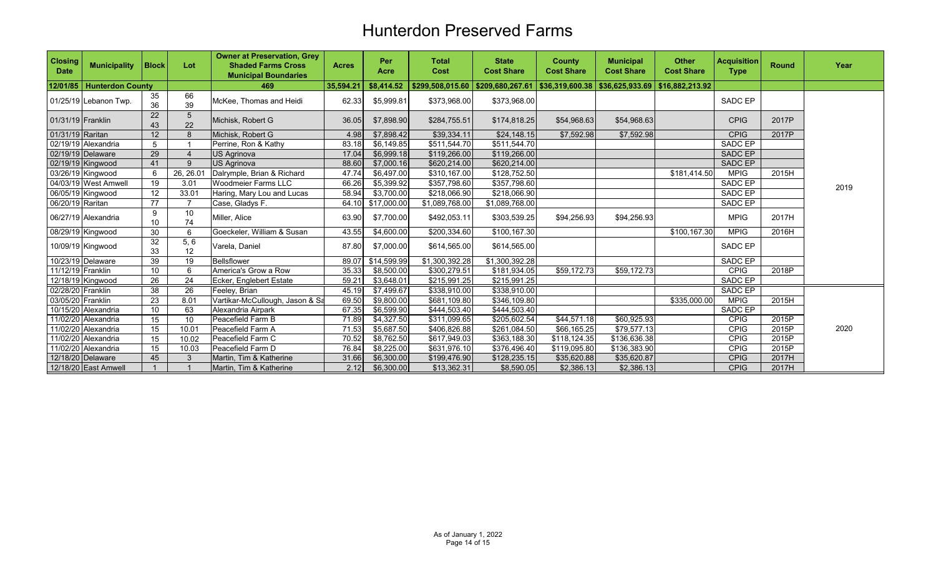| <b>Closing</b><br><b>Date</b> | <b>Municipality</b>     | <b>Block</b>    | Lot                   | <b>Owner at Preservation, Grey</b><br><b>Shaded Farms Cross</b><br><b>Municipal Boundaries</b> | <b>Acres</b> | Per<br>Acre            | <b>Total</b><br>Cost | <b>State</b><br><b>Cost Share</b>                                                      | <b>County</b><br><b>Cost Share</b> | <b>Municipal</b><br><b>Cost Share</b> | <b>Other</b><br><b>Cost Share</b> | <b>Acquisition</b><br><b>Type</b> | <b>Round</b> | Year |
|-------------------------------|-------------------------|-----------------|-----------------------|------------------------------------------------------------------------------------------------|--------------|------------------------|----------------------|----------------------------------------------------------------------------------------|------------------------------------|---------------------------------------|-----------------------------------|-----------------------------------|--------------|------|
| 12/01/85                      | <b>Hunterdon County</b> |                 |                       | 469                                                                                            | 35,594.21    | \$8,414.52             |                      | $$299,508,015.60$ $$209,680,267.61$ $$36,319,600.38$ $$36,625,933.69$ $$16,882,213.92$ |                                    |                                       |                                   |                                   |              |      |
|                               | 01/25/19 Lebanon Twp.   | 35<br>36        | 66<br>39              | McKee, Thomas and Heidi                                                                        | 62.33        | \$5,999.81             | \$373,968.00         | \$373,968.00                                                                           |                                    |                                       |                                   | SADC EP                           |              |      |
| 01/31/19 Franklin             |                         | 22<br>43        | $5\phantom{.0}$<br>22 | Michisk, Robert G                                                                              | 36.05        | \$7,898.90             | \$284,755.51         | \$174,818.25                                                                           | \$54,968.63                        | \$54,968.63                           |                                   | <b>CPIG</b>                       | 2017P        |      |
| 01/31/19 Raritan              |                         | 12              | 8                     | Michisk. Robert G                                                                              | 4.98         | \$7,898.42             | \$39,334.11          | \$24,148.15                                                                            | \$7,592.98                         | \$7,592.98                            |                                   | <b>CPIG</b>                       | 2017P        |      |
|                               | 02/19/19 Alexandria     | 5               |                       | Perrine, Ron & Kathy                                                                           | 83.18        | \$6,149.85             | \$511,544.70         | \$511,544.70                                                                           |                                    |                                       |                                   | SADC EP                           |              |      |
|                               | $02/19/19$ Delaware     | 29              |                       | <b>US Agrinova</b>                                                                             | 17.04        | \$6,999.18             | \$119,266.00         | \$119,266.00                                                                           |                                    |                                       |                                   | <b>SADC EP</b>                    |              |      |
|                               | 02/19/19 Kingwood       | 41              | $\mathbf{Q}$          | <b>US Agrinova</b>                                                                             | 88.60        | \$7,000.16             | \$620,214.00         | \$620,214.00                                                                           |                                    |                                       |                                   | SADC EP                           |              |      |
|                               | 03/26/19 Kingwood       | 6               | 26, 26.01             | Dalrymple, Brian & Richard                                                                     | 47.74        | \$6,497.00             | \$310,167.00         | \$128,752.50                                                                           |                                    |                                       | \$181,414.50                      | <b>MPIG</b>                       | 2015H        |      |
|                               | 04/03/19 West Amwell    | 19              | 3.01                  | Woodmeier Farms LLC                                                                            | 66.26        | \$5,399.92             | \$357,798.60         | \$357,798.60                                                                           |                                    |                                       |                                   | SADC EP                           |              | 2019 |
|                               | 06/05/19 Kingwood       | 12              | 33.01                 | Haring, Mary Lou and Lucas                                                                     | 58.94        | \$3,700.00             | \$218,066.90         | \$218,066.90                                                                           |                                    |                                       |                                   | SADC EP                           |              |      |
| 06/20/19 Raritan              |                         | 77              |                       | Case, Gladys F.                                                                                | 64.10        | \$17,000.00            | \$1,089,768.00       | \$1,089,768.00                                                                         |                                    |                                       |                                   | SADC EP                           |              |      |
|                               | 06/27/19 Alexandria     | 9<br>10         | 10<br>74              | Miller, Alice                                                                                  | 63.90        | \$7,700.00             | \$492,053.11         | \$303,539.25                                                                           | \$94,256.93                        | \$94,256.93                           |                                   | <b>MPIG</b>                       | 2017H        |      |
|                               | 08/29/19 Kingwood       | 30              | 6                     | Goeckeler, William & Susan                                                                     | 43.55        | \$4,600.00             | \$200,334.60         | \$100,167.30                                                                           |                                    |                                       | \$100,167.30                      | <b>MPIG</b>                       | 2016H        |      |
|                               | 10/09/19 Kingwood       | 32<br>33        | 5, 6<br>12            | Varela, Daniel                                                                                 | 87.80        | \$7,000.00             | \$614,565.00         | \$614,565.00                                                                           |                                    |                                       |                                   | SADC EP                           |              |      |
|                               | 10/23/19 Delaware       | 39              | 19                    | <b>Bellsflower</b>                                                                             | 89.07        | \$14,599.99            | \$1,300,392.28       | \$1,300,392.28                                                                         |                                    |                                       |                                   | SADC EP                           |              |      |
| 11/12/19 Franklin             |                         | 10              | 6                     | America's Grow a Row                                                                           | 35.33        | \$8,500.00             | \$300,279.51         | \$181,934.05                                                                           | \$59,172.73                        | \$59,172.73                           |                                   | <b>CPIG</b>                       | 2018P        |      |
|                               | 12/18/19 Kingwood       | 26              | 24                    | Ecker, Englebert Estate                                                                        | 59.21        | \$3,648.01             | \$215,991.25         | \$215,991.25                                                                           |                                    |                                       |                                   | SADC EP                           |              |      |
| 02/28/20 Franklin             |                         | 38              | 26                    | Feeley, Brian                                                                                  | 45.19        | \$7,499.67             | \$338,910.00         | \$338.910.00                                                                           |                                    |                                       |                                   | SADC EP                           |              |      |
| 03/05/20 Franklin             |                         | 23              | 8.01                  | Vartikar-McCullough, Jason & Sa                                                                | 69.50        | \$9,800.00             | \$681,109.80         | \$346,109.80                                                                           |                                    |                                       | \$335,000.00                      | <b>MPIG</b>                       | 2015H        |      |
|                               | 10/15/20 Alexandria     | 10 <sup>°</sup> | 63                    | Alexandria Airpark                                                                             | 67.35        | \$6,599.90             | \$444,503.40         | \$444,503.40                                                                           |                                    |                                       |                                   | <b>SADC EP</b>                    |              |      |
|                               | 11/02/20 Alexandria     | 15              | 10                    | Peacefield Farm B                                                                              | 71.89        | \$4,327.50             | \$311,099.65         | \$205,602.54                                                                           | \$44,571.18                        | \$60,925.93                           |                                   | <b>CPIG</b>                       | 2015P        |      |
|                               | 11/02/20 Alexandria     | 15              | 10.01                 | Peacefield Farm A                                                                              | 71.53        | \$5,687.50             | \$406,826.88         | \$261,084.50                                                                           | \$66,165.25                        | \$79,577.13                           |                                   | <b>CPIG</b>                       | 2015P        | 2020 |
|                               | 11/02/20 Alexandria     | 15              | 10.02                 | Peacefield Farm C                                                                              | 70.52        | $\overline{$8,762.50}$ | \$617,949.03         | \$363,188.30                                                                           | \$118,124.35                       | \$136,636.38                          |                                   | <b>CPIG</b>                       | 2015P        |      |
|                               | 11/02/20 Alexandria     | 15              | 10.03                 | Peacefield Farm D                                                                              | 76.84        | \$8,225.00             | \$631,976.10         | \$376,496.40                                                                           | \$119,095.80                       | \$136,383.90                          |                                   | CPIG                              | 2015P        |      |
|                               | 12/18/20 Delaware       | 45              |                       | Martin, Tim & Katherine                                                                        | 31.66        | \$6,300.00             | \$199,476.90         | \$128,235.15                                                                           | \$35,620.88                        | \$35,620.87                           |                                   | <b>CPIG</b>                       | 2017H        |      |
|                               | 12/18/20 East Amwell    |                 |                       | Martin, Tim & Katherine                                                                        | 2.12         | \$6,300.00             | \$13,362.31          | \$8,590.05                                                                             | \$2,386.13                         | \$2,386.13                            |                                   | <b>CPIG</b>                       | 2017H        |      |